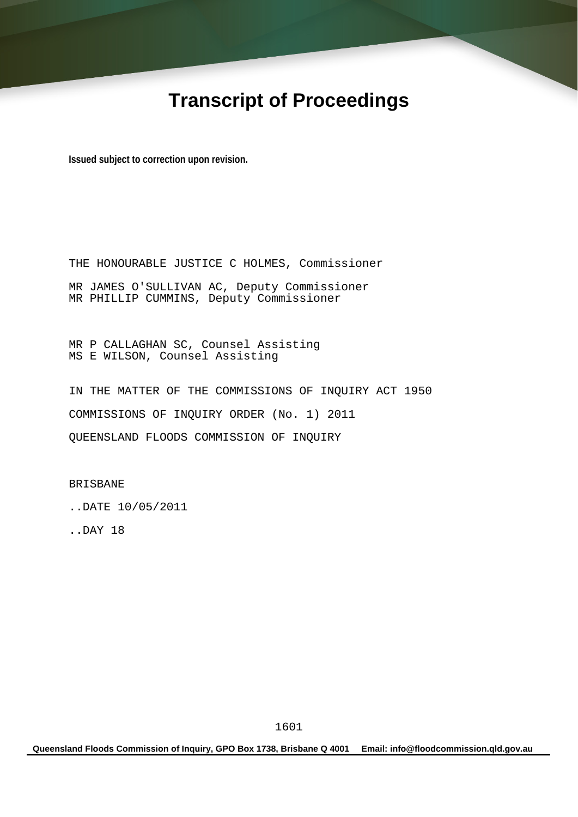# **Transcript of Proceedings**

**Issued subject to correction upon revision.** 

THE HONOURABLE JUSTICE C HOLMES, Commissioner MR JAMES O'SULLIVAN AC, Deputy Commissioner MR PHILLIP CUMMINS, Deputy Commissioner

MR P CALLAGHAN SC, Counsel Assisting MS E WILSON, Counsel Assisting

IN THE MATTER OF THE COMMISSIONS OF INQUIRY ACT 1950 COMMISSIONS OF INQUIRY ORDER (No. 1) 2011 QUEENSLAND FLOODS COMMISSION OF INQUIRY

BRISBANE

..DATE 10/05/2011

..DAY 18

**Queensland Floods Commission of Inquiry, GPO Box 1738, Brisbane Q 4001 Email: info@floodcommission.qld.gov.au**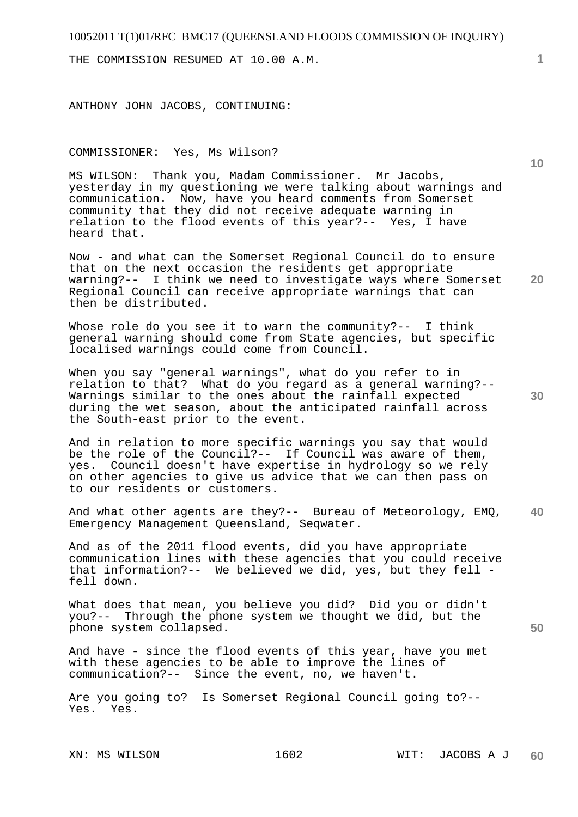THE COMMISSION RESUMED AT 10.00 A.M.

ANTHONY JOHN JACOBS, CONTINUING:

COMMISSIONER: Yes, Ms Wilson?

MS WILSON: Thank you, Madam Commissioner. Mr Jacobs, yesterday in my questioning we were talking about warnings and communication. Now, have you heard comments from Somerset community that they did not receive adequate warning in relation to the flood events of this year?-- Yes, I have heard that.

**20**  Now - and what can the Somerset Regional Council do to ensure that on the next occasion the residents get appropriate warning?-- I think we need to investigate ways where Somerset Regional Council can receive appropriate warnings that can then be distributed.

Whose role do you see it to warn the community?-- I think general warning should come from State agencies, but specific localised warnings could come from Council.

When you say "general warnings", what do you refer to in relation to that? What do you regard as a general warning?-- Warnings similar to the ones about the rainfall expected during the wet season, about the anticipated rainfall across the South-east prior to the event.

And in relation to more specific warnings you say that would be the role of the Council?-- If Council was aware of them, yes. Council doesn't have expertise in hydrology so we rely on other agencies to give us advice that we can then pass on to our residents or customers.

**40**  And what other agents are they?-- Bureau of Meteorology, EMQ, Emergency Management Queensland, Seqwater.

And as of the 2011 flood events, did you have appropriate communication lines with these agencies that you could receive that information?-- We believed we did, yes, but they fell fell down.

What does that mean, you believe you did? Did you or didn't you?-- Through the phone system we thought we did, but the phone system collapsed.

And have - since the flood events of this year, have you met with these agencies to be able to improve the lines of communication?-- Since the event, no, we haven't.

Are you going to? Is Somerset Regional Council going to?-- Yes. Yes.

**1**

**10** 

**30**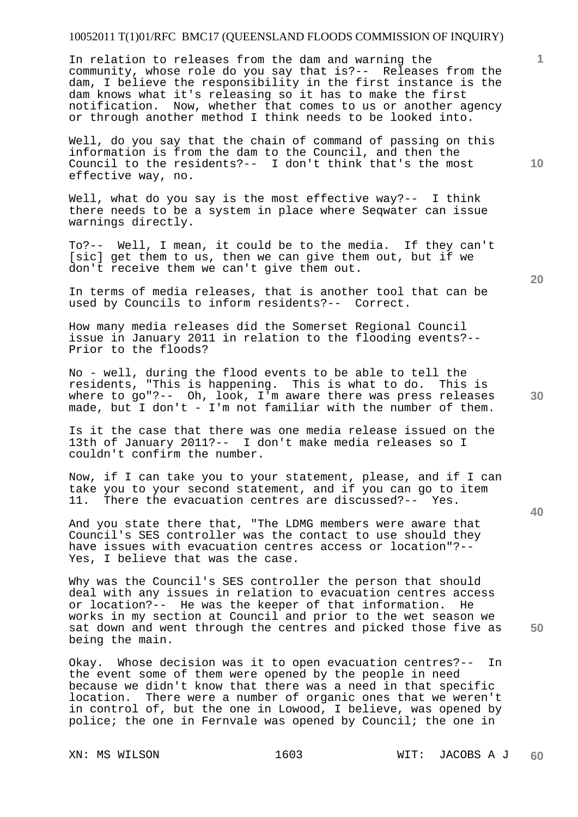In relation to releases from the dam and warning the community, whose role do you say that is?-- Releases from the dam, I believe the responsibility in the first instance is the dam knows what it's releasing so it has to make the first notification. Now, whether that comes to us or another agency or through another method I think needs to be looked into.

Well, do you say that the chain of command of passing on this information is from the dam to the Council, and then the Council to the residents?-- I don't think that's the most effective way, no.

Well, what do you say is the most effective way?-- I think there needs to be a system in place where Seqwater can issue warnings directly.

To?-- Well, I mean, it could be to the media. If they can't [sic] get them to us, then we can give them out, but if we don't receive them we can't give them out.

In terms of media releases, that is another tool that can be used by Councils to inform residents?-- Correct.

How many media releases did the Somerset Regional Council issue in January 2011 in relation to the flooding events?-- Prior to the floods?

No - well, during the flood events to be able to tell the residents, "This is happening. This is what to do. This is where to go"?-- Oh, look, I'm aware there was press releases made, but I don't - I'm not familiar with the number of them.

Is it the case that there was one media release issued on the 13th of January 2011?-- I don't make media releases so I couldn't confirm the number.

Now, if I can take you to your statement, please, and if I can take you to your second statement, and if you can go to item 11. There the evacuation centres are discussed?-- Yes.

And you state there that, "The LDMG members were aware that Council's SES controller was the contact to use should they have issues with evacuation centres access or location"?-- Yes, I believe that was the case.

Why was the Council's SES controller the person that should deal with any issues in relation to evacuation centres access or location?-- He was the keeper of that information. He works in my section at Council and prior to the wet season we sat down and went through the centres and picked those five as being the main.

Okay. Whose decision was it to open evacuation centres?-- In the event some of them were opened by the people in need because we didn't know that there was a need in that specific location. There were a number of organic ones that we weren't in control of, but the one in Lowood, I believe, was opened by police; the one in Fernvale was opened by Council; the one in

**20** 

**40** 

**50** 

**10**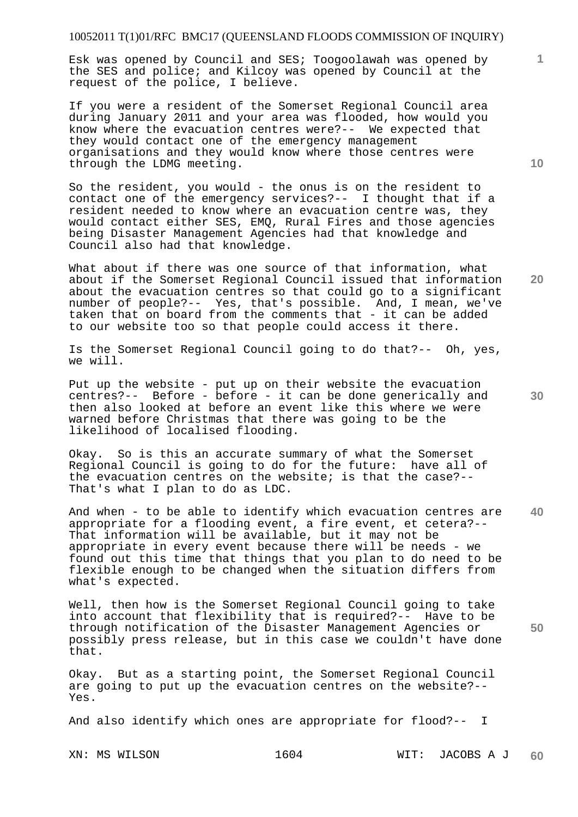Esk was opened by Council and SES; Toogoolawah was opened by the SES and police; and Kilcoy was opened by Council at the request of the police, I believe.

If you were a resident of the Somerset Regional Council area during January 2011 and your area was flooded, how would you know where the evacuation centres were?-- We expected that they would contact one of the emergency management organisations and they would know where those centres were through the LDMG meeting.

So the resident, you would - the onus is on the resident to contact one of the emergency services?-- I thought that if a resident needed to know where an evacuation centre was, they would contact either SES, EMQ, Rural Fires and those agencies being Disaster Management Agencies had that knowledge and Council also had that knowledge.

What about if there was one source of that information, what about if the Somerset Regional Council issued that information about the evacuation centres so that could go to a significant number of people?-- Yes, that's possible. And, I mean, we've taken that on board from the comments that - it can be added to our website too so that people could access it there.

Is the Somerset Regional Council going to do that?-- Oh, yes, we will.

Put up the website - put up on their website the evacuation centres?-- Before - before - it can be done generically and then also looked at before an event like this where we were warned before Christmas that there was going to be the likelihood of localised flooding.

Okay. So is this an accurate summary of what the Somerset Regional Council is going to do for the future: have all of the evacuation centres on the website; is that the case?-- That's what I plan to do as LDC.

**40**  And when - to be able to identify which evacuation centres are appropriate for a flooding event, a fire event, et cetera?-- That information will be available, but it may not be appropriate in every event because there will be needs - we found out this time that things that you plan to do need to be flexible enough to be changed when the situation differs from what's expected.

Well, then how is the Somerset Regional Council going to take into account that flexibility that is required?-- Have to be through notification of the Disaster Management Agencies or possibly press release, but in this case we couldn't have done that.

Okay. But as a starting point, the Somerset Regional Council are going to put up the evacuation centres on the website?-- Yes.

And also identify which ones are appropriate for flood?-- I

**10** 

**1**

**20** 

**30**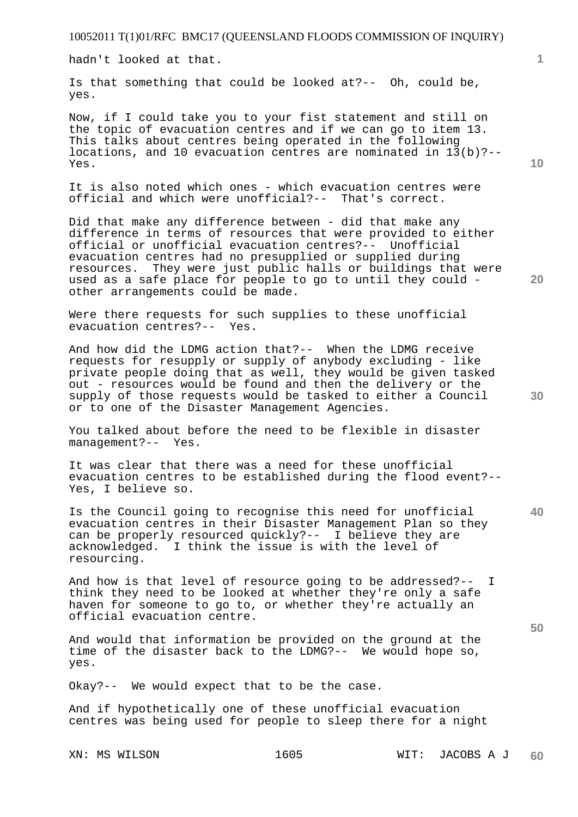hadn't looked at that.

Is that something that could be looked at?-- Oh, could be, yes.

Now, if I could take you to your fist statement and still on the topic of evacuation centres and if we can go to item 13. This talks about centres being operated in the following locations, and 10 evacuation centres are nominated in  $13(b)$  ?--Yes.

It is also noted which ones - which evacuation centres were official and which were unofficial?-- That's correct.

Did that make any difference between - did that make any difference in terms of resources that were provided to either official or unofficial evacuation centres?-- Unofficial evacuation centres had no presupplied or supplied during resources. They were just public halls or buildings that were used as a safe place for people to go to until they could other arrangements could be made.

Were there requests for such supplies to these unofficial evacuation centres?-- Yes.

And how did the LDMG action that?-- When the LDMG receive requests for resupply or supply of anybody excluding - like private people doing that as well, they would be given tasked out - resources would be found and then the delivery or the supply of those requests would be tasked to either a Council or to one of the Disaster Management Agencies.

You talked about before the need to be flexible in disaster management?-- Yes.

It was clear that there was a need for these unofficial evacuation centres to be established during the flood event?-- Yes, I believe so.

**40**  Is the Council going to recognise this need for unofficial evacuation centres in their Disaster Management Plan so they can be properly resourced quickly?-- I believe they are acknowledged. I think the issue is with the level of resourcing.

And how is that level of resource going to be addressed?-- I think they need to be looked at whether they're only a safe haven for someone to go to, or whether they're actually an official evacuation centre.

And would that information be provided on the ground at the time of the disaster back to the LDMG?-- We would hope so, yes.

Okay?-- We would expect that to be the case.

And if hypothetically one of these unofficial evacuation centres was being used for people to sleep there for a night

**10** 

**1**

**20**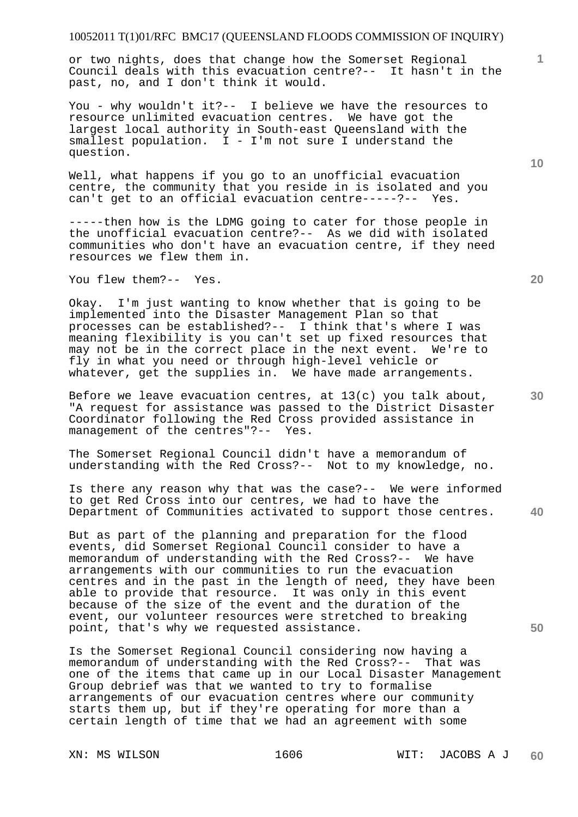or two nights, does that change how the Somerset Regional Council deals with this evacuation centre?-- It hasn't in the past, no, and I don't think it would.

You - why wouldn't it?-- I believe we have the resources to resource unlimited evacuation centres. We have got the largest local authority in South-east Queensland with the smallest population. I - I'm not sure I understand the question.

Well, what happens if you go to an unofficial evacuation centre, the community that you reside in is isolated and you can't get to an official evacuation centre-----?-- Yes.

-----then how is the LDMG going to cater for those people in the unofficial evacuation centre?-- As we did with isolated communities who don't have an evacuation centre, if they need resources we flew them in.

You flew them?-- Yes.

Okay. I'm just wanting to know whether that is going to be implemented into the Disaster Management Plan so that processes can be established?-- I think that's where I was meaning flexibility is you can't set up fixed resources that may not be in the correct place in the next event. We're to fly in what you need or through high-level vehicle or whatever, get the supplies in. We have made arrangements.

Before we leave evacuation centres, at 13(c) you talk about, "A request for assistance was passed to the District Disaster Coordinator following the Red Cross provided assistance in management of the centres"?-- Yes.

The Somerset Regional Council didn't have a memorandum of understanding with the Red Cross?-- Not to my knowledge, no.

Is there any reason why that was the case?-- We were informed to get Red Cross into our centres, we had to have the Department of Communities activated to support those centres.

But as part of the planning and preparation for the flood events, did Somerset Regional Council consider to have a memorandum of understanding with the Red Cross?-- We have arrangements with our communities to run the evacuation centres and in the past in the length of need, they have been able to provide that resource. It was only in this event because of the size of the event and the duration of the event, our volunteer resources were stretched to breaking point, that's why we requested assistance.

Is the Somerset Regional Council considering now having a memorandum of understanding with the Red Cross?-- That was one of the items that came up in our Local Disaster Management Group debrief was that we wanted to try to formalise arrangements of our evacuation centres where our community starts them up, but if they're operating for more than a certain length of time that we had an agreement with some

**10** 

**1**

**20** 

**50**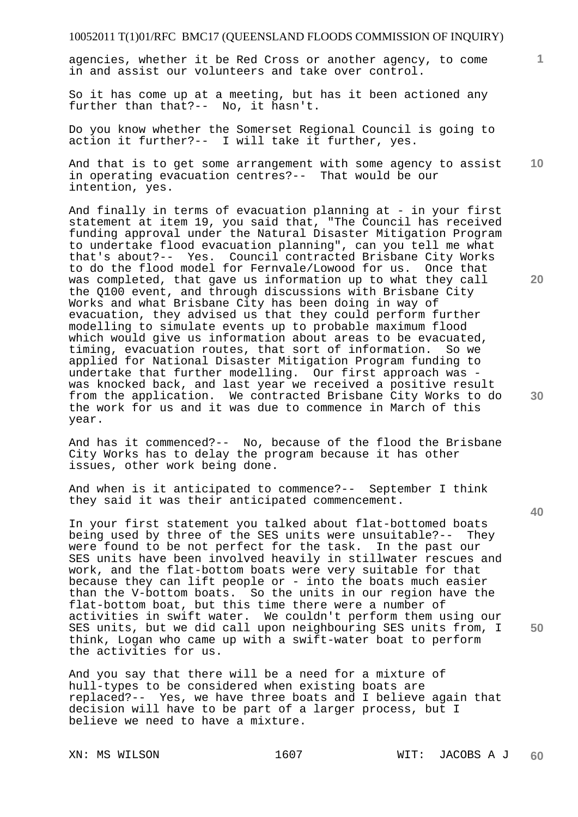agencies, whether it be Red Cross or another agency, to come in and assist our volunteers and take over control.

So it has come up at a meeting, but has it been actioned any further than that?-- No, it hasn't.

Do you know whether the Somerset Regional Council is going to action it further?-- I will take it further, yes.

**10**  And that is to get some arrangement with some agency to assist in operating evacuation centres?-- That would be our intention, yes.

And finally in terms of evacuation planning at - in your first statement at item 19, you said that, "The Council has received funding approval under the Natural Disaster Mitigation Program to undertake flood evacuation planning", can you tell me what that's about?-- Yes. Council contracted Brisbane City Works to do the flood model for Fernvale/Lowood for us. Once that was completed, that gave us information up to what they call the Q100 event, and through discussions with Brisbane City Works and what Brisbane City has been doing in way of evacuation, they advised us that they could perform further modelling to simulate events up to probable maximum flood which would give us information about areas to be evacuated, timing, evacuation routes, that sort of information. So we applied for National Disaster Mitigation Program funding to undertake that further modelling. Our first approach was was knocked back, and last year we received a positive result from the application. We contracted Brisbane City Works to do the work for us and it was due to commence in March of this year.

And has it commenced?-- No, because of the flood the Brisbane City Works has to delay the program because it has other issues, other work being done.

And when is it anticipated to commence?-- September I think they said it was their anticipated commencement.

In your first statement you talked about flat-bottomed boats being used by three of the SES units were unsuitable?-- They were found to be not perfect for the task. In the past our SES units have been involved heavily in stillwater rescues and work, and the flat-bottom boats were very suitable for that because they can lift people or - into the boats much easier than the V-bottom boats. So the units in our region have the flat-bottom boat, but this time there were a number of activities in swift water. We couldn't perform them using our SES units, but we did call upon neighbouring SES units from, I think, Logan who came up with a swift-water boat to perform the activities for us.

And you say that there will be a need for a mixture of hull-types to be considered when existing boats are replaced?-- Yes, we have three boats and I believe again that decision will have to be part of a larger process, but I believe we need to have a mixture.

**1**

**20** 

**40**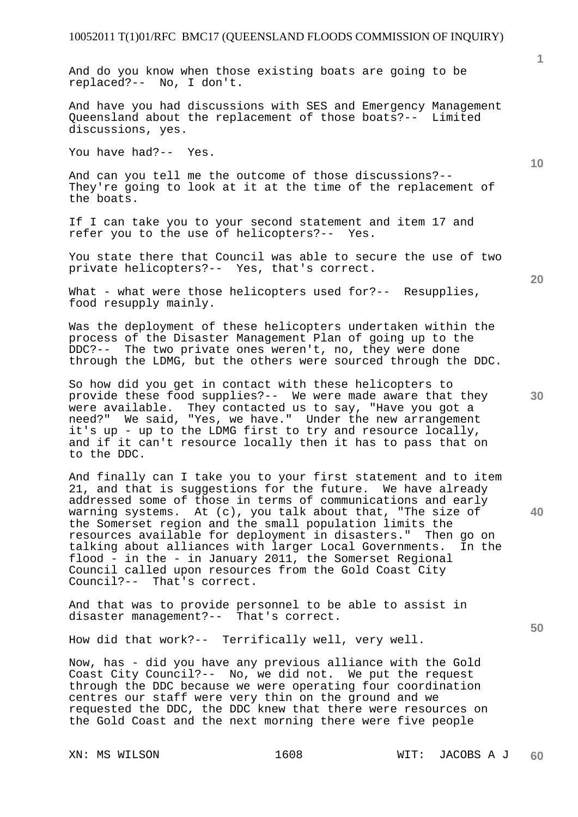And do you know when those existing boats are going to be replaced?-- No, I don't.

And have you had discussions with SES and Emergency Management Queensland about the replacement of those boats?-- Limited discussions, yes.

You have had?-- Yes.

And can you tell me the outcome of those discussions?-- They're going to look at it at the time of the replacement of the boats.

If I can take you to your second statement and item 17 and refer you to the use of helicopters?-- Yes.

You state there that Council was able to secure the use of two private helicopters?-- Yes, that's correct.

What - what were those helicopters used for?-- Resupplies, food resupply mainly.

Was the deployment of these helicopters undertaken within the process of the Disaster Management Plan of going up to the DDC?-- The two private ones weren't, no, they were done through the LDMG, but the others were sourced through the DDC.

So how did you get in contact with these helicopters to provide these food supplies?-- We were made aware that they were available. They contacted us to say, "Have you got a were available. They contacted us to say, "Have you got a<br>need?" We said, "Yes, we have." Under the new arrangement it's up - up to the LDMG first to try and resource locally, and if it can't resource locally then it has to pass that on to the DDC.

And finally can I take you to your first statement and to item 21, and that is suggestions for the future. We have already addressed some of those in terms of communications and early warning systems. At (c), you talk about that, "The size of the Somerset region and the small population limits the resources available for deployment in disasters." Then go on<br>talking about alliances with larger Local Governments. In the talking about alliances with larger Local Governments. flood - in the - in January 2011, the Somerset Regional Council called upon resources from the Gold Coast City Council?-- That's correct.

And that was to provide personnel to be able to assist in disaster management?-- That's correct.

How did that work?-- Terrifically well, very well.

Now, has - did you have any previous alliance with the Gold Coast City Council?-- No, we did not. We put the request through the DDC because we were operating four coordination centres our staff were very thin on the ground and we requested the DDC, the DDC knew that there were resources on the Gold Coast and the next morning there were five people

**10** 

**1**

**30** 

**20** 

**40**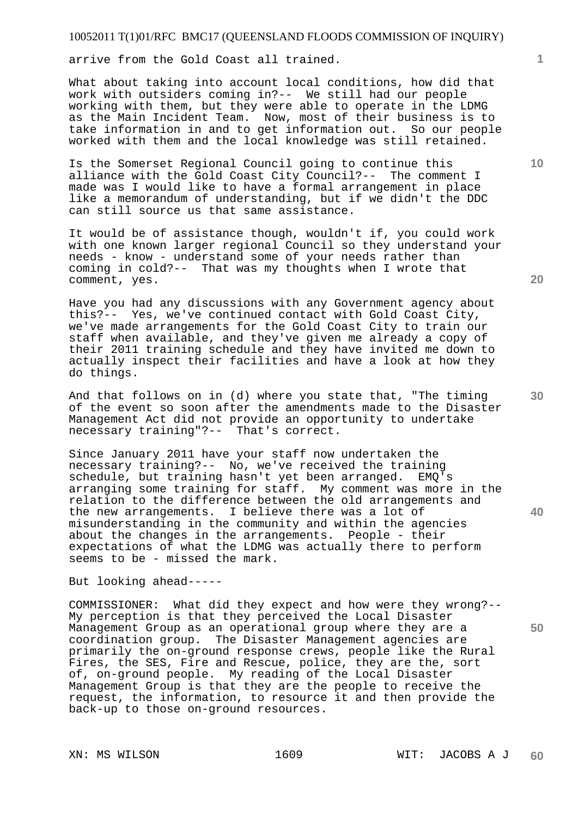arrive from the Gold Coast all trained.

What about taking into account local conditions, how did that work with outsiders coming in?-- We still had our people working with them, but they were able to operate in the LDMG as the Main Incident Team. Now, most of their business is to take information in and to get information out. So our people worked with them and the local knowledge was still retained.

Is the Somerset Regional Council going to continue this alliance with the Gold Coast City Council?-- The comment I made was I would like to have a formal arrangement in place like a memorandum of understanding, but if we didn't the DDC can still source us that same assistance.

It would be of assistance though, wouldn't if, you could work with one known larger regional Council so they understand your needs - know - understand some of your needs rather than coming in cold?-- That was my thoughts when I wrote that comment, yes.

Have you had any discussions with any Government agency about this?-- Yes, we've continued contact with Gold Coast City, we've made arrangements for the Gold Coast City to train our staff when available, and they've given me already a copy of their 2011 training schedule and they have invited me down to actually inspect their facilities and have a look at how they do things.

And that follows on in (d) where you state that, "The timing of the event so soon after the amendments made to the Disaster Management Act did not provide an opportunity to undertake necessary training"?-- That's correct.

Since January 2011 have your staff now undertaken the necessary training?-- No, we've received the training schedule, but training hasn't yet been arranged. EMQ's arranging some training for staff. My comment was more in the relation to the difference between the old arrangements and the new arrangements. I believe there was a lot of misunderstanding in the community and within the agencies about the changes in the arrangements. People - their expectations of what the LDMG was actually there to perform seems to be - missed the mark.

But looking ahead-----

COMMISSIONER: What did they expect and how were they wrong?-- My perception is that they perceived the Local Disaster Management Group as an operational group where they are a coordination group. The Disaster Management agencies are primarily the on-ground response crews, people like the Rural Fires, the SES, Fire and Rescue, police, they are the, sort of, on-ground people. My reading of the Local Disaster Management Group is that they are the people to receive the request, the information, to resource it and then provide the back-up to those on-ground resources.

**20** 

**10** 

**1**

**40**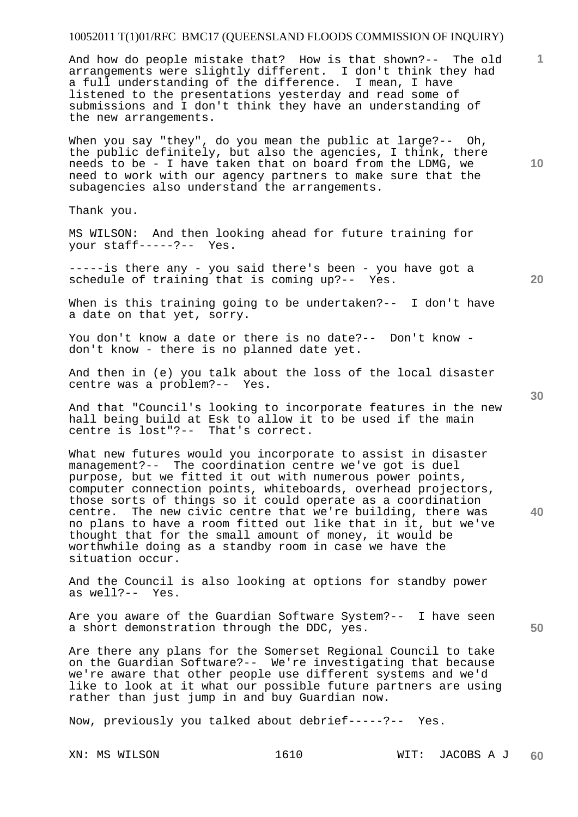And how do people mistake that? How is that shown?-- The old arrangements were slightly different. I don't think they had a full understanding of the difference. I mean, I have listened to the presentations yesterday and read some of submissions and I don't think they have an understanding of the new arrangements.

When you say "they", do you mean the public at large?-- Oh, the public definitely, but also the agencies, I think, there needs to be - I have taken that on board from the LDMG, we need to work with our agency partners to make sure that the subagencies also understand the arrangements.

Thank you.

MS WILSON: And then looking ahead for future training for your staff-----?-- Yes.

-----is there any - you said there's been - you have got a schedule of training that is coming up?-- Yes.

When is this training going to be undertaken?-- I don't have a date on that yet, sorry.

You don't know a date or there is no date?-- Don't know don't know - there is no planned date yet.

And then in (e) you talk about the loss of the local disaster centre was a problem?-- Yes.

And that "Council's looking to incorporate features in the new hall being build at Esk to allow it to be used if the main centre is lost"?-- That's correct.

What new futures would you incorporate to assist in disaster management?-- The coordination centre we've got is duel purpose, but we fitted it out with numerous power points, computer connection points, whiteboards, overhead projectors, those sorts of things so it could operate as a coordination centre. The new civic centre that we're building, there was no plans to have a room fitted out like that in it, but we've thought that for the small amount of money, it would be worthwhile doing as a standby room in case we have the situation occur.

And the Council is also looking at options for standby power as well?-- Yes.

Are you aware of the Guardian Software System?-- I have seen a short demonstration through the DDC, yes.

Are there any plans for the Somerset Regional Council to take on the Guardian Software?-- We're investigating that because we're aware that other people use different systems and we'd like to look at it what our possible future partners are using rather than just jump in and buy Guardian now.

Now, previously you talked about debrief-----?-- Yes.

**10** 

**1**

**20** 

**40**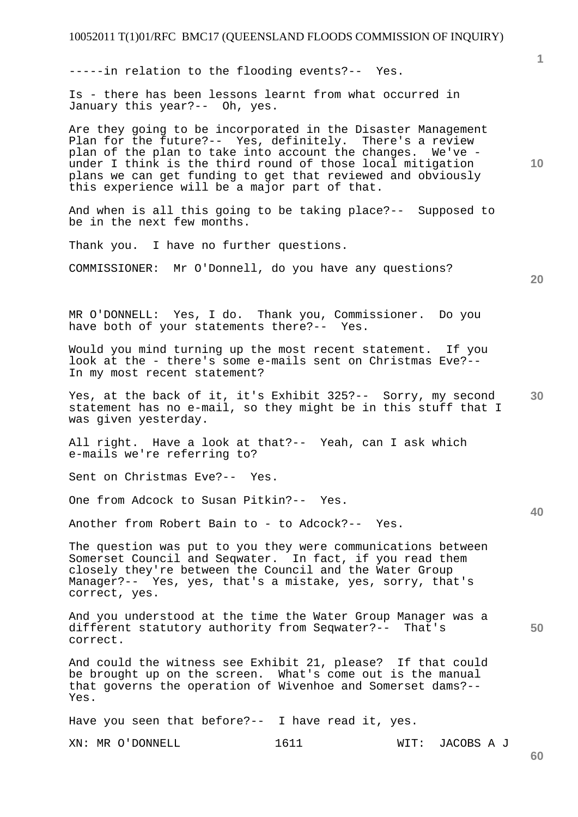## 10052011 T(1)01/RFC BMC17 (QUEENSLAND FLOODS COMMISSION OF INQUIRY) XN: MR O'DONNELL 1611 WIT: JACOBS A J **1 10 20 30 40 50**  -----in relation to the flooding events?-- Yes. Is - there has been lessons learnt from what occurred in January this year?-- Oh, yes. Are they going to be incorporated in the Disaster Management Plan for the future?-- Yes, definitely. There's a review plan of the plan to take into account the changes. We've under I think is the third round of those local mitigation plans we can get funding to get that reviewed and obviously this experience will be a major part of that. And when is all this going to be taking place?-- Supposed to be in the next few months. Thank you. I have no further questions. COMMISSIONER: Mr O'Donnell, do you have any questions? MR O'DONNELL: Yes, I do. Thank you, Commissioner. Do you have both of your statements there?-- Yes. Would you mind turning up the most recent statement. If you look at the - there's some e-mails sent on Christmas Eve?-- In my most recent statement? Yes, at the back of it, it's Exhibit 325?-- Sorry, my second statement has no e-mail, so they might be in this stuff that I was given yesterday. All right. Have a look at that?-- Yeah, can I ask which e-mails we're referring to? Sent on Christmas Eve?-- Yes. One from Adcock to Susan Pitkin?-- Yes. Another from Robert Bain to - to Adcock?-- Yes. The question was put to you they were communications between Somerset Council and Seqwater. In fact, if you read them closely they're between the Council and the Water Group Manager?-- Yes, yes, that's a mistake, yes, sorry, that's correct, yes. And you understood at the time the Water Group Manager was a different statutory authority from Seqwater?-- That's correct. And could the witness see Exhibit 21, please? If that could be brought up on the screen. What's come out is the manual that governs the operation of Wivenhoe and Somerset dams?-- Yes. Have you seen that before?-- I have read it, yes.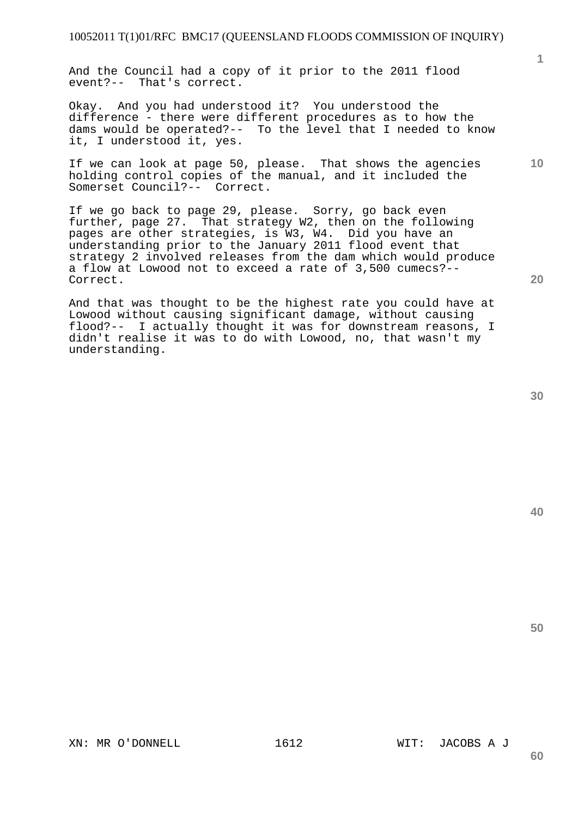And the Council had a copy of it prior to the 2011 flood event?-- That's correct.

Okay. And you had understood it? You understood the difference - there were different procedures as to how the dams would be operated?-- To the level that I needed to know it, I understood it, yes.

If we can look at page 50, please. That shows the agencies holding control copies of the manual, and it included the Somerset Council?-- Correct.

If we go back to page 29, please. Sorry, go back even further, page 27. That strategy W2, then on the following pages are other strategies, is W3, W4. Did you have an understanding prior to the January 2011 flood event that strategy 2 involved releases from the dam which would produce a flow at Lowood not to exceed a rate of 3,500 cumecs?-- Correct.

And that was thought to be the highest rate you could have at Lowood without causing significant damage, without causing flood?-- I actually thought it was for downstream reasons, I didn't realise it was to do with Lowood, no, that wasn't my understanding.

**40** 

**50** 

**20** 

**1**

**10** 

XN: MR O'DONNELL 1612 WIT: JACOBS A J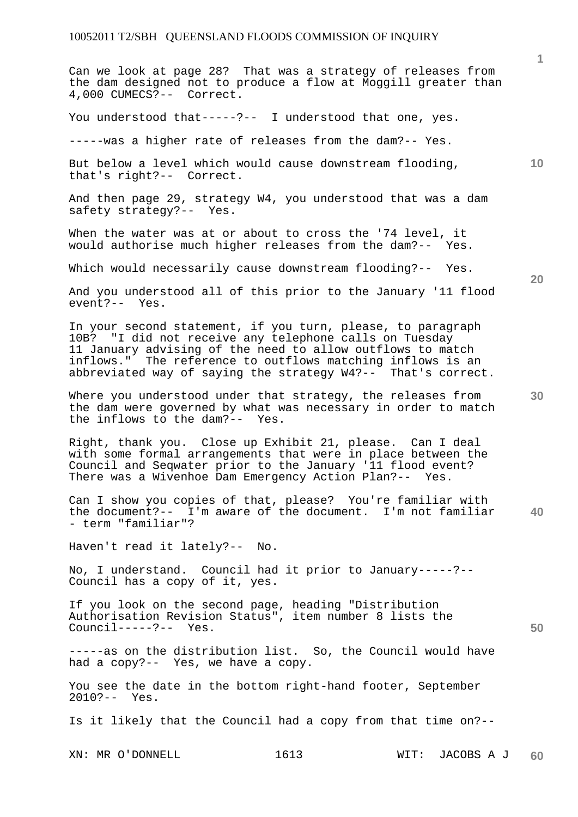Can we look at page 28? That was a strategy of releases from the dam designed not to produce a flow at Moggill greater than 4,000 CUMECS?-- Correct.

You understood that-----?-- I understood that one, yes.

-----was a higher rate of releases from the dam?-- Yes.

But below a level which would cause downstream flooding, that's right?-- Correct.

And then page 29, strategy W4, you understood that was a dam safety strategy?-- Yes.

When the water was at or about to cross the '74 level, it would authorise much higher releases from the dam?-- Yes.

Which would necessarily cause downstream flooding?-- Yes.

And you understood all of this prior to the January '11 flood event?-- Yes.

In your second statement, if you turn, please, to paragraph 10B? "I did not receive any telephone calls on Tuesday 11 January advising of the need to allow outflows to match inflows." The reference to outflows matching inflows is an abbreviated way of saying the strategy W4?-- That's correct.

Where you understood under that strategy, the releases from the dam were governed by what was necessary in order to match the inflows to the dam?-- Yes.

Right, thank you. Close up Exhibit 21, please. Can I deal with some formal arrangements that were in place between the Council and Seqwater prior to the January '11 flood event? There was a Wivenhoe Dam Emergency Action Plan?-- Yes.

**40**  Can I show you copies of that, please? You're familiar with the document?-- I'm aware of the document. I'm not familiar - term "familiar"?

Haven't read it lately?-- No.

No, I understand. Council had it prior to January-----?-- Council has a copy of it, yes.

If you look on the second page, heading "Distribution Authorisation Revision Status", item number 8 lists the Council-----?-- Yes.

-----as on the distribution list. So, the Council would have had a copy?-- Yes, we have a copy.

You see the date in the bottom right-hand footer, September 2010?-- Yes.

Is it likely that the Council had a copy from that time on?--

XN: MR O'DONNELL 1613 WIT: JACOBS A J

**20** 

**50** 

**10**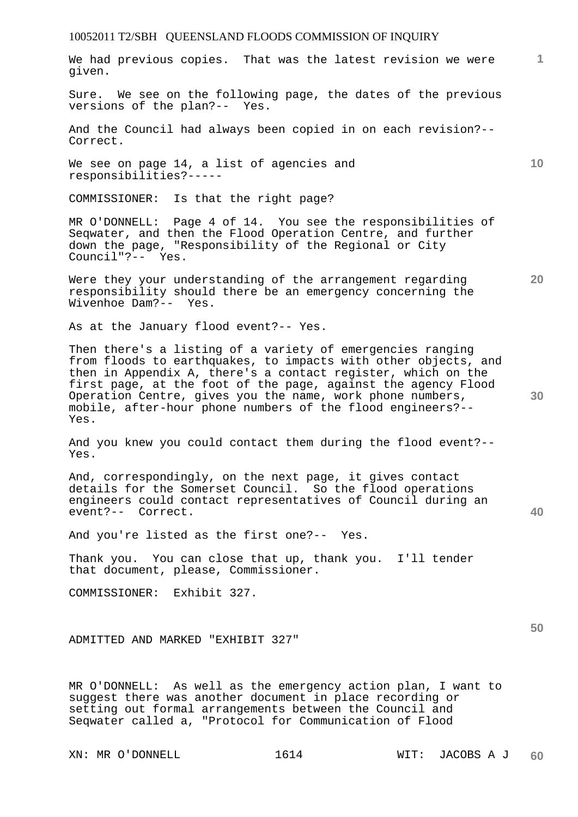We had previous copies. That was the latest revision we were given.

Sure. We see on the following page, the dates of the previous versions of the plan?-- Yes.

And the Council had always been copied in on each revision?-- Correct.

We see on page 14, a list of agencies and responsibilities?-----

COMMISSIONER: Is that the right page?

MR O'DONNELL: Page 4 of 14. You see the responsibilities of Seqwater, and then the Flood Operation Centre, and further down the page, "Responsibility of the Regional or City Council"?-- Yes.

Were they your understanding of the arrangement regarding responsibility should there be an emergency concerning the Wivenhoe Dam?-- Yes.

As at the January flood event?-- Yes.

Then there's a listing of a variety of emergencies ranging from floods to earthquakes, to impacts with other objects, and then in Appendix A, there's a contact register, which on the first page, at the foot of the page, against the agency Flood Operation Centre, gives you the name, work phone numbers, mobile, after-hour phone numbers of the flood engineers?-- Yes.

And you knew you could contact them during the flood event?-- Yes.

And, correspondingly, on the next page, it gives contact details for the Somerset Council. So the flood operations engineers could contact representatives of Council during an event?-- Correct.

And you're listed as the first one?-- Yes.

Thank you. You can close that up, thank you. I'll tender that document, please, Commissioner.

COMMISSIONER: Exhibit 327.

ADMITTED AND MARKED "EXHIBIT 327"

MR O'DONNELL: As well as the emergency action plan, I want to suggest there was another document in place recording or setting out formal arrangements between the Council and Seqwater called a, "Protocol for Communication of Flood

XN: MR O'DONNELL 1614 WIT: JACOBS A J

**10** 

**1**

**40**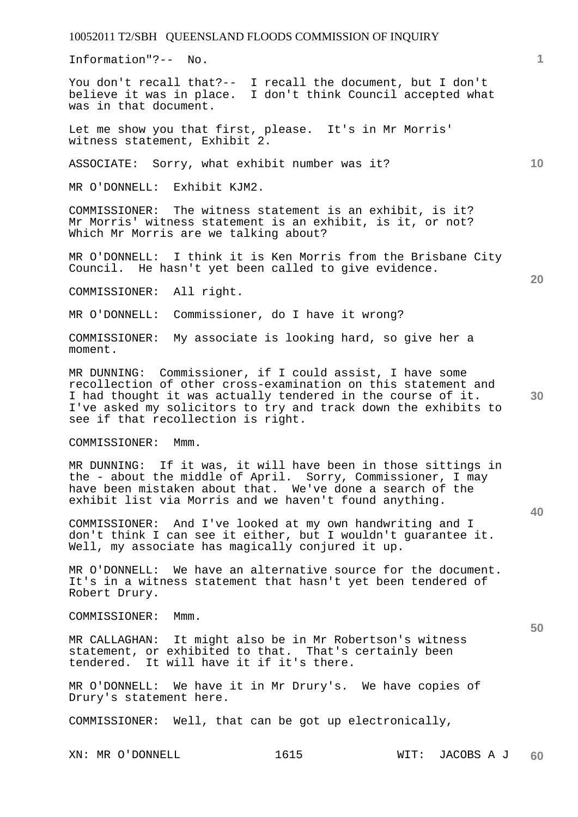Information"?-- No.

You don't recall that?-- I recall the document, but I don't believe it was in place. I don't think Council accepted what was in that document.

Let me show you that first, please. It's in Mr Morris' witness statement, Exhibit 2.

ASSOCIATE: Sorry, what exhibit number was it?

MR O'DONNELL: Exhibit KJM2.

COMMISSIONER: The witness statement is an exhibit, is it? Mr Morris' witness statement is an exhibit, is it, or not? Which Mr Morris are we talking about?

MR O'DONNELL: I think it is Ken Morris from the Brisbane City Council. He hasn't yet been called to give evidence.

COMMISSIONER: All right.

MR O'DONNELL: Commissioner, do I have it wrong?

COMMISSIONER: My associate is looking hard, so give her a moment.

**30**  MR DUNNING: Commissioner, if I could assist, I have some recollection of other cross-examination on this statement and I had thought it was actually tendered in the course of it. I've asked my solicitors to try and track down the exhibits to see if that recollection is right.

COMMISSIONER: Mmm.

MR DUNNING: If it was, it will have been in those sittings in the - about the middle of April. Sorry, Commissioner, I may have been mistaken about that. We've done a search of the exhibit list via Morris and we haven't found anything.

COMMISSIONER: And I've looked at my own handwriting and I don't think I can see it either, but I wouldn't guarantee it. Well, my associate has magically conjured it up.

MR O'DONNELL: We have an alternative source for the document. It's in a witness statement that hasn't yet been tendered of Robert Drury.

COMMISSIONER: Mmm.

MR CALLAGHAN: It might also be in Mr Robertson's witness statement, or exhibited to that. That's certainly been tendered. It will have it if it's there.

MR O'DONNELL: We have it in Mr Drury's. We have copies of Drury's statement here.

COMMISSIONER: Well, that can be got up electronically,

**10** 

**20** 

**1**

**50**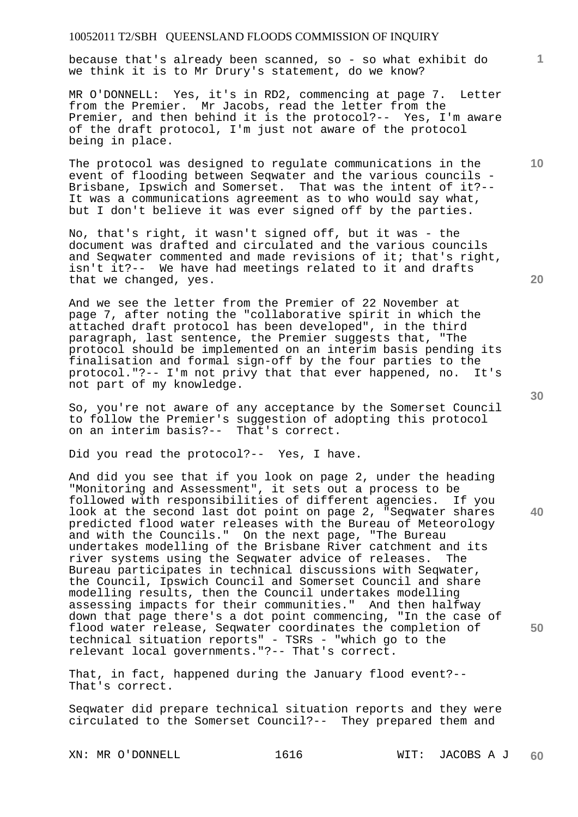because that's already been scanned, so - so what exhibit do we think it is to Mr Drury's statement, do we know?

MR O'DONNELL: Yes, it's in RD2, commencing at page 7. Letter from the Premier. Mr Jacobs, read the letter from the Premier, and then behind it is the protocol?-- Yes, I'm aware of the draft protocol, I'm just not aware of the protocol being in place.

The protocol was designed to regulate communications in the event of flooding between Seqwater and the various councils - Brisbane, Ipswich and Somerset. That was the intent of it?-- It was a communications agreement as to who would say what, but I don't believe it was ever signed off by the parties.

No, that's right, it wasn't signed off, but it was - the document was drafted and circulated and the various councils and Seqwater commented and made revisions of it; that's right, isn't it?-- We have had meetings related to it and drafts that we changed, yes.

And we see the letter from the Premier of 22 November at page 7, after noting the "collaborative spirit in which the attached draft protocol has been developed", in the third paragraph, last sentence, the Premier suggests that, "The protocol should be implemented on an interim basis pending its finalisation and formal sign-off by the four parties to the protocol."?-- I'm not privy that that ever happened, no. It's not part of my knowledge.

So, you're not aware of any acceptance by the Somerset Council to follow the Premier's suggestion of adopting this protocol on an interim basis?-- That's correct.

Did you read the protocol?-- Yes, I have.

And did you see that if you look on page 2, under the heading "Monitoring and Assessment", it sets out a process to be followed with responsibilities of different agencies. If you look at the second last dot point on page 2, "Seqwater shares predicted flood water releases with the Bureau of Meteorology and with the Councils." On the next page, "The Bureau undertakes modelling of the Brisbane River catchment and its river systems using the Seqwater advice of releases. The Bureau participates in technical discussions with Seqwater, the Council, Ipswich Council and Somerset Council and share modelling results, then the Council undertakes modelling assessing impacts for their communities." And then halfway down that page there's a dot point commencing, "In the case of flood water release, Seqwater coordinates the completion of technical situation reports" - TSRs - "which go to the relevant local governments."?-- That's correct.

That, in fact, happened during the January flood event?-- That's correct.

Seqwater did prepare technical situation reports and they were circulated to the Somerset Council?-- They prepared them and

XN: MR O'DONNELL 1616 1616 WIT: JACOBS A J

**60** 

**30** 

**40** 

**50** 

**20**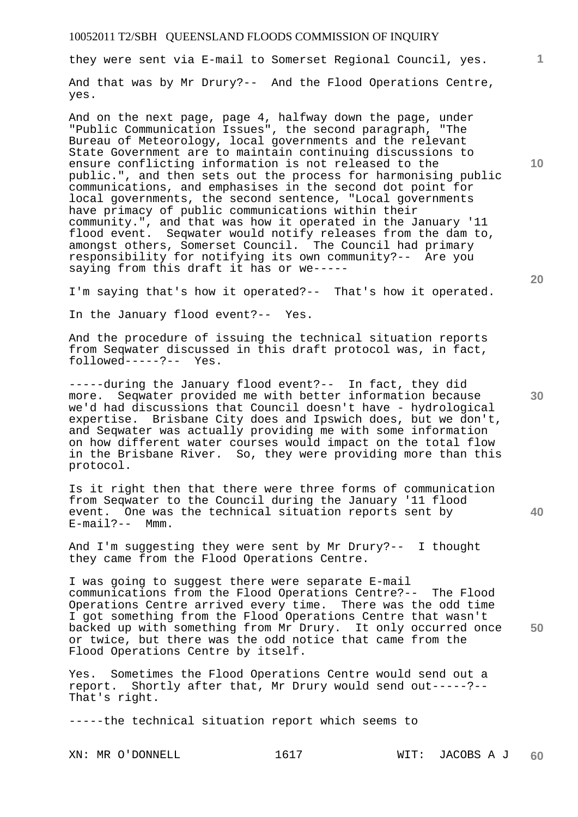they were sent via E-mail to Somerset Regional Council, yes.

And that was by Mr Drury?-- And the Flood Operations Centre, yes.

And on the next page, page 4, halfway down the page, under "Public Communication Issues", the second paragraph, "The Bureau of Meteorology, local governments and the relevant State Government are to maintain continuing discussions to ensure conflicting information is not released to the public.", and then sets out the process for harmonising public communications, and emphasises in the second dot point for local governments, the second sentence, "Local governments have primacy of public communications within their community.", and that was how it operated in the January '11 flood event. Seqwater would notify releases from the dam to, amongst others, Somerset Council. The Council had primary responsibility for notifying its own community?-- Are you saying from this draft it has or we-----

I'm saying that's how it operated?-- That's how it operated.

In the January flood event?-- Yes.

And the procedure of issuing the technical situation reports from Seqwater discussed in this draft protocol was, in fact, followed-----?-- Yes.

-----during the January flood event?-- In fact, they did more. Seqwater provided me with better information because we'd had discussions that Council doesn't have - hydrological expertise. Brisbane City does and Ipswich does, but we don't, and Seqwater was actually providing me with some information on how different water courses would impact on the total flow in the Brisbane River. So, they were providing more than this protocol.

Is it right then that there were three forms of communication from Seqwater to the Council during the January '11 flood event. One was the technical situation reports sent by E-mail?-- Mmm.

And I'm suggesting they were sent by Mr Drury?-- I thought they came from the Flood Operations Centre.

I was going to suggest there were separate E-mail communications from the Flood Operations Centre?-- The Flood Operations Centre arrived every time. There was the odd time I got something from the Flood Operations Centre that wasn't backed up with something from Mr Drury. It only occurred once or twice, but there was the odd notice that came from the Flood Operations Centre by itself.

Yes. Sometimes the Flood Operations Centre would send out a report. Shortly after that, Mr Drury would send out-----?-- That's right.

-----the technical situation report which seems to

**10** 

**1**

**20** 

**40**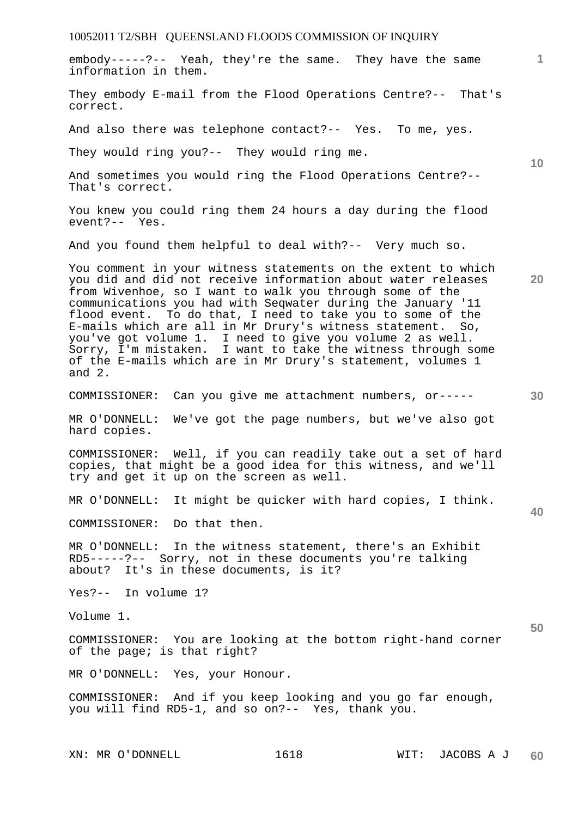| embody-----?-- Yeah, they're the same. They have the same<br>information in them.                                                                                                                                                                                                                                                                                                                                                                                                                                                                                                            | $\overline{1}$  |
|----------------------------------------------------------------------------------------------------------------------------------------------------------------------------------------------------------------------------------------------------------------------------------------------------------------------------------------------------------------------------------------------------------------------------------------------------------------------------------------------------------------------------------------------------------------------------------------------|-----------------|
| They embody E-mail from the Flood Operations Centre?-- That's<br>correct.                                                                                                                                                                                                                                                                                                                                                                                                                                                                                                                    |                 |
| And also there was telephone contact?-- Yes. To me, yes.                                                                                                                                                                                                                                                                                                                                                                                                                                                                                                                                     |                 |
| They would ring you?-- They would ring me.                                                                                                                                                                                                                                                                                                                                                                                                                                                                                                                                                   | 10 <sup>°</sup> |
| And sometimes you would ring the Flood Operations Centre?--<br>That's correct.                                                                                                                                                                                                                                                                                                                                                                                                                                                                                                               |                 |
| You knew you could ring them 24 hours a day during the flood<br>event?-- Yes.                                                                                                                                                                                                                                                                                                                                                                                                                                                                                                                |                 |
| And you found them helpful to deal with?-- Very much so.                                                                                                                                                                                                                                                                                                                                                                                                                                                                                                                                     |                 |
| You comment in your witness statements on the extent to which<br>you did and did not receive information about water releases<br>from Wivenhoe, so I want to walk you through some of the<br>communications you had with Seqwater during the January '11<br>flood event. To do that, I need to take you to some of the<br>E-mails which are all in Mr Drury's witness statement. So,<br>you've got volume 1. I need to give you volume 2 as well.<br>Sorry, I'm mistaken. I want to take the witness through some<br>of the E-mails which are in Mr Drury's statement, volumes 1<br>and $2.$ | 20              |
| COMMISSIONER: Can you give me attachment numbers, or-----                                                                                                                                                                                                                                                                                                                                                                                                                                                                                                                                    | 30              |
| MR O'DONNELL:<br>We've got the page numbers, but we've also got<br>hard copies.                                                                                                                                                                                                                                                                                                                                                                                                                                                                                                              |                 |
| COMMISSIONER: Well, if you can readily take out a set of hard<br>copies, that might be a good idea for this witness, and we'll<br>try and get it up on the screen as well.                                                                                                                                                                                                                                                                                                                                                                                                                   |                 |
| MR O'DONNELL: It might be quicker with hard copies, I think.                                                                                                                                                                                                                                                                                                                                                                                                                                                                                                                                 |                 |
| Do that then.<br>COMMISSIONER:                                                                                                                                                                                                                                                                                                                                                                                                                                                                                                                                                               | 40              |
| MR O'DONNELL: In the witness statement, there's an Exhibit<br>RD5-----?-- Sorry, not in these documents you're talking<br>about? It's in these documents, is it?                                                                                                                                                                                                                                                                                                                                                                                                                             |                 |
| Yes?-- In volume 1?                                                                                                                                                                                                                                                                                                                                                                                                                                                                                                                                                                          |                 |
| Volume 1.                                                                                                                                                                                                                                                                                                                                                                                                                                                                                                                                                                                    | 50              |
| COMMISSIONER: You are looking at the bottom right-hand corner<br>of the page; is that right?                                                                                                                                                                                                                                                                                                                                                                                                                                                                                                 |                 |
| MR O'DONNELL: Yes, your Honour.                                                                                                                                                                                                                                                                                                                                                                                                                                                                                                                                                              |                 |
| COMMISSIONER: And if you keep looking and you go far enough,<br>you will find RD5-1, and so on?-- Yes, thank you.                                                                                                                                                                                                                                                                                                                                                                                                                                                                            |                 |
|                                                                                                                                                                                                                                                                                                                                                                                                                                                                                                                                                                                              |                 |

XN: MR O'DONNELL 1618 WIT: JACOBS A J **60**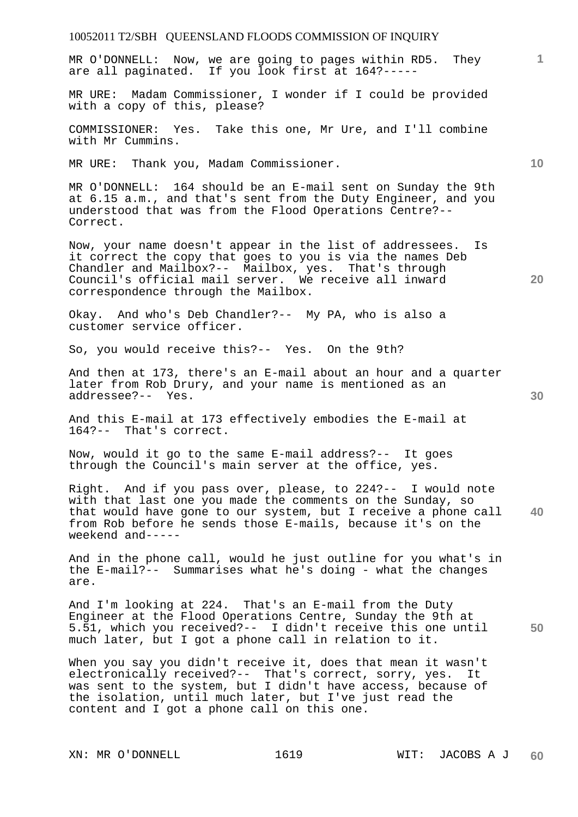## 10052011 T2/SBH QUEENSLAND FLOODS COMMISSION OF INQUIRY **1 10 20 30 40 50**  MR O'DONNELL: Now, we are going to pages within RD5. They are all paginated. If you look first at 164?----- MR URE: Madam Commissioner, I wonder if I could be provided with a copy of this, please? COMMISSIONER: Yes. Take this one, Mr Ure, and I'll combine with Mr Cummins. MR URE: Thank you, Madam Commissioner. MR O'DONNELL: 164 should be an E-mail sent on Sunday the 9th at 6.15 a.m., and that's sent from the Duty Engineer, and you understood that was from the Flood Operations Centre?-- Correct. Now, your name doesn't appear in the list of addressees. Is it correct the copy that goes to you is via the names Deb Chandler and Mailbox?-- Mailbox, yes. That's through Council's official mail server. We receive all inward correspondence through the Mailbox. Okay. And who's Deb Chandler?-- My PA, who is also a customer service officer. So, you would receive this?-- Yes. On the 9th? And then at 173, there's an E-mail about an hour and a quarter later from Rob Drury, and your name is mentioned as an addressee?-- Yes. And this E-mail at 173 effectively embodies the E-mail at 164?-- That's correct. Now, would it go to the same E-mail address?-- It goes through the Council's main server at the office, yes. Right. And if you pass over, please, to 224?-- I would note with that last one you made the comments on the Sunday, so that would have gone to our system, but I receive a phone call from Rob before he sends those E-mails, because it's on the weekend and----- And in the phone call, would he just outline for you what's in the E-mail?-- Summarises what he's doing - what the changes are. And I'm looking at 224. That's an E-mail from the Duty Engineer at the Flood Operations Centre, Sunday the 9th at 5.51, which you received?-- I didn't receive this one until much later, but I got a phone call in relation to it. When you say you didn't receive it, does that mean it wasn't electronically received?-- That's correct, sorry, yes. It was sent to the system, but I didn't have access, because of the isolation, until much later, but I've just read the content and I got a phone call on this one.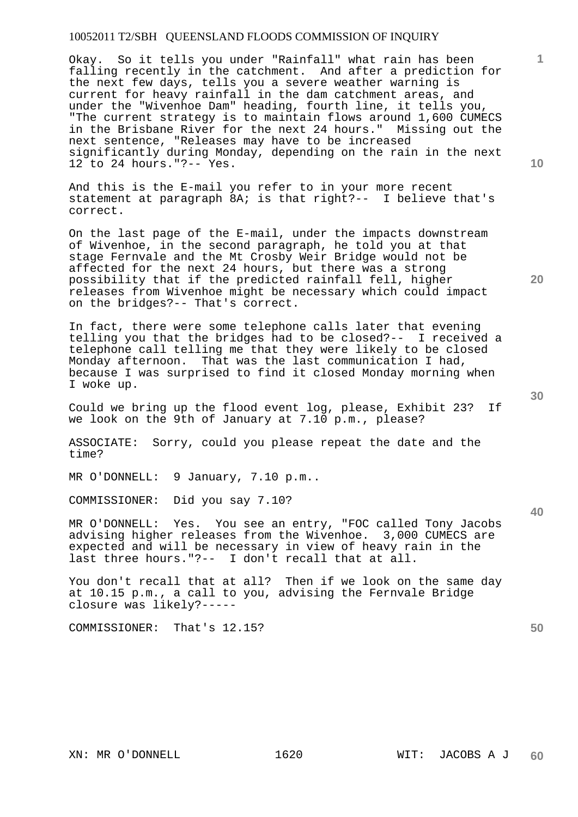Okay. So it tells you under "Rainfall" what rain has been falling recently in the catchment. And after a prediction for the next few days, tells you a severe weather warning is current for heavy rainfall in the dam catchment areas, and under the "Wivenhoe Dam" heading, fourth line, it tells you, "The current strategy is to maintain flows around 1,600 CUMECS in the Brisbane River for the next 24 hours." Missing out the next sentence, "Releases may have to be increased significantly during Monday, depending on the rain in the next 12 to 24 hours."?-- Yes.

And this is the E-mail you refer to in your more recent statement at paragraph 8A; is that right?-- I believe that's correct.

On the last page of the E-mail, under the impacts downstream of Wivenhoe, in the second paragraph, he told you at that stage Fernvale and the Mt Crosby Weir Bridge would not be affected for the next 24 hours, but there was a strong possibility that if the predicted rainfall fell, higher releases from Wivenhoe might be necessary which could impact on the bridges?-- That's correct.

In fact, there were some telephone calls later that evening telling you that the bridges had to be closed?-- I received a telephone call telling me that they were likely to be closed Monday afternoon. That was the last communication I had, because I was surprised to find it closed Monday morning when I woke up.

Could we bring up the flood event log, please, Exhibit 23? If we look on the 9th of January at 7.10 p.m., please?

ASSOCIATE: Sorry, could you please repeat the date and the time?

MR O'DONNELL: 9 January, 7.10 p.m..

COMMISSIONER: Did you say 7.10?

MR O'DONNELL: Yes. You see an entry, "FOC called Tony Jacobs advising higher releases from the Wivenhoe. 3,000 CUMECS are expected and will be necessary in view of heavy rain in the last three hours."?-- I don't recall that at all.

You don't recall that at all? Then if we look on the same day at 10.15 p.m., a call to you, advising the Fernvale Bridge closure was likely?-----

COMMISSIONER: That's 12.15?

**10** 

**1**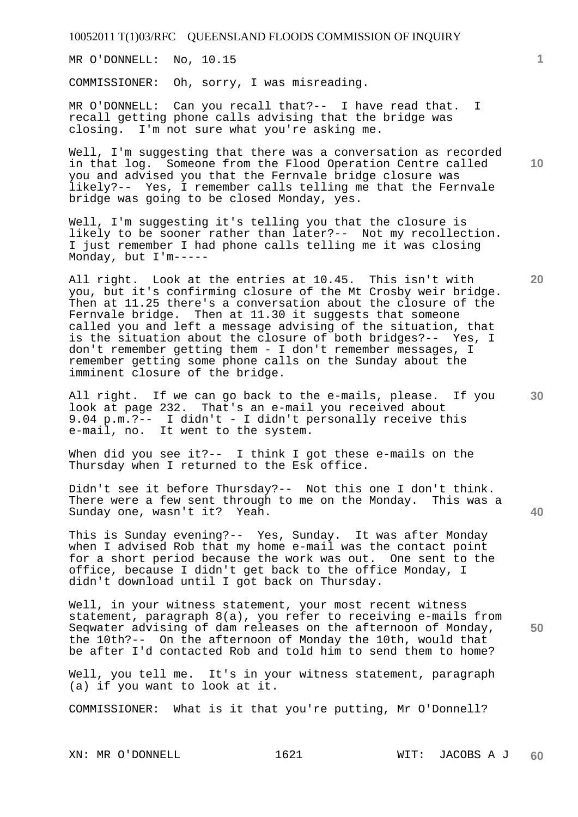MR O'DONNELL: No, 10.15

COMMISSIONER: Oh, sorry, I was misreading.

MR O'DONNELL: Can you recall that?-- I have read that. I recall getting phone calls advising that the bridge was closing. I'm not sure what you're asking me.

Well, I'm suggesting that there was a conversation as recorded in that log. Someone from the Flood Operation Centre called you and advised you that the Fernvale bridge closure was likely?-- Yes, I remember calls telling me that the Fernvale bridge was going to be closed Monday, yes.

Well, I'm suggesting it's telling you that the closure is likely to be sooner rather than later?-- Not my recollection. I just remember I had phone calls telling me it was closing Monday, but I'm-----

All right. Look at the entries at 10.45. This isn't with you, but it's confirming closure of the Mt Crosby weir bridge. Then at 11.25 there's a conversation about the closure of the Fernvale bridge. Then at 11.30 it suggests that someone called you and left a message advising of the situation, that is the situation about the closure of both bridges?-- Yes, I don't remember getting them - I don't remember messages, I remember getting some phone calls on the Sunday about the imminent closure of the bridge.

All right. If we can go back to the e-mails, please. If you look at page 232. That's an e-mail you received about 9.04 p.m.?-- I didn't - I didn't personally receive this e-mail, no. It went to the system.

When did you see it?-- I think I got these e-mails on the Thursday when I returned to the Esk office.

Didn't see it before Thursday?-- Not this one I don't think. There were a few sent through to me on the Monday. This was a Sunday one, wasn't it? Yeah.

This is Sunday evening?-- Yes, Sunday. It was after Monday when I advised Rob that my home e-mail was the contact point for a short period because the work was out. One sent to the office, because I didn't get back to the office Monday, I didn't download until I got back on Thursday.

Well, in your witness statement, your most recent witness statement, paragraph 8(a), you refer to receiving e-mails from Seqwater advising of dam releases on the afternoon of Monday, the 10th?-- On the afternoon of Monday the 10th, would that be after I'd contacted Rob and told him to send them to home?

Well, you tell me. It's in your witness statement, paragraph (a) if you want to look at it.

COMMISSIONER: What is it that you're putting, Mr O'Donnell?

**10** 

**1**

**30** 

**20**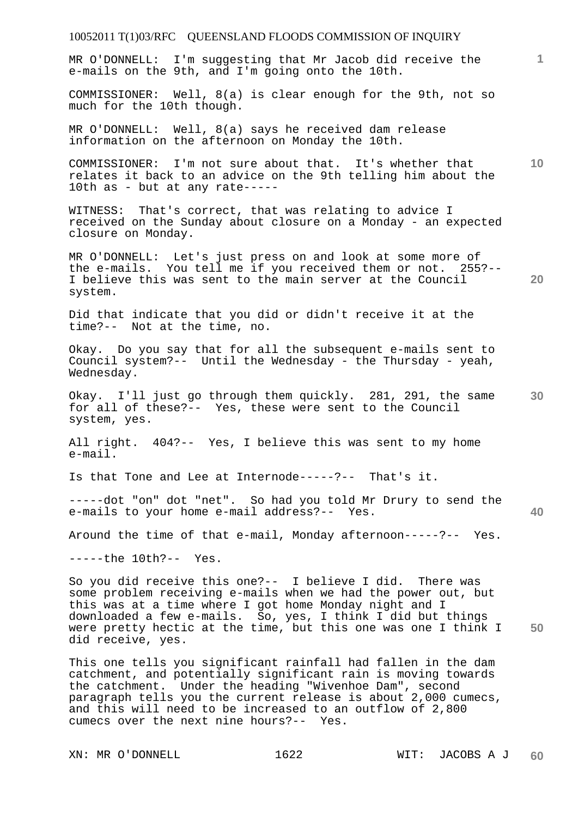## 10052011 T(1)03/RFC QUEENSLAND FLOODS COMMISSION OF INQUIRY **1 10 20 30 40 50**  MR O'DONNELL: I'm suggesting that Mr Jacob did receive the e-mails on the 9th, and I'm going onto the 10th. COMMISSIONER: Well, 8(a) is clear enough for the 9th, not so much for the 10th though. MR O'DONNELL: Well, 8(a) says he received dam release information on the afternoon on Monday the 10th. COMMISSIONER: I'm not sure about that. It's whether that relates it back to an advice on the 9th telling him about the 10th as - but at any rate----- WITNESS: That's correct, that was relating to advice I received on the Sunday about closure on a Monday - an expected closure on Monday. MR O'DONNELL: Let's just press on and look at some more of the e-mails. You tell me if you received them or not. 255?-- I believe this was sent to the main server at the Council system. Did that indicate that you did or didn't receive it at the time?-- Not at the time, no. Okay. Do you say that for all the subsequent e-mails sent to Council system?-- Until the Wednesday - the Thursday - yeah, Wednesday. Okay. I'll just go through them quickly. 281, 291, the same for all of these?-- Yes, these were sent to the Council system, yes. All right. 404?-- Yes, I believe this was sent to my home e-mail. Is that Tone and Lee at Internode-----?-- That's it. -----dot "on" dot "net". So had you told Mr Drury to send the e-mails to your home e-mail address?-- Yes. Around the time of that e-mail, Monday afternoon-----?-- Yes. -----the 10th?-- Yes. So you did receive this one?-- I believe I did. There was some problem receiving e-mails when we had the power out, but this was at a time where I got home Monday night and I downloaded a few e-mails. So, yes, I think I did but things were pretty hectic at the time, but this one was one I think I did receive, yes. This one tells you significant rainfall had fallen in the dam catchment, and potentially significant rain is moving towards the catchment. Under the heading "Wivenhoe Dam", second paragraph tells you the current release is about 2,000 cumecs, and this will need to be increased to an outflow of 2,800 cumecs over the next nine hours?-- Yes.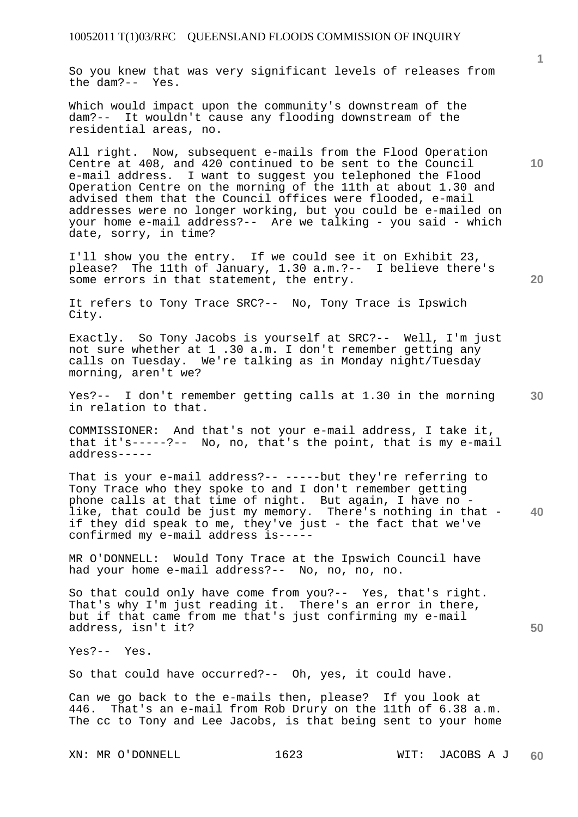So you knew that was very significant levels of releases from the dam?-- Yes.

Which would impact upon the community's downstream of the dam?-- It wouldn't cause any flooding downstream of the residential areas, no.

All right. Now, subsequent e-mails from the Flood Operation Centre at 408, and 420 continued to be sent to the Council e-mail address. I want to suggest you telephoned the Flood Operation Centre on the morning of the 11th at about 1.30 and advised them that the Council offices were flooded, e-mail addresses were no longer working, but you could be e-mailed on your home e-mail address?-- Are we talking - you said - which date, sorry, in time?

I'll show you the entry. If we could see it on Exhibit 23, please? The 11th of January, 1.30 a.m.?-- I believe there's some errors in that statement, the entry.

It refers to Tony Trace SRC?-- No, Tony Trace is Ipswich City.

Exactly. So Tony Jacobs is yourself at SRC?-- Well, I'm just not sure whether at 1 .30 a.m. I don't remember getting any calls on Tuesday. We're talking as in Monday night/Tuesday morning, aren't we?

**30**  Yes?-- I don't remember getting calls at 1.30 in the morning in relation to that.

COMMISSIONER: And that's not your e-mail address, I take it, that it's-----?-- No, no, that's the point, that is my e-mail address-----

**40**  That is your e-mail address?-- -----but they're referring to Tony Trace who they spoke to and I don't remember getting phone calls at that time of night. But again, I have no like, that could be just my memory. There's nothing in that if they did speak to me, they've just - the fact that we've confirmed my e-mail address is-----

MR O'DONNELL: Would Tony Trace at the Ipswich Council have had your home e-mail address?-- No, no, no, no.

So that could only have come from you?-- Yes, that's right. That's why I'm just reading it. There's an error in there, but if that came from me that's just confirming my e-mail address, isn't it?

Yes?-- Yes.

So that could have occurred?-- Oh, yes, it could have.

Can we go back to the e-mails then, please? If you look at 446. That's an e-mail from Rob Drury on the 11th of 6.38 a.m. The cc to Tony and Lee Jacobs, is that being sent to your home

**10** 

**1**

**20**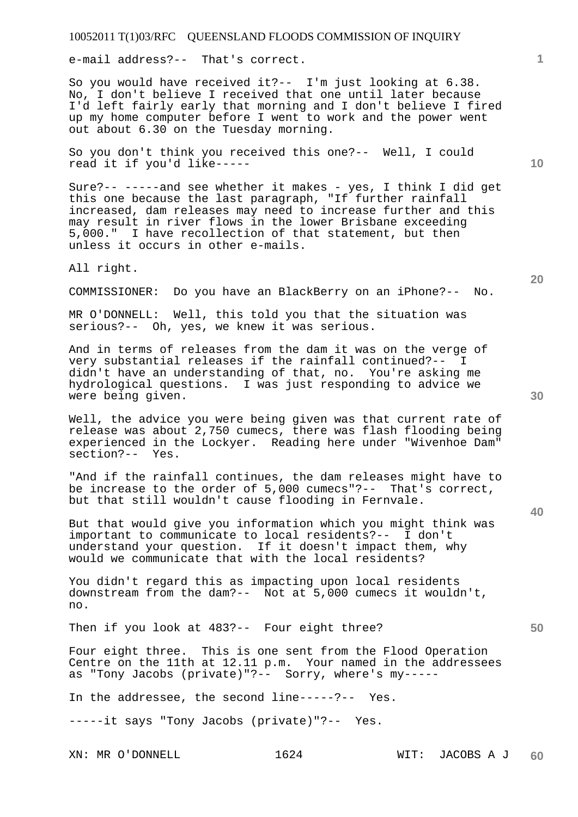e-mail address?-- That's correct.

So you would have received it?-- I'm just looking at 6.38. No, I don't believe I received that one until later because I'd left fairly early that morning and I don't believe I fired up my home computer before I went to work and the power went out about 6.30 on the Tuesday morning.

So you don't think you received this one?-- Well, I could read it if you'd like-----

Sure?-- -----and see whether it makes - yes, I think I did get this one because the last paragraph, "If further rainfall increased, dam releases may need to increase further and this may result in river flows in the lower Brisbane exceeding 5,000." I have recollection of that statement, but then unless it occurs in other e-mails.

All right.

COMMISSIONER: Do you have an BlackBerry on an iPhone?-- No.

MR O'DONNELL: Well, this told you that the situation was serious?-- Oh, yes, we knew it was serious.

And in terms of releases from the dam it was on the verge of very substantial releases if the rainfall continued?-- I didn't have an understanding of that, no. You're asking me hydrological questions. I was just responding to advice we were being given.

Well, the advice you were being given was that current rate of release was about 2,750 cumecs, there was flash flooding being experienced in the Lockyer. Reading here under "Wivenhoe Dam" section?-- Yes.

"And if the rainfall continues, the dam releases might have to be increase to the order of 5,000 cumecs"?-- That's correct, but that still wouldn't cause flooding in Fernvale.

But that would give you information which you might think was important to communicate to local residents?-- I don't understand your question. If it doesn't impact them, why would we communicate that with the local residents?

You didn't regard this as impacting upon local residents downstream from the dam?-- Not at 5,000 cumecs it wouldn't, no.

Then if you look at 483?-- Four eight three?

Four eight three. This is one sent from the Flood Operation Centre on the 11th at 12.11 p.m. Your named in the addressees as "Tony Jacobs (private)"?-- Sorry, where's my-----

In the addressee, the second line-----?-- Yes.

-----it says "Tony Jacobs (private)"?-- Yes.

**10** 

**1**

**30** 

**20**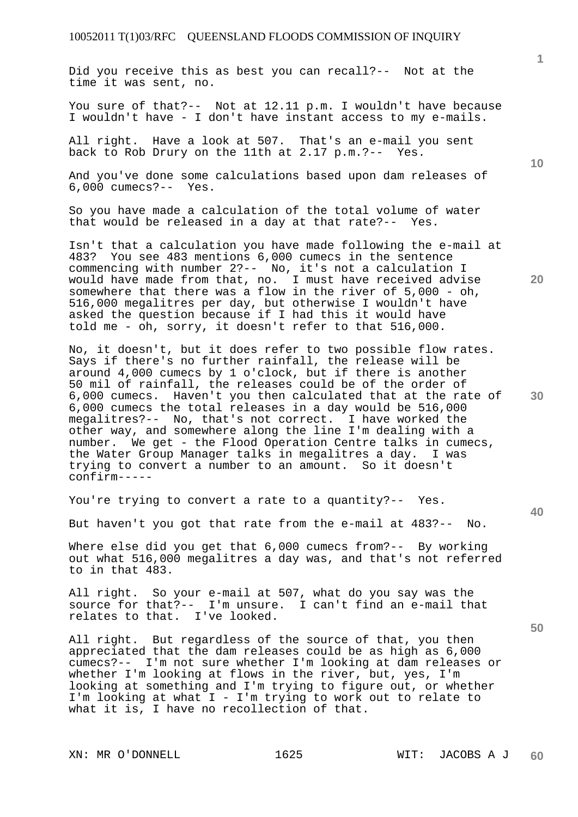Did you receive this as best you can recall?-- Not at the time it was sent, no.

You sure of that?-- Not at 12.11 p.m. I wouldn't have because I wouldn't have - I don't have instant access to my e-mails.

All right. Have a look at 507. That's an e-mail you sent back to Rob Drury on the 11th at 2.17 p.m.?-- Yes.

And you've done some calculations based upon dam releases of 6,000 cumecs?-- Yes.

So you have made a calculation of the total volume of water that would be released in a day at that rate?-- Yes.

Isn't that a calculation you have made following the e-mail at 483? You see 483 mentions 6,000 cumecs in the sentence commencing with number 2?-- No, it's not a calculation I would have made from that, no. I must have received advise somewhere that there was a flow in the river of 5,000 - oh, 516,000 megalitres per day, but otherwise I wouldn't have asked the question because if I had this it would have told me - oh, sorry, it doesn't refer to that 516,000.

No, it doesn't, but it does refer to two possible flow rates. Says if there's no further rainfall, the release will be around 4,000 cumecs by 1 o'clock, but if there is another 50 mil of rainfall, the releases could be of the order of 6,000 cumecs. Haven't you then calculated that at the rate of 6,000 cumecs the total releases in a day would be 516,000 megalitres?-- No, that's not correct. I have worked the other way, and somewhere along the line I'm dealing with a number. We get - the Flood Operation Centre talks in cumecs, the Water Group Manager talks in megalitres a day. I was trying to convert a number to an amount. So it doesn't confirm-----

You're trying to convert a rate to a quantity?-- Yes.

But haven't you got that rate from the e-mail at 483?-- No.

Where else did you get that 6,000 cumecs from?-- By working out what 516,000 megalitres a day was, and that's not referred to in that 483.

All right. So your e-mail at 507, what do you say was the source for that?-- I'm unsure. I can't find an e-mail that relates to that. I've looked.

All right. But regardless of the source of that, you then appreciated that the dam releases could be as high as 6,000 cumecs?-- I'm not sure whether I'm looking at dam releases or whether I'm looking at flows in the river, but, yes, I'm looking at something and I'm trying to figure out, or whether I'm looking at what I - I'm trying to work out to relate to what it is, I have no recollection of that.

XN: MR O'DONNELL 1625 WIT: JACOBS A J

**1**

**10** 

**20** 

**30** 

**40**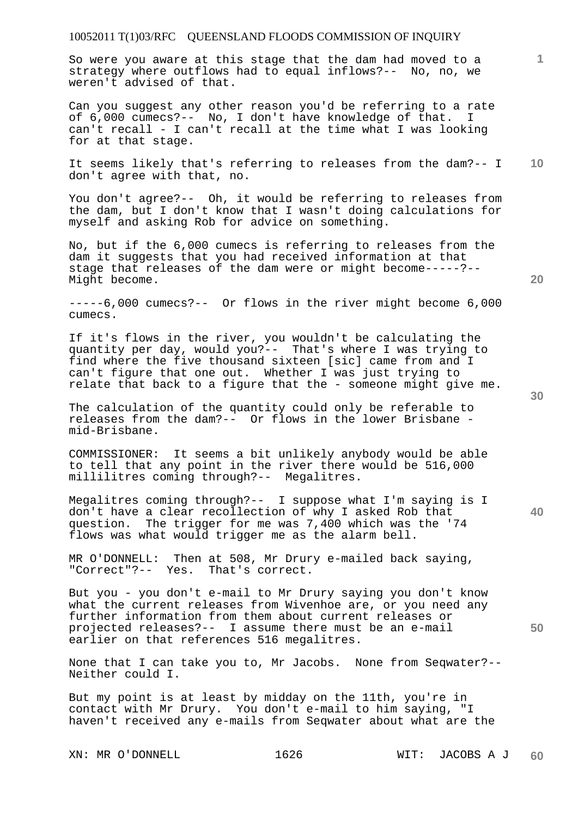So were you aware at this stage that the dam had moved to a strategy where outflows had to equal inflows?-- No, no, we weren't advised of that.

Can you suggest any other reason you'd be referring to a rate of 6,000 cumecs?-- No, I don't have knowledge of that. I can't recall - I can't recall at the time what I was looking for at that stage.

**10**  It seems likely that's referring to releases from the dam?-- I don't agree with that, no.

You don't agree?-- Oh, it would be referring to releases from the dam, but I don't know that I wasn't doing calculations for myself and asking Rob for advice on something.

No, but if the 6,000 cumecs is referring to releases from the dam it suggests that you had received information at that stage that releases of the dam were or might become-----?-- Might become.

-----6,000 cumecs?-- Or flows in the river might become 6,000 cumecs.

If it's flows in the river, you wouldn't be calculating the quantity per day, would you?-- That's where I was trying to find where the five thousand sixteen [sic] came from and I can't figure that one out. Whether I was just trying to relate that back to a figure that the - someone might give me.

The calculation of the quantity could only be referable to releases from the dam?-- Or flows in the lower Brisbane mid-Brisbane.

COMMISSIONER: It seems a bit unlikely anybody would be able to tell that any point in the river there would be 516,000 millilitres coming through?-- Megalitres.

Megalitres coming through?-- I suppose what I'm saying is I don't have a clear recollection of why I asked Rob that question. The trigger for me was 7,400 which was the '74 flows was what would trigger me as the alarm bell.

MR O'DONNELL: Then at 508, Mr Drury e-mailed back saying, "Correct"?-- Yes. That's correct.

But you - you don't e-mail to Mr Drury saying you don't know what the current releases from Wivenhoe are, or you need any further information from them about current releases or projected releases?-- I assume there must be an e-mail earlier on that references 516 megalitres.

None that I can take you to, Mr Jacobs. None from Seqwater?-- Neither could I.

But my point is at least by midday on the 11th, you're in contact with Mr Drury. You don't e-mail to him saying, "I haven't received any e-mails from Seqwater about what are the

**30** 

**20** 

**50**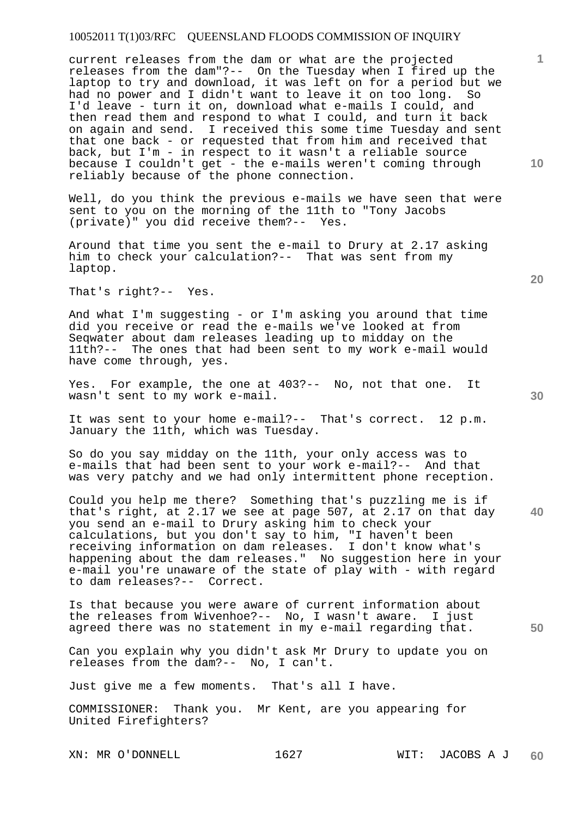current releases from the dam or what are the projected releases from the dam"?-- On the Tuesday when I fired up the laptop to try and download, it was left on for a period but we had no power and I didn't want to leave it on too long. So I'd leave - turn it on, download what e-mails I could, and then read them and respond to what I could, and turn it back on again and send. I received this some time Tuesday and sent that one back - or requested that from him and received that back, but I'm - in respect to it wasn't a reliable source because I couldn't get - the e-mails weren't coming through reliably because of the phone connection.

Well, do you think the previous e-mails we have seen that were sent to you on the morning of the 11th to "Tony Jacobs (private)" you did receive them?-- Yes.

Around that time you sent the e-mail to Drury at 2.17 asking him to check your calculation?-- That was sent from my laptop.

That's right?-- Yes.

And what I'm suggesting - or I'm asking you around that time did you receive or read the e-mails we've looked at from Seqwater about dam releases leading up to midday on the 11th?-- The ones that had been sent to my work e-mail would have come through, yes.

Yes. For example, the one at 403?-- No, not that one. It wasn't sent to my work e-mail.

It was sent to your home e-mail?-- That's correct. 12 p.m. January the 11th, which was Tuesday.

So do you say midday on the 11th, your only access was to e-mails that had been sent to your work e-mail?-- And that was very patchy and we had only intermittent phone reception.

**40**  Could you help me there? Something that's puzzling me is if that's right, at 2.17 we see at page 507, at 2.17 on that day you send an e-mail to Drury asking him to check your calculations, but you don't say to him, "I haven't been receiving information on dam releases. I don't know what's happening about the dam releases." No suggestion here in your e-mail you're unaware of the state of play with - with regard to dam releases?-- Correct.

Is that because you were aware of current information about the releases from Wivenhoe?-- No, I wasn't aware. I just agreed there was no statement in my e-mail regarding that.

Can you explain why you didn't ask Mr Drury to update you on releases from the dam?-- No, I can't.

Just give me a few moments. That's all I have.

COMMISSIONER: Thank you. Mr Kent, are you appearing for United Firefighters?

**10** 

**1**

**20**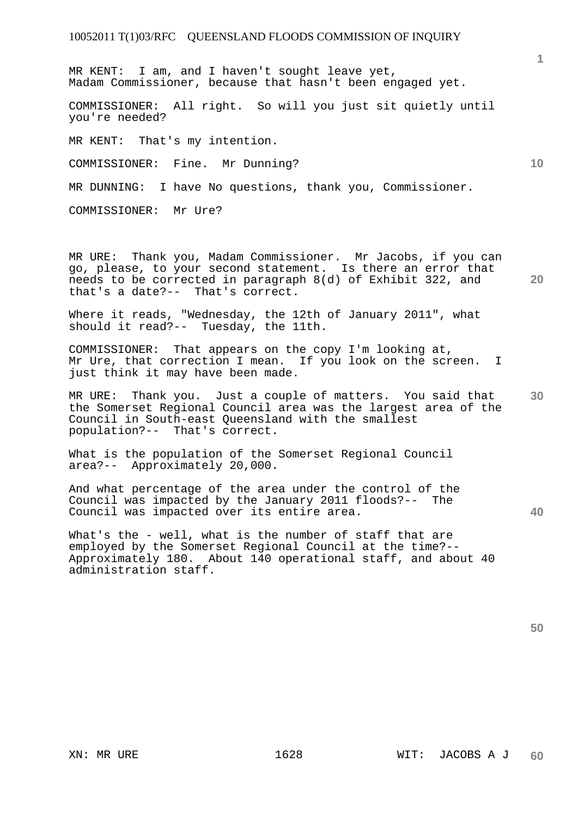MR KENT: I am, and I haven't sought leave yet, Madam Commissioner, because that hasn't been engaged yet.

COMMISSIONER: All right. So will you just sit quietly until you're needed?

MR KENT: That's my intention.

COMMISSIONER: Fine. Mr Dunning?

MR DUNNING: I have No questions, thank you, Commissioner.

COMMISSIONER: Mr Ure?

**20**  MR URE: Thank you, Madam Commissioner. Mr Jacobs, if you can go, please, to your second statement. Is there an error that needs to be corrected in paragraph 8(d) of Exhibit 322, and that's a date?-- That's correct.

Where it reads, "Wednesday, the 12th of January 2011", what should it read?-- Tuesday, the 11th.

COMMISSIONER: That appears on the copy I'm looking at, Mr Ure, that correction I mean. If you look on the screen. I just think it may have been made.

**30**  MR URE: Thank you. Just a couple of matters. You said that the Somerset Regional Council area was the largest area of the Council in South-east Queensland with the smallest population?-- That's correct.

What is the population of the Somerset Regional Council area?-- Approximately 20,000.

And what percentage of the area under the control of the Council was impacted by the January 2011 floods?-- The Council was impacted over its entire area.

What's the - well, what is the number of staff that are employed by the Somerset Regional Council at the time?-- Approximately 180. About 140 operational staff, and about 40 administration staff.

**40** 

**1**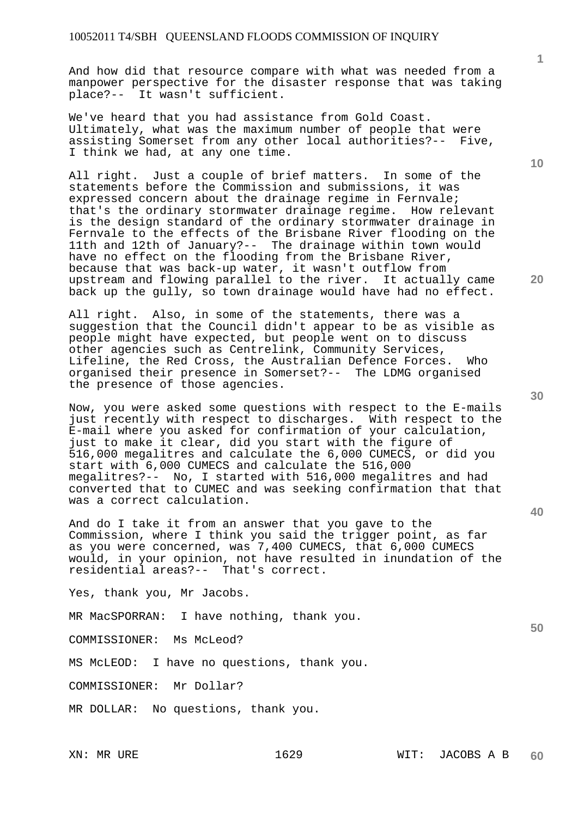And how did that resource compare with what was needed from a manpower perspective for the disaster response that was taking place?-- It wasn't sufficient.

We've heard that you had assistance from Gold Coast. Ultimately, what was the maximum number of people that were assisting Somerset from any other local authorities?-- Five, I think we had, at any one time.

All right. Just a couple of brief matters. In some of the statements before the Commission and submissions, it was expressed concern about the drainage regime in Fernvale; that's the ordinary stormwater drainage regime. How relevant is the design standard of the ordinary stormwater drainage in Fernvale to the effects of the Brisbane River flooding on the 11th and 12th of January?-- The drainage within town would have no effect on the flooding from the Brisbane River, because that was back-up water, it wasn't outflow from upstream and flowing parallel to the river. It actually came back up the gully, so town drainage would have had no effect.

All right. Also, in some of the statements, there was a suggestion that the Council didn't appear to be as visible as people might have expected, but people went on to discuss other agencies such as Centrelink, Community Services, Lifeline, the Red Cross, the Australian Defence Forces. Who organised their presence in Somerset?-- The LDMG organised the presence of those agencies.

Now, you were asked some questions with respect to the E-mails just recently with respect to discharges. With respect to the E-mail where you asked for confirmation of your calculation, just to make it clear, did you start with the figure of 516,000 megalitres and calculate the 6,000 CUMECS, or did you start with 6,000 CUMECS and calculate the 516,000 megalitres?-- No, I started with 516,000 megalitres and had converted that to CUMEC and was seeking confirmation that that was a correct calculation.

And do I take it from an answer that you gave to the Commission, where I think you said the trigger point, as far as you were concerned, was 7,400 CUMECS, that 6,000 CUMECS would, in your opinion, not have resulted in inundation of the residential areas?-- That's correct.

Yes, thank you, Mr Jacobs.

MR MacSPORRAN: I have nothing, thank you.

COMMISSIONER: Ms McLeod?

MS McLEOD: I have no questions, thank you.

COMMISSIONER: Mr Dollar?

MR DOLLAR: No questions, thank you.

**10** 

**20** 

**30** 

**40**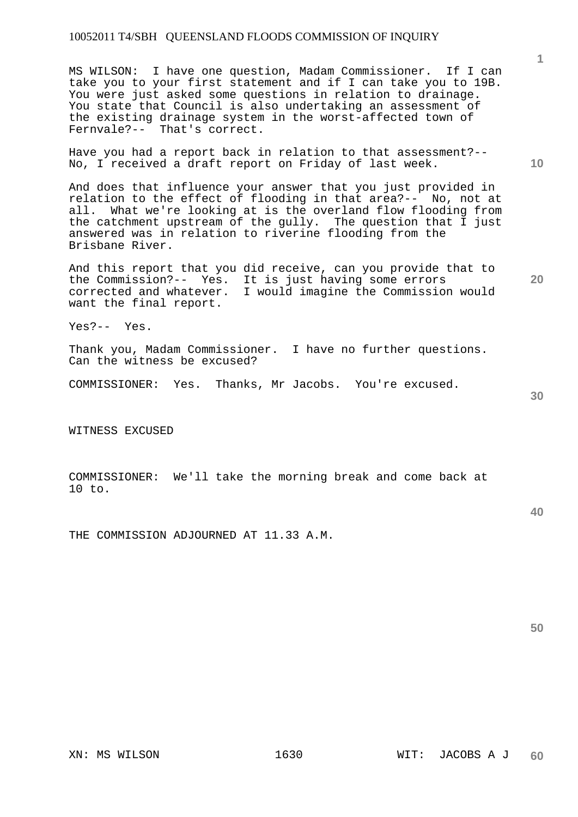MS WILSON: I have one question, Madam Commissioner. If I can take you to your first statement and if I can take you to 19B. You were just asked some questions in relation to drainage. You state that Council is also undertaking an assessment of the existing drainage system in the worst-affected town of Fernvale?-- That's correct.

Have you had a report back in relation to that assessment?-- No, I received a draft report on Friday of last week.

And does that influence your answer that you just provided in relation to the effect of flooding in that area?-- No, not at all. What we're looking at is the overland flow flooding from the catchment upstream of the gully. The question that I just answered was in relation to riverine flooding from the Brisbane River.

And this report that you did receive, can you provide that to the Commission?-- Yes. It is just having some errors corrected and whatever. I would imagine the Commission would want the final report.

Yes?-- Yes.

Thank you, Madam Commissioner. I have no further questions. Can the witness be excused?

COMMISSIONER: Yes. Thanks, Mr Jacobs. You're excused.

WITNESS EXCUSED

COMMISSIONER: We'll take the morning break and come back at 10 to.

THE COMMISSION ADJOURNED AT 11.33 A.M.

**10** 

**1**

**20** 

**30**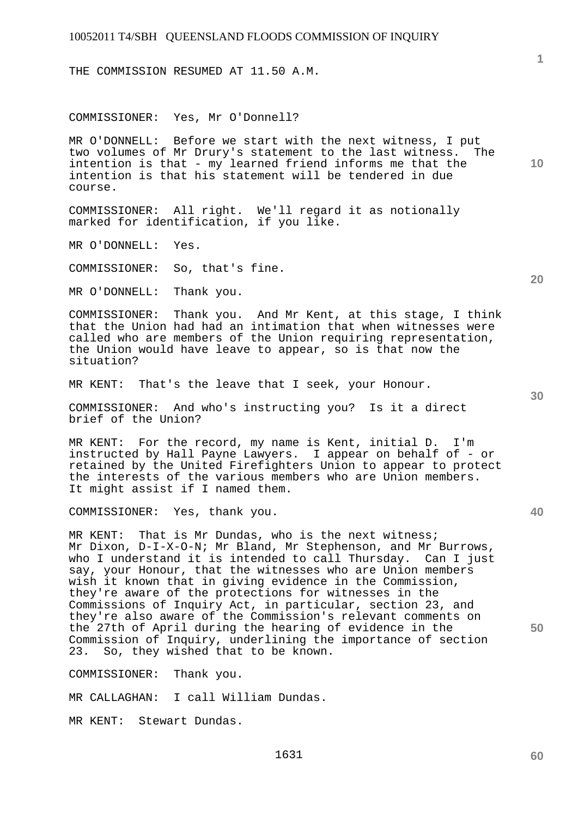THE COMMISSION RESUMED AT 11.50 A.M.

COMMISSIONER: Yes, Mr O'Donnell?

MR O'DONNELL: Before we start with the next witness, I put two volumes of Mr Drury's statement to the last witness. The intention is that - my learned friend informs me that the intention is that his statement will be tendered in due course.

COMMISSIONER: All right. We'll regard it as notionally marked for identification, if you like.

MR O'DONNELL: Yes.

COMMISSIONER: So, that's fine.

MR O'DONNELL: Thank you.

COMMISSIONER: Thank you. And Mr Kent, at this stage, I think that the Union had had an intimation that when witnesses were called who are members of the Union requiring representation, the Union would have leave to appear, so is that now the situation?

MR KENT: That's the leave that I seek, your Honour.

COMMISSIONER: And who's instructing you? Is it a direct brief of the Union?

MR KENT: For the record, my name is Kent, initial D. I'm instructed by Hall Payne Lawyers. I appear on behalf of - or retained by the United Firefighters Union to appear to protect the interests of the various members who are Union members. It might assist if I named them.

COMMISSIONER: Yes, thank you.

MR KENT: That is Mr Dundas, who is the next witness; Mr Dixon, D-I-X-O-N; Mr Bland, Mr Stephenson, and Mr Burrows, who I understand it is intended to call Thursday. Can I just say, your Honour, that the witnesses who are Union members wish it known that in giving evidence in the Commission, they're aware of the protections for witnesses in the Commissions of Inquiry Act, in particular, section 23, and they're also aware of the Commission's relevant comments on the 27th of April during the hearing of evidence in the Commission of Inquiry, underlining the importance of section<br>23. So, they wished that to be known. So, they wished that to be known.

COMMISSIONER: Thank you.

MR CALLAGHAN: I call William Dundas.

MR KENT: Stewart Dundas.

**10** 

**1**

**20** 

**40**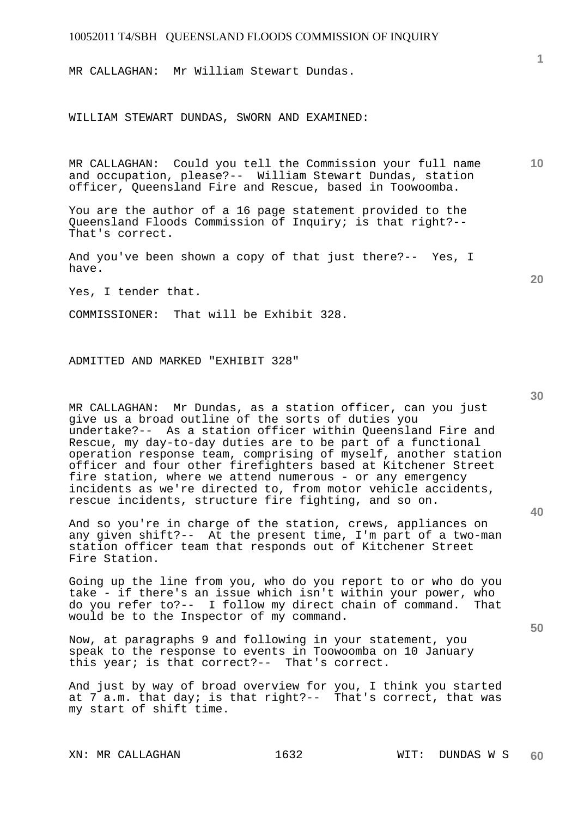MR CALLAGHAN: Mr William Stewart Dundas.

WILLIAM STEWART DUNDAS, SWORN AND EXAMINED:

MR CALLAGHAN: Could you tell the Commission your full name and occupation, please?-- William Stewart Dundas, station officer, Queensland Fire and Rescue, based in Toowoomba.

You are the author of a 16 page statement provided to the Queensland Floods Commission of Inquiry; is that right?-- That's correct.

And you've been shown a copy of that just there?-- Yes, I have.

Yes, I tender that.

COMMISSIONER: That will be Exhibit 328.

ADMITTED AND MARKED "EXHIBIT 328"

MR CALLAGHAN: Mr Dundas, as a station officer, can you just give us a broad outline of the sorts of duties you undertake?-- As a station officer within Queensland Fire and Rescue, my day-to-day duties are to be part of a functional operation response team, comprising of myself, another station officer and four other firefighters based at Kitchener Street fire station, where we attend numerous - or any emergency incidents as we're directed to, from motor vehicle accidents, rescue incidents, structure fire fighting, and so on.

And so you're in charge of the station, crews, appliances on any given shift?-- At the present time, I'm part of a two-man station officer team that responds out of Kitchener Street Fire Station.

Going up the line from you, who do you report to or who do you take - if there's an issue which isn't within your power, who do you refer to?-- I follow my direct chain of command. That would be to the Inspector of my command.

Now, at paragraphs 9 and following in your statement, you speak to the response to events in Toowoomba on 10 January this year; is that correct?-- That's correct.

And just by way of broad overview for you, I think you started at 7 a.m. that day; is that right?-- That's correct, that was my start of shift time.

XN: MR CALLAGHAN 1632 WIT: DUNDAS W S

**30** 

**40** 

**50** 

**10** 

**1**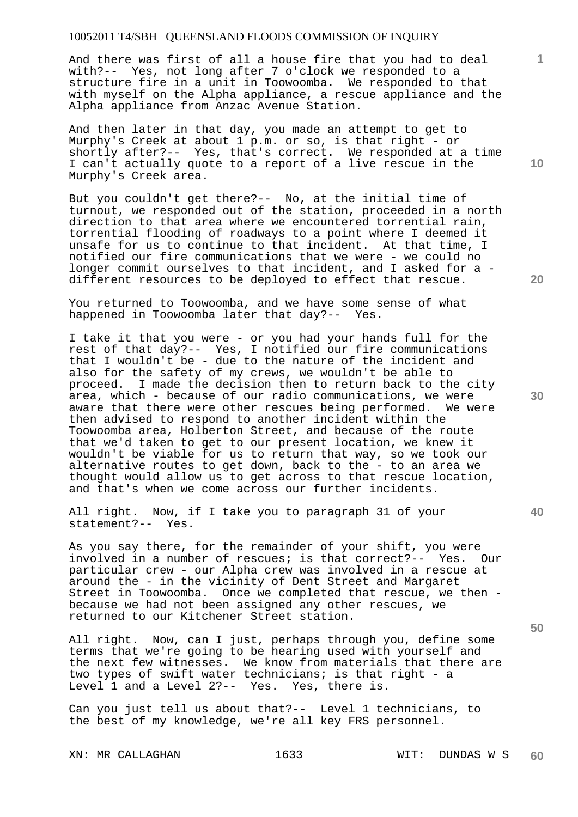And there was first of all a house fire that you had to deal with?-- Yes, not long after 7 o'clock we responded to a structure fire in a unit in Toowoomba. We responded to that with myself on the Alpha appliance, a rescue appliance and the Alpha appliance from Anzac Avenue Station.

And then later in that day, you made an attempt to get to Murphy's Creek at about 1 p.m. or so, is that right - or shortly after?-- Yes, that's correct. We responded at a time I can't actually quote to a report of a live rescue in the Murphy's Creek area.

But you couldn't get there?-- No, at the initial time of turnout, we responded out of the station, proceeded in a north direction to that area where we encountered torrential rain, torrential flooding of roadways to a point where I deemed it unsafe for us to continue to that incident. At that time, I notified our fire communications that we were - we could no longer commit ourselves to that incident, and I asked for a different resources to be deployed to effect that rescue.

You returned to Toowoomba, and we have some sense of what happened in Toowoomba later that day?-- Yes.

I take it that you were - or you had your hands full for the rest of that day?-- Yes, I notified our fire communications that I wouldn't be - due to the nature of the incident and also for the safety of my crews, we wouldn't be able to proceed. I made the decision then to return back to the city area, which - because of our radio communications, we were aware that there were other rescues being performed. We were then advised to respond to another incident within the Toowoomba area, Holberton Street, and because of the route that we'd taken to get to our present location, we knew it wouldn't be viable for us to return that way, so we took our alternative routes to get down, back to the - to an area we thought would allow us to get across to that rescue location, and that's when we come across our further incidents.

All right. Now, if I take you to paragraph 31 of your statement?-- Yes.

As you say there, for the remainder of your shift, you were involved in a number of rescues; is that correct?-- Yes. Our particular crew - our Alpha crew was involved in a rescue at around the - in the vicinity of Dent Street and Margaret Street in Toowoomba. Once we completed that rescue, we then because we had not been assigned any other rescues, we returned to our Kitchener Street station.

All right. Now, can I just, perhaps through you, define some terms that we're going to be hearing used with yourself and the next few witnesses. We know from materials that there are two types of swift water technicians; is that right - a Level 1 and a Level 2?-- Yes. Yes, there is.

Can you just tell us about that?-- Level 1 technicians, to the best of my knowledge, we're all key FRS personnel.

XN: MR CALLAGHAN 1633 WIT: DUNDAS W S

**10** 

**1**

**20** 

**30** 

**40**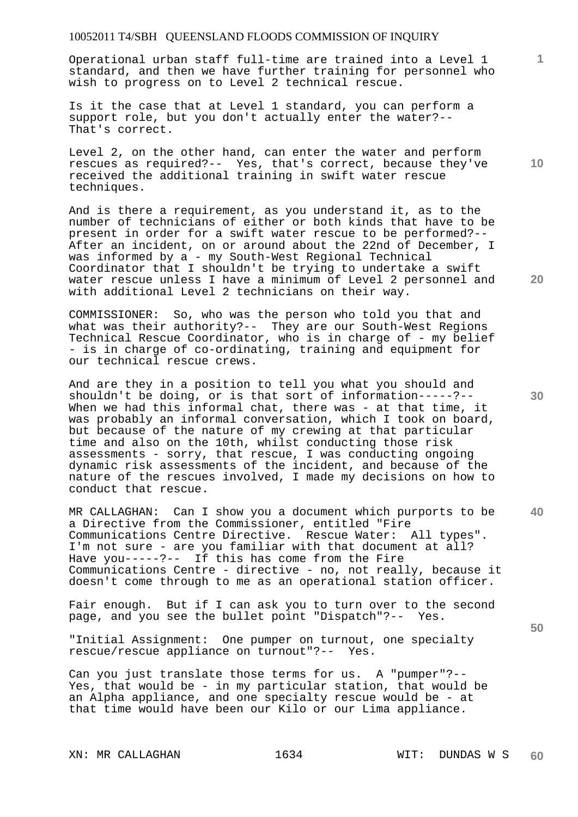Operational urban staff full-time are trained into a Level 1 standard, and then we have further training for personnel who wish to progress on to Level 2 technical rescue.

Is it the case that at Level 1 standard, you can perform a support role, but you don't actually enter the water?-- That's correct.

Level 2, on the other hand, can enter the water and perform rescues as required?-- Yes, that's correct, because they've received the additional training in swift water rescue techniques.

And is there a requirement, as you understand it, as to the number of technicians of either or both kinds that have to be present in order for a swift water rescue to be performed?-- After an incident, on or around about the 22nd of December, I was informed by a - my South-West Regional Technical Coordinator that I shouldn't be trying to undertake a swift water rescue unless I have a minimum of Level 2 personnel and with additional Level 2 technicians on their way.

COMMISSIONER: So, who was the person who told you that and what was their authority?-- They are our South-West Regions Technical Rescue Coordinator, who is in charge of - my belief - is in charge of co-ordinating, training and equipment for our technical rescue crews.

And are they in a position to tell you what you should and shouldn't be doing, or is that sort of information-----?-- When we had this informal chat, there was - at that time, it was probably an informal conversation, which I took on board, but because of the nature of my crewing at that particular time and also on the 10th, whilst conducting those risk assessments - sorry, that rescue, I was conducting ongoing dynamic risk assessments of the incident, and because of the nature of the rescues involved, I made my decisions on how to conduct that rescue.

MR CALLAGHAN: Can I show you a document which purports to be a Directive from the Commissioner, entitled "Fire Communications Centre Directive. Rescue Water: All types". I'm not sure - are you familiar with that document at all? Have you-----?-- If this has come from the Fire Communications Centre - directive - no, not really, because it doesn't come through to me as an operational station officer.

Fair enough. But if I can ask you to turn over to the second page, and you see the bullet point "Dispatch"?-- Yes.

"Initial Assignment: One pumper on turnout, one specialty rescue/rescue appliance on turnout"?-- Yes.

Can you just translate those terms for us. A "pumper"?-- Yes, that would be - in my particular station, that would be an Alpha appliance, and one specialty rescue would be - at that time would have been our Kilo or our Lima appliance.

**10** 

**1**

**20** 

**40**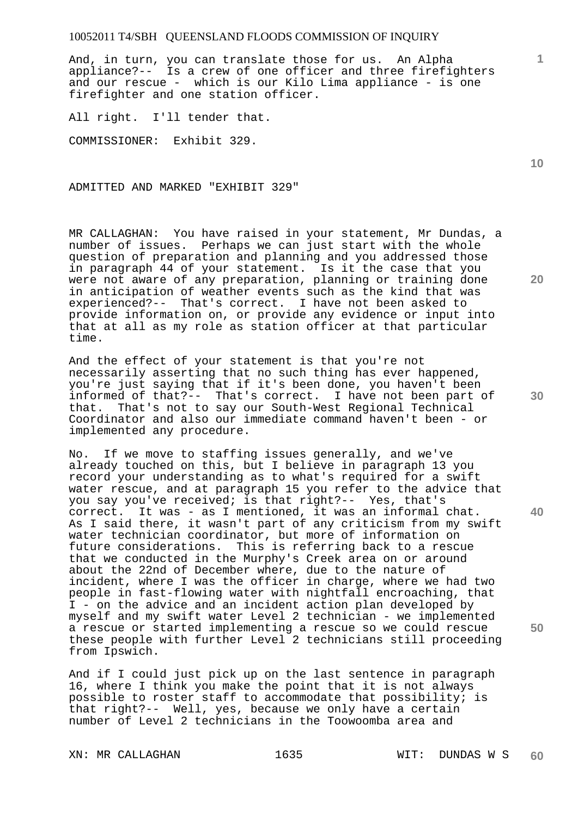And, in turn, you can translate those for us. An Alpha appliance?-- Is a crew of one officer and three firefighters and our rescue - which is our Kilo Lima appliance - is one firefighter and one station officer.

All right. I'll tender that.

COMMISSIONER: Exhibit 329.

ADMITTED AND MARKED "EXHIBIT 329"

MR CALLAGHAN: You have raised in your statement, Mr Dundas, a number of issues. Perhaps we can just start with the whole question of preparation and planning and you addressed those in paragraph 44 of your statement. Is it the case that you were not aware of any preparation, planning or training done in anticipation of weather events such as the kind that was experienced?-- That's correct. I have not been asked to provide information on, or provide any evidence or input into that at all as my role as station officer at that particular time.

And the effect of your statement is that you're not necessarily asserting that no such thing has ever happened, you're just saying that if it's been done, you haven't been informed of that?-- That's correct. I have not been part of that. That's not to say our South-West Regional Technical Coordinator and also our immediate command haven't been - or implemented any procedure.

No. If we move to staffing issues generally, and we've already touched on this, but I believe in paragraph 13 you record your understanding as to what's required for a swift water rescue, and at paragraph 15 you refer to the advice that you say you've received; is that right?-- Yes, that's correct. It was - as I mentioned, it was an informal chat. As I said there, it wasn't part of any criticism from my swift water technician coordinator, but more of information on future considerations. This is referring back to a rescue that we conducted in the Murphy's Creek area on or around about the 22nd of December where, due to the nature of incident, where I was the officer in charge, where we had two people in fast-flowing water with nightfall encroaching, that I - on the advice and an incident action plan developed by myself and my swift water Level 2 technician - we implemented a rescue or started implementing a rescue so we could rescue these people with further Level 2 technicians still proceeding from Ipswich.

And if I could just pick up on the last sentence in paragraph 16, where I think you make the point that it is not always possible to roster staff to accommodate that possibility; is that right?-- Well, yes, because we only have a certain number of Level 2 technicians in the Toowoomba area and

XN: MR CALLAGHAN 1635 WIT: DUNDAS W S

**10** 

**1**

**20** 

**30** 

**50**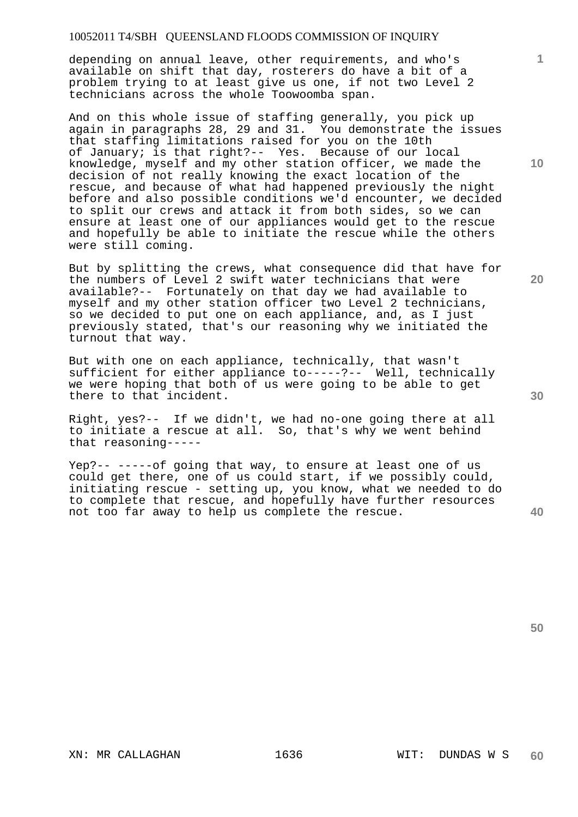depending on annual leave, other requirements, and who's available on shift that day, rosterers do have a bit of a problem trying to at least give us one, if not two Level 2 technicians across the whole Toowoomba span.

And on this whole issue of staffing generally, you pick up again in paragraphs 28, 29 and 31. You demonstrate the issues that staffing limitations raised for you on the 10th of January; is that right?-- Yes. Because of our local knowledge, myself and my other station officer, we made the decision of not really knowing the exact location of the rescue, and because of what had happened previously the night before and also possible conditions we'd encounter, we decided to split our crews and attack it from both sides, so we can ensure at least one of our appliances would get to the rescue and hopefully be able to initiate the rescue while the others were still coming.

But by splitting the crews, what consequence did that have for the numbers of Level 2 swift water technicians that were available?-- Fortunately on that day we had available to myself and my other station officer two Level 2 technicians, so we decided to put one on each appliance, and, as I just previously stated, that's our reasoning why we initiated the turnout that way.

But with one on each appliance, technically, that wasn't sufficient for either appliance to-----?-- Well, technically we were hoping that both of us were going to be able to get there to that incident.

Right, yes?-- If we didn't, we had no-one going there at all to initiate a rescue at all. So, that's why we went behind that reasoning-----

Yep?-- -----of going that way, to ensure at least one of us could get there, one of us could start, if we possibly could, initiating rescue - setting up, you know, what we needed to do to complete that rescue, and hopefully have further resources not too far away to help us complete the rescue.

**20** 

**1**

**10** 

**50**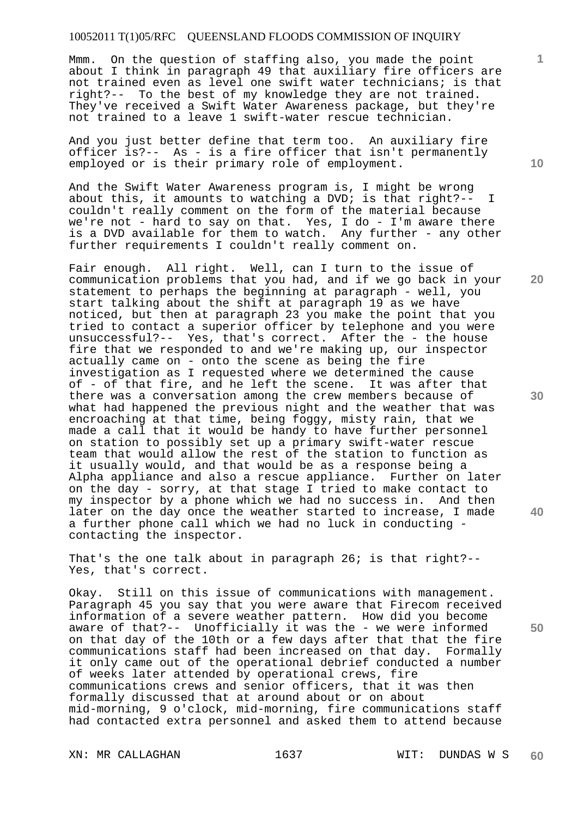Mmm. On the question of staffing also, you made the point about I think in paragraph 49 that auxiliary fire officers are not trained even as level one swift water technicians; is that right?-- To the best of my knowledge they are not trained. They've received a Swift Water Awareness package, but they're not trained to a leave 1 swift-water rescue technician.

And you just better define that term too. An auxiliary fire officer is?-- As - is a fire officer that isn't permanently employed or is their primary role of employment.

And the Swift Water Awareness program is, I might be wrong about this, it amounts to watching a DVD; is that right?-- I couldn't really comment on the form of the material because we're not - hard to say on that. Yes, I do - I'm aware there is a DVD available for them to watch. Any further - any other further requirements I couldn't really comment on.

Fair enough. All right. Well, can I turn to the issue of communication problems that you had, and if we go back in your statement to perhaps the beginning at paragraph - well, you start talking about the shift at paragraph 19 as we have noticed, but then at paragraph 23 you make the point that you tried to contact a superior officer by telephone and you were unsuccessful?-- Yes, that's correct. After the - the house fire that we responded to and we're making up, our inspector actually came on - onto the scene as being the fire investigation as I requested where we determined the cause of - of that fire, and he left the scene. It was after that there was a conversation among the crew members because of what had happened the previous night and the weather that was encroaching at that time, being foggy, misty rain, that we made a call that it would be handy to have further personnel on station to possibly set up a primary swift-water rescue team that would allow the rest of the station to function as it usually would, and that would be as a response being a Alpha appliance and also a rescue appliance. Further on later on the day - sorry, at that stage I tried to make contact to my inspector by a phone which we had no success in. And then later on the day once the weather started to increase, I made a further phone call which we had no luck in conducting contacting the inspector.

That's the one talk about in paragraph 26; is that right?-- Yes, that's correct.

Okay. Still on this issue of communications with management. Paragraph 45 you say that you were aware that Firecom received information of a severe weather pattern. How did you become aware of that?-- Unofficially it was the - we were informed on that day of the 10th or a few days after that that the fire communications staff had been increased on that day. Formally it only came out of the operational debrief conducted a number of weeks later attended by operational crews, fire communications crews and senior officers, that it was then formally discussed that at around about or on about mid-morning, 9 o'clock, mid-morning, fire communications staff had contacted extra personnel and asked them to attend because

XN: MR CALLAGHAN 1637 WIT: DUNDAS W S

**10** 

**1**

**20** 

**30** 

**40**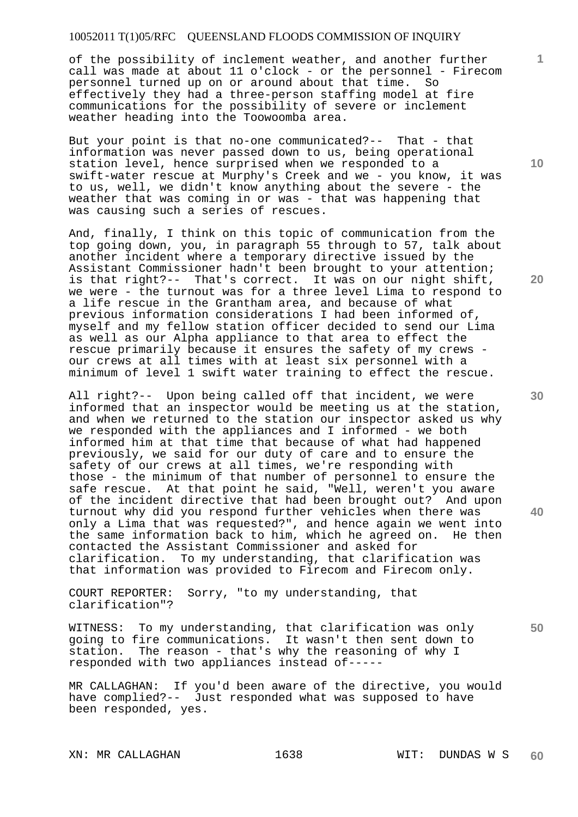of the possibility of inclement weather, and another further call was made at about 11 o'clock - or the personnel - Firecom personnel turned up on or around about that time. So effectively they had a three-person staffing model at fire communications for the possibility of severe or inclement weather heading into the Toowoomba area.

But your point is that no-one communicated?-- That - that information was never passed down to us, being operational station level, hence surprised when we responded to a swift-water rescue at Murphy's Creek and we - you know, it was to us, well, we didn't know anything about the severe - the weather that was coming in or was - that was happening that was causing such a series of rescues.

And, finally, I think on this topic of communication from the top going down, you, in paragraph 55 through to 57, talk about another incident where a temporary directive issued by the Assistant Commissioner hadn't been brought to your attention; is that right?-- That's correct. It was on our night shift, we were - the turnout was for a three level Lima to respond to a life rescue in the Grantham area, and because of what previous information considerations I had been informed of, myself and my fellow station officer decided to send our Lima as well as our Alpha appliance to that area to effect the rescue primarily because it ensures the safety of my crews our crews at all times with at least six personnel with a minimum of level 1 swift water training to effect the rescue.

All right?-- Upon being called off that incident, we were informed that an inspector would be meeting us at the station, and when we returned to the station our inspector asked us why we responded with the appliances and I informed - we both informed him at that time that because of what had happened previously, we said for our duty of care and to ensure the safety of our crews at all times, we're responding with those - the minimum of that number of personnel to ensure the safe rescue. At that point he said, "Well, weren't you aware of the incident directive that had been brought out? And upon turnout why did you respond further vehicles when there was only a Lima that was requested?", and hence again we went into the same information back to him, which he agreed on. He then contacted the Assistant Commissioner and asked for clarification. To my understanding, that clarification was that information was provided to Firecom and Firecom only.

COURT REPORTER: Sorry, "to my understanding, that clarification"?

WITNESS: To my understanding, that clarification was only going to fire communications. It wasn't then sent down to station. The reason - that's why the reasoning of why I responded with two appliances instead of-----

MR CALLAGHAN: If you'd been aware of the directive, you would have complied?-- Just responded what was supposed to have been responded, yes.

XN: MR CALLAGHAN 1638 WIT: DUNDAS W S

**10** 

**1**

**30** 

**20** 

**40**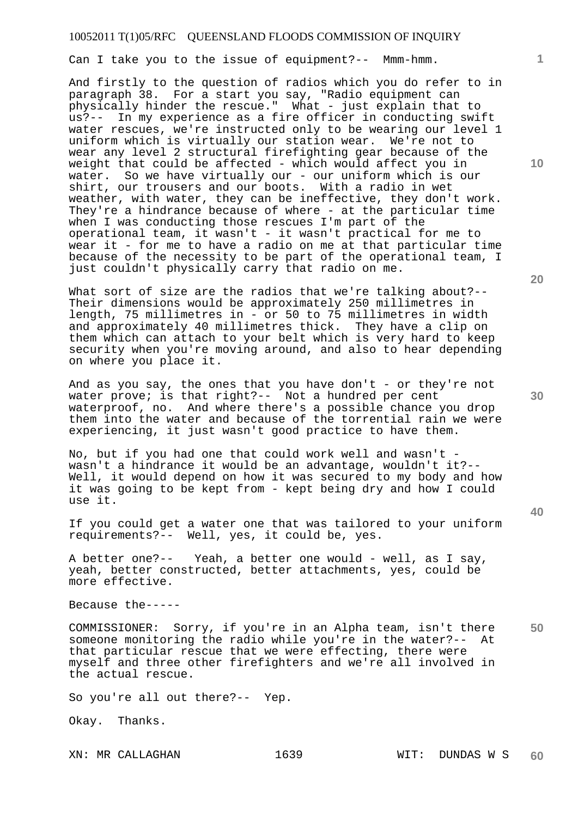Can I take you to the issue of equipment?-- Mmm-hmm.

And firstly to the question of radios which you do refer to in paragraph 38. For a start you say, "Radio equipment can physically hinder the rescue." What - just explain that to us?-- In my experience as a fire officer in conducting swift water rescues, we're instructed only to be wearing our level 1 uniform which is virtually our station wear. We're not to wear any level 2 structural firefighting gear because of the weight that could be affected - which would affect you in water. So we have virtually our - our uniform which is our shirt, our trousers and our boots. With a radio in wet weather, with water, they can be ineffective, they don't work. They're a hindrance because of where - at the particular time when I was conducting those rescues I'm part of the operational team, it wasn't - it wasn't practical for me to wear it - for me to have a radio on me at that particular time because of the necessity to be part of the operational team, I just couldn't physically carry that radio on me.

What sort of size are the radios that we're talking about?--Their dimensions would be approximately 250 millimetres in length, 75 millimetres in  $-\overline{or}$  50 to 75 millimetres in width and approximately 40 millimetres thick. They have a clip on them which can attach to your belt which is very hard to keep security when you're moving around, and also to hear depending on where you place it.

And as you say, the ones that you have don't - or they're not water prove; is that right?-- Not a hundred per cent waterproof, no. And where there's a possible chance you drop them into the water and because of the torrential rain we were experiencing, it just wasn't good practice to have them.

No, but if you had one that could work well and wasn't wasn't a hindrance it would be an advantage, wouldn't it?-- Well, it would depend on how it was secured to my body and how it was going to be kept from - kept being dry and how I could use it.

If you could get a water one that was tailored to your uniform requirements?-- Well, yes, it could be, yes.

A better one?-- Yeah, a better one would - well, as I say, yeah, better constructed, better attachments, yes, could be more effective.

Because the-----

**50**  COMMISSIONER: Sorry, if you're in an Alpha team, isn't there someone monitoring the radio while you're in the water?-- At that particular rescue that we were effecting, there were myself and three other firefighters and we're all involved in the actual rescue.

So you're all out there?-- Yep.

Okay. Thanks.

**10** 

**1**

**20** 

**30**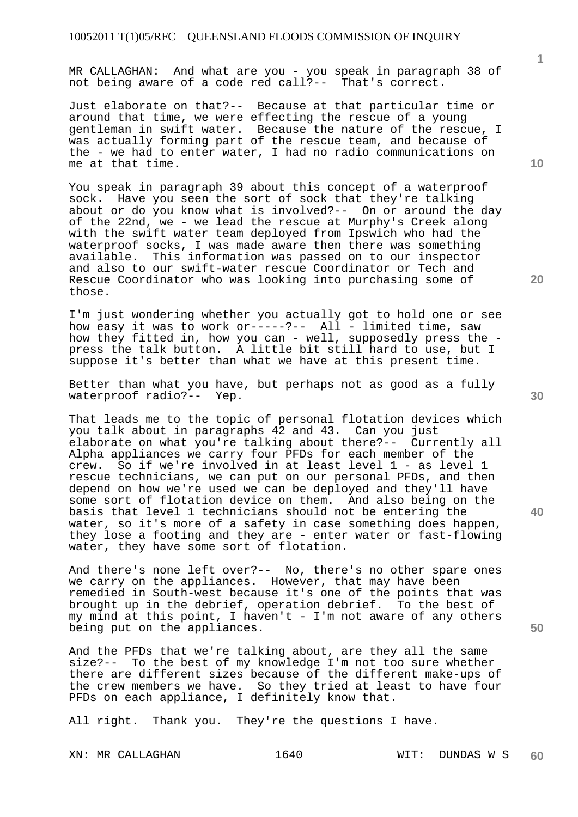MR CALLAGHAN: And what are you - you speak in paragraph 38 of not being aware of a code red call?-- That's correct.

Just elaborate on that?-- Because at that particular time or around that time, we were effecting the rescue of a young gentleman in swift water. Because the nature of the rescue, I was actually forming part of the rescue team, and because of the - we had to enter water, I had no radio communications on me at that time.

You speak in paragraph 39 about this concept of a waterproof sock. Have you seen the sort of sock that they're talking about or do you know what is involved?-- On or around the day of the 22nd, we - we lead the rescue at Murphy's Creek along with the swift water team deployed from Ipswich who had the waterproof socks, I was made aware then there was something available. This information was passed on to our inspector and also to our swift-water rescue Coordinator or Tech and Rescue Coordinator who was looking into purchasing some of those.

I'm just wondering whether you actually got to hold one or see how easy it was to work or-----?-- All - limited time, saw how they fitted in, how you can - well, supposedly press the press the talk button. A little bit still hard to use, but I suppose it's better than what we have at this present time.

Better than what you have, but perhaps not as good as a fully waterproof radio?-- Yep.

That leads me to the topic of personal flotation devices which you talk about in paragraphs 42 and 43. Can you just elaborate on what you're talking about there?-- Currently all Alpha appliances we carry four PFDs for each member of the crew. So if we're involved in at least level 1 - as level 1 rescue technicians, we can put on our personal PFDs, and then depend on how we're used we can be deployed and they'll have some sort of flotation device on them. And also being on the basis that level 1 technicians should not be entering the water, so it's more of a safety in case something does happen, they lose a footing and they are - enter water or fast-flowing water, they have some sort of flotation.

And there's none left over?-- No, there's no other spare ones we carry on the appliances. However, that may have been remedied in South-west because it's one of the points that was brought up in the debrief, operation debrief. To the best of my mind at this point, I haven't - I'm not aware of any others being put on the appliances.

And the PFDs that we're talking about, are they all the same size?-- To the best of my knowledge I'm not too sure whether To the best of my knowledge I'm not too sure whether there are different sizes because of the different make-ups of the crew members we have. So they tried at least to have four PFDs on each appliance, I definitely know that.

All right. Thank you. They're the questions I have.

XN: MR CALLAGHAN 1640 WIT: DUNDAS W S

**1**

**30** 

**20** 

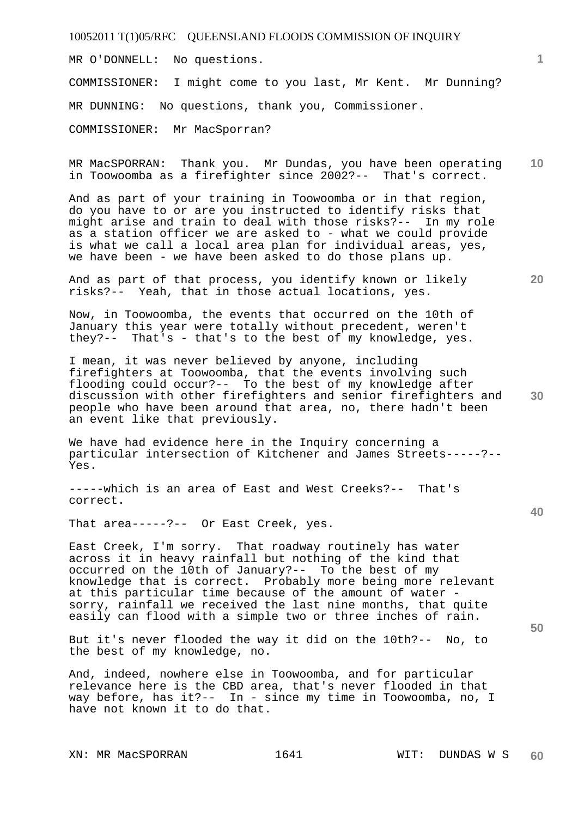MR O'DONNELL: No questions.

COMMISSIONER: I might come to you last, Mr Kent. Mr Dunning?

MR DUNNING: No questions, thank you, Commissioner.

COMMISSIONER: Mr MacSporran?

**10**  MR MacSPORRAN: Thank you. Mr Dundas, you have been operating in Toowoomba as a firefighter since 2002?-- That's correct.

And as part of your training in Toowoomba or in that region, do you have to or are you instructed to identify risks that might arise and train to deal with those risks?-- In my role as a station officer we are asked to - what we could provide is what we call a local area plan for individual areas, yes, we have been - we have been asked to do those plans up.

And as part of that process, you identify known or likely risks?-- Yeah, that in those actual locations, yes.

Now, in Toowoomba, the events that occurred on the 10th of January this year were totally without precedent, weren't they?-- That's - that's to the best of my knowledge, yes.

**30**  I mean, it was never believed by anyone, including firefighters at Toowoomba, that the events involving such flooding could occur?-- To the best of my knowledge after discussion with other firefighters and senior firefighters and people who have been around that area, no, there hadn't been an event like that previously.

We have had evidence here in the Inquiry concerning a particular intersection of Kitchener and James Streets-----?-- Yes.

-----which is an area of East and West Creeks?-- That's correct.

That area-----?-- Or East Creek, yes.

East Creek, I'm sorry. That roadway routinely has water across it in heavy rainfall but nothing of the kind that occurred on the 10th of January?-- To the best of my knowledge that is correct. Probably more being more relevant at this particular time because of the amount of water sorry, rainfall we received the last nine months, that quite easily can flood with a simple two or three inches of rain.

But it's never flooded the way it did on the 10th?-- No, to the best of my knowledge, no.

And, indeed, nowhere else in Toowoomba, and for particular relevance here is the CBD area, that's never flooded in that way before, has it?-- In - since my time in Toowoomba, no, I have not known it to do that.

**20** 

**1**

**40**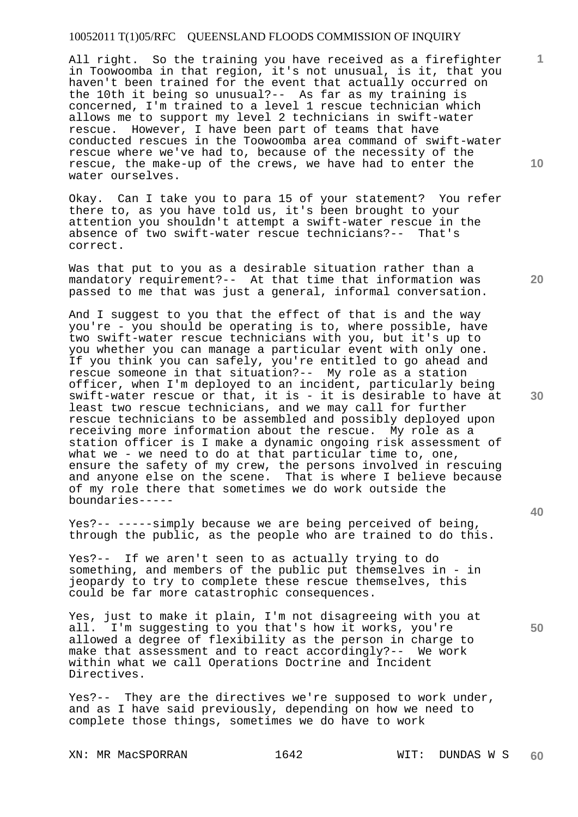All right. So the training you have received as a firefighter in Toowoomba in that region, it's not unusual, is it, that you haven't been trained for the event that actually occurred on the 10th it being so unusual?-- As far as my training is concerned, I'm trained to a level 1 rescue technician which allows me to support my level 2 technicians in swift-water rescue. However, I have been part of teams that have conducted rescues in the Toowoomba area command of swift-water rescue where we've had to, because of the necessity of the rescue, the make-up of the crews, we have had to enter the water ourselves.

Okay. Can I take you to para 15 of your statement? You refer there to, as you have told us, it's been brought to your attention you shouldn't attempt a swift-water rescue in the absence of two swift-water rescue technicians?-- That's correct.

Was that put to you as a desirable situation rather than a mandatory requirement?-- At that time that information was passed to me that was just a general, informal conversation.

And I suggest to you that the effect of that is and the way you're - you should be operating is to, where possible, have two swift-water rescue technicians with you, but it's up to you whether you can manage a particular event with only one. If you think you can safely, you're entitled to go ahead and rescue someone in that situation?-- My role as a station officer, when I'm deployed to an incident, particularly being swift-water rescue or that, it is - it is desirable to have at least two rescue technicians, and we may call for further rescue technicians to be assembled and possibly deployed upon receiving more information about the rescue. My role as a station officer is I make a dynamic ongoing risk assessment of what we - we need to do at that particular time to, one, ensure the safety of my crew, the persons involved in rescuing and anyone else on the scene. That is where I believe because of my role there that sometimes we do work outside the boundaries-----

Yes?-- -----simply because we are being perceived of being, through the public, as the people who are trained to do this.

Yes?-- If we aren't seen to as actually trying to do something, and members of the public put themselves in - in jeopardy to try to complete these rescue themselves, this could be far more catastrophic consequences.

Yes, just to make it plain, I'm not disagreeing with you at all. I'm suggesting to you that's how it works, you're allowed a degree of flexibility as the person in charge to make that assessment and to react accordingly?-- We work within what we call Operations Doctrine and Incident Directives.

Yes?-- They are the directives we're supposed to work under, and as I have said previously, depending on how we need to complete those things, sometimes we do have to work

**10** 

**1**

**20** 

**30** 

**40**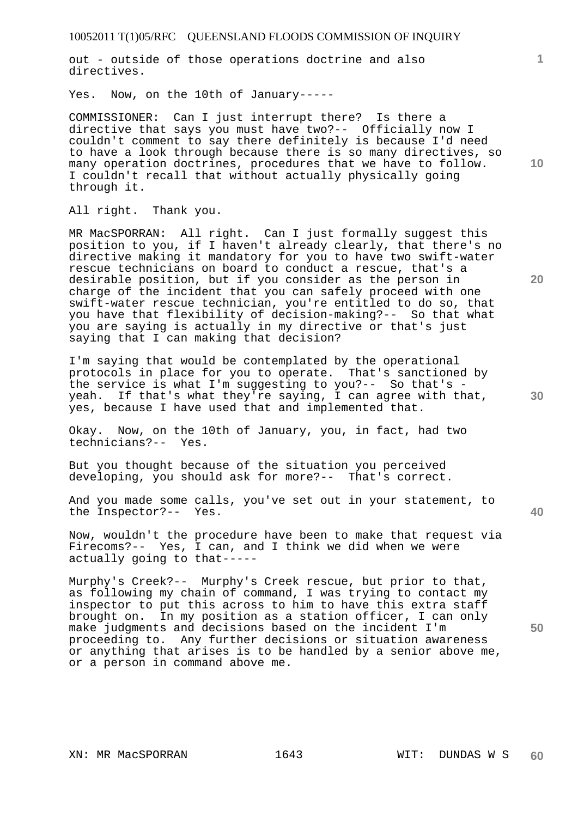out - outside of those operations doctrine and also directives.

Yes. Now, on the 10th of January-----

COMMISSIONER: Can I just interrupt there? Is there a directive that says you must have two?-- Officially now I couldn't comment to say there definitely is because I'd need to have a look through because there is so many directives, so many operation doctrines, procedures that we have to follow. I couldn't recall that without actually physically going through it.

All right. Thank you.

MR MacSPORRAN: All right. Can I just formally suggest this position to you, if I haven't already clearly, that there's no directive making it mandatory for you to have two swift-water rescue technicians on board to conduct a rescue, that's a desirable position, but if you consider as the person in charge of the incident that you can safely proceed with one swift-water rescue technician, you're entitled to do so, that you have that flexibility of decision-making?-- So that what you are saying is actually in my directive or that's just saying that I can making that decision?

I'm saying that would be contemplated by the operational protocols in place for you to operate. That's sanctioned by the service is what I'm suggesting to you?-- So that's yeah. If that's what they're saying, I can agree with that, yes, because I have used that and implemented that.

Okay. Now, on the 10th of January, you, in fact, had two technicians?-- Yes.

But you thought because of the situation you perceived developing, you should ask for more?-- That's correct.

And you made some calls, you've set out in your statement, to the Inspector?-- Yes.

Now, wouldn't the procedure have been to make that request via Firecoms?-- Yes, I can, and I think we did when we were actually going to that-----

Murphy's Creek?-- Murphy's Creek rescue, but prior to that, as following my chain of command, I was trying to contact my inspector to put this across to him to have this extra staff brought on. In my position as a station officer, I can only make judgments and decisions based on the incident I'm proceeding to. Any further decisions or situation awareness or anything that arises is to be handled by a senior above me, or a person in command above me.

**10** 

**1**

**20** 

**30** 

**40**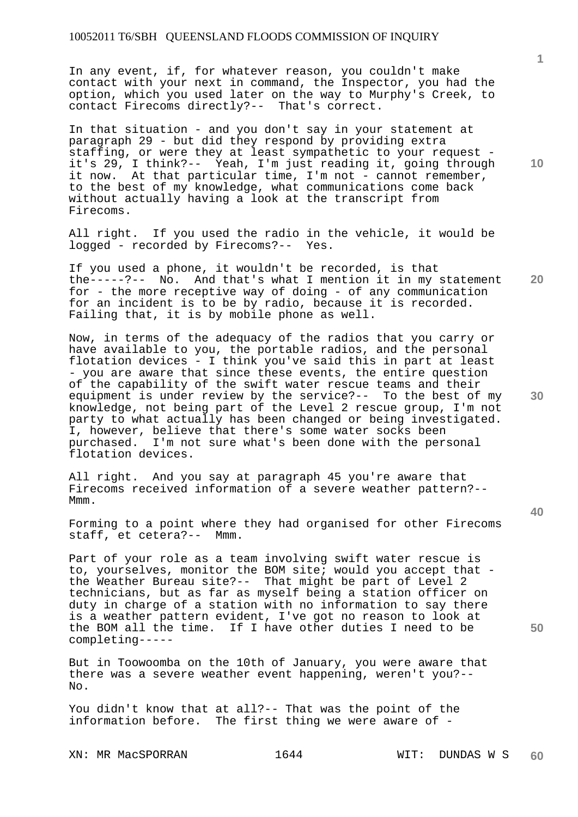In any event, if, for whatever reason, you couldn't make contact with your next in command, the Inspector, you had the option, which you used later on the way to Murphy's Creek, to contact Firecoms directly?-- That's correct.

In that situation - and you don't say in your statement at paragraph 29 - but did they respond by providing extra staffing, or were they at least sympathetic to your request it's 29, I think?-- Yeah, I'm just reading it, going through it now. At that particular time, I'm not - cannot remember, to the best of my knowledge, what communications come back without actually having a look at the transcript from Firecoms.

All right. If you used the radio in the vehicle, it would be logged - recorded by Firecoms?-- Yes.

**20**  If you used a phone, it wouldn't be recorded, is that the-----?-- No. And that's what I mention it in my statement for - the more receptive way of doing - of any communication for an incident is to be by radio, because it is recorded. Failing that, it is by mobile phone as well.

Now, in terms of the adequacy of the radios that you carry or have available to you, the portable radios, and the personal flotation devices - I think you've said this in part at least - you are aware that since these events, the entire question of the capability of the swift water rescue teams and their equipment is under review by the service?-- To the best of my knowledge, not being part of the Level 2 rescue group, I'm not party to what actually has been changed or being investigated. I, however, believe that there's some water socks been purchased. I'm not sure what's been done with the personal flotation devices.

All right. And you say at paragraph 45 you're aware that Firecoms received information of a severe weather pattern?-- Mmm.

Forming to a point where they had organised for other Firecoms staff, et cetera?-- Mmm.

Part of your role as a team involving swift water rescue is to, yourselves, monitor the BOM site; would you accept that the Weather Bureau site?-- That might be part of Level 2 technicians, but as far as myself being a station officer on duty in charge of a station with no information to say there is a weather pattern evident, I've got no reason to look at the BOM all the time. If I have other duties I need to be completing-----

But in Toowoomba on the 10th of January, you were aware that there was a severe weather event happening, weren't you?-- No.

You didn't know that at all?-- That was the point of the information before. The first thing we were aware of -

XN: MR MacSPORRAN 1644 WIT: DUNDAS W S

**1**

**10** 

**30** 

**40**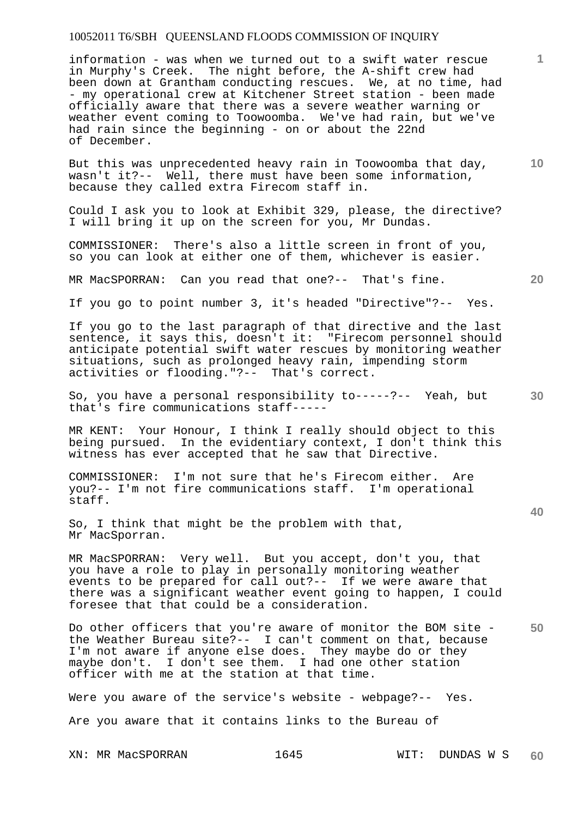information - was when we turned out to a swift water rescue in Murphy's Creek. The night before, the A-shift crew had been down at Grantham conducting rescues. We, at no time, had - my operational crew at Kitchener Street station - been made officially aware that there was a severe weather warning or weather event coming to Toowoomba. We've had rain, but we've had rain since the beginning - on or about the 22nd of December.

But this was unprecedented heavy rain in Toowoomba that day, wasn't it?-- Well, there must have been some information, because they called extra Firecom staff in.

Could I ask you to look at Exhibit 329, please, the directive? I will bring it up on the screen for you, Mr Dundas.

COMMISSIONER: There's also a little screen in front of you, so you can look at either one of them, whichever is easier.

MR MacSPORRAN: Can you read that one?-- That's fine.

If you go to point number 3, it's headed "Directive"?-- Yes.

If you go to the last paragraph of that directive and the last sentence, it says this, doesn't it: "Firecom personnel should anticipate potential swift water rescues by monitoring weather situations, such as prolonged heavy rain, impending storm activities or flooding."?-- That's correct.

So, you have a personal responsibility to-----?-- Yeah, but that's fire communications staff-----

MR KENT: Your Honour, I think I really should object to this being pursued. In the evidentiary context, I don't think this witness has ever accepted that he saw that Directive.

COMMISSIONER: I'm not sure that he's Firecom either. Are you?-- I'm not fire communications staff. I'm operational staff.

So, I think that might be the problem with that, Mr MacSporran.

MR MacSPORRAN: Very well. But you accept, don't you, that you have a role to play in personally monitoring weather events to be prepared for call out?-- If we were aware that there was a significant weather event going to happen, I could foresee that that could be a consideration.

**50**  Do other officers that you're aware of monitor the BOM site the Weather Bureau site?-- I can't comment on that, because I'm not aware if anyone else does. They maybe do or they maybe don't. I don't see them. I had one other station officer with me at the station at that time.

Were you aware of the service's website - webpage?-- Yes. Are you aware that it contains links to the Bureau of

XN: MR MacSPORRAN 1645 WIT: DUNDAS W S

**20** 

**40** 

**30** 

**10**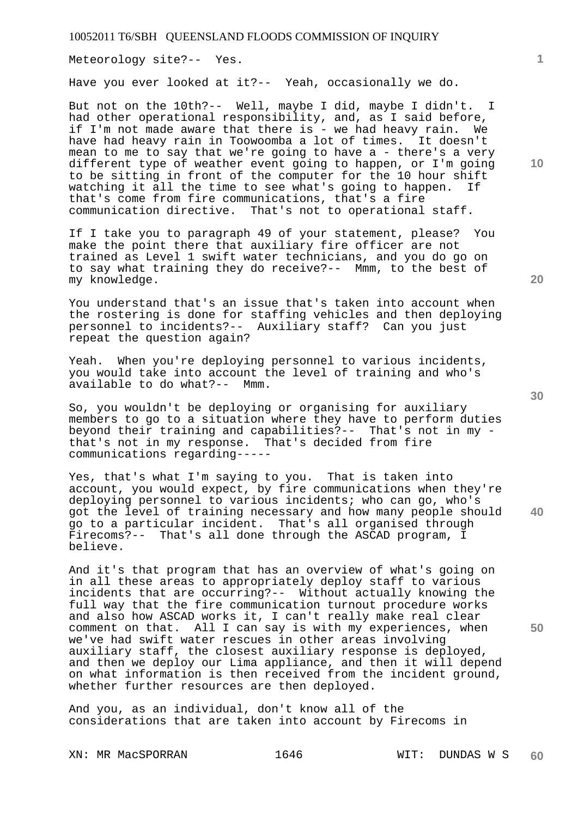Meteorology site?-- Yes.

Have you ever looked at it?-- Yeah, occasionally we do.

But not on the 10th?-- Well, maybe I did, maybe I didn't. I had other operational responsibility, and, as I said before, if I'm not made aware that there is - we had heavy rain. We have had heavy rain in Toowoomba a lot of times. It doesn't mean to me to say that we're going to have a - there's a very different type of weather event going to happen, or I'm going to be sitting in front of the computer for the 10 hour shift watching it all the time to see what's going to happen. If that's come from fire communications, that's a fire communication directive. That's not to operational staff.

If I take you to paragraph 49 of your statement, please? You make the point there that auxiliary fire officer are not trained as Level 1 swift water technicians, and you do go on to say what training they do receive?-- Mmm, to the best of my knowledge.

You understand that's an issue that's taken into account when the rostering is done for staffing vehicles and then deploying personnel to incidents?-- Auxiliary staff? Can you just repeat the question again?

Yeah. When you're deploying personnel to various incidents, you would take into account the level of training and who's available to do what?-- Mmm.

So, you wouldn't be deploying or organising for auxiliary members to go to a situation where they have to perform duties beyond their training and capabilities?-- That's not in my that's not in my response. That's decided from fire communications regarding-----

Yes, that's what I'm saying to you. That is taken into account, you would expect, by fire communications when they're deploying personnel to various incidents; who can go, who's got the level of training necessary and how many people should go to a particular incident. That's all organised through Firecoms?-- That's all done through the ASCAD program, I believe.

And it's that program that has an overview of what's going on in all these areas to appropriately deploy staff to various incidents that are occurring?-- Without actually knowing the full way that the fire communication turnout procedure works and also how ASCAD works it, I can't really make real clear comment on that. All I can say is with my experiences, when we've had swift water rescues in other areas involving auxiliary staff, the closest auxiliary response is deployed, and then we deploy our Lima appliance, and then it will depend on what information is then received from the incident ground, whether further resources are then deployed.

And you, as an individual, don't know all of the considerations that are taken into account by Firecoms in

XN: MR MacSPORRAN 1646 WIT: DUNDAS W S

**10** 

**1**

**40**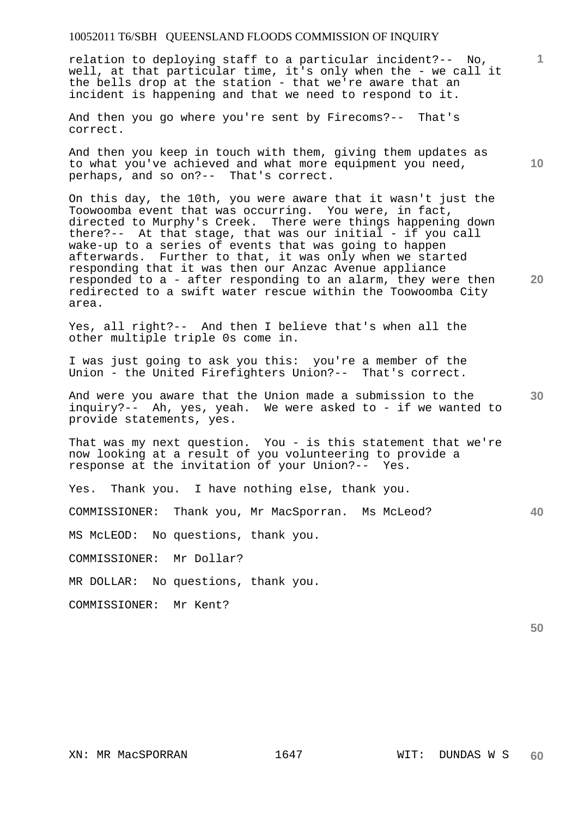relation to deploying staff to a particular incident?-- No, well, at that particular time, it's only when the - we call it the bells drop at the station - that we're aware that an incident is happening and that we need to respond to it.

And then you go where you're sent by Firecoms?-- That's correct.

And then you keep in touch with them, giving them updates as to what you've achieved and what more equipment you need, perhaps, and so on?-- That's correct.

On this day, the 10th, you were aware that it wasn't just the Toowoomba event that was occurring. You were, in fact, directed to Murphy's Creek. There were things happening down there?-- At that stage, that was our initial - if you call wake-up to a series of events that was going to happen afterwards. Further to that, it was only when we started responding that it was then our Anzac Avenue appliance responded to a - after responding to an alarm, they were then redirected to a swift water rescue within the Toowoomba City area.

Yes, all right?-- And then I believe that's when all the other multiple triple 0s come in.

I was just going to ask you this: you're a member of the Union - the United Firefighters Union?-- That's correct.

**30**  And were you aware that the Union made a submission to the inquiry?-- Ah, yes, yeah. We were asked to - if we wanted to provide statements, yes.

That was my next question. You - is this statement that we're now looking at a result of you volunteering to provide a response at the invitation of your Union?-- Yes.

Yes. Thank you. I have nothing else, thank you.

COMMISSIONER: Thank you, Mr MacSporran. Ms McLeod?

MS McLEOD: No questions, thank you.

COMMISSIONER: Mr Dollar?

MR DOLLAR: No questions, thank you.

COMMISSIONER: Mr Kent?

**50** 

**40** 

**1**

**10**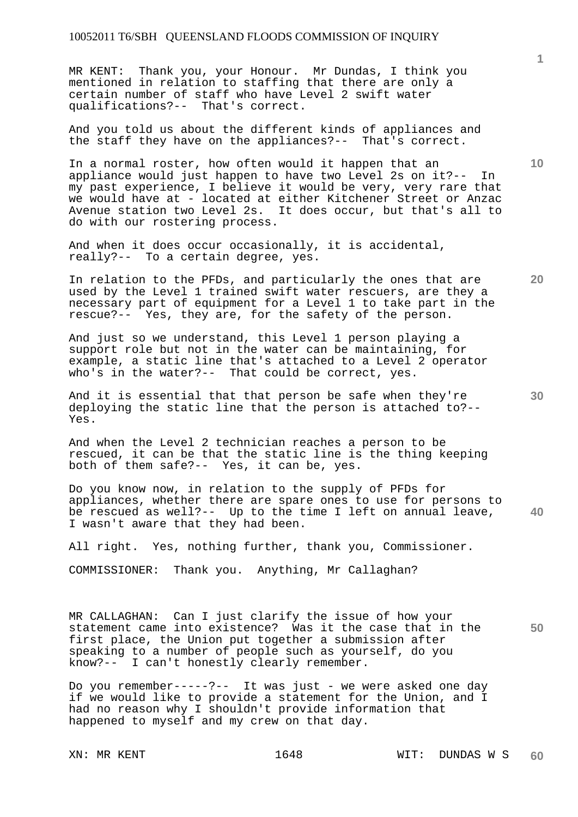MR KENT: Thank you, your Honour. Mr Dundas, I think you mentioned in relation to staffing that there are only a certain number of staff who have Level 2 swift water qualifications?--

And you told us about the different kinds of appliances and the staff they have on the appliances?-- That's correct.

In a normal roster, how often would it happen that an appliance would just happen to have two Level 2s on it?-- In my past experience, I believe it would be very, very rare that we would have at - located at either Kitchener Street or Anzac<br>Avenue station two Level 2s. It does occur, but that's all to It does occur, but that's all to do with our rostering process.

And when it does occur occasionally, it is accidental, really?-- To a certain degree, yes.

In relation to the PFDs, and particularly the ones that are used by the Level 1 trained swift water rescuers, are they a necessary part of equipment for a Level 1 to take part in the rescue?-- Yes, they are, for the safety of the person.

And just so we understand, this Level 1 person playing a support role but not in the water can be maintaining, for example, a static line that's attached to a Level 2 operator who's in the water?-- That could be correct, yes.

And it is essential that that person be safe when they're deploying the static line that the person is attached to?-- Yes.

And when the Level 2 technician reaches a person to be rescued, it can be that the static line is the thing keeping both of them safe?-- Yes, it can be, yes.

**40**  Do you know now, in relation to the supply of PFDs for appliances, whether there are spare ones to use for persons to be rescued as well?-- Up to the time I left on annual leave, I wasn't aware that they had been.

All right. Yes, nothing further, thank you, Commissioner.

COMMISSIONER: Thank you. Anything, Mr Callaghan?

**50**  MR CALLAGHAN: Can I just clarify the issue of how your statement came into existence? Was it the case that in the first place, the Union put together a submission after speaking to a number of people such as yourself, do you know?-- I can't honestly clearly remember.

Do you remember-----?-- It was just - we were asked one day if we would like to provide a statement for the Union, and I had no reason why I shouldn't provide information that happened to myself and my crew on that day.

**1**

**20** 

**10**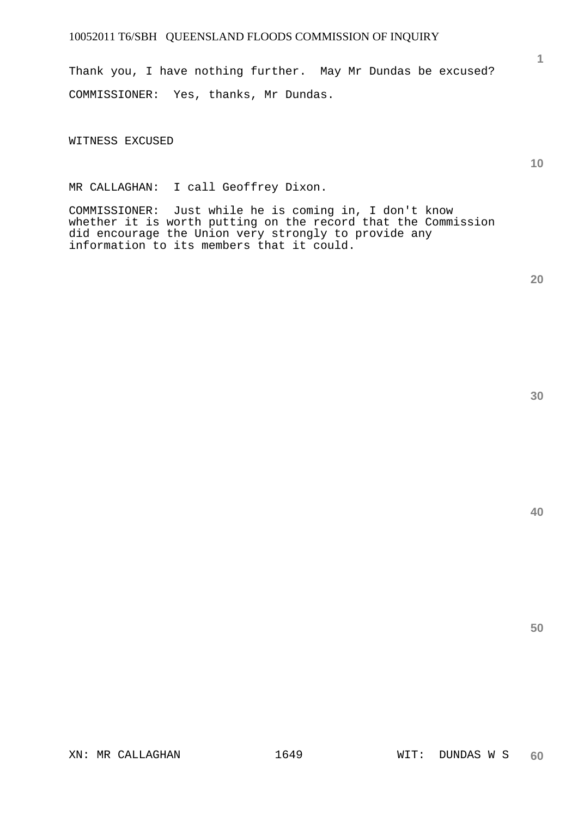Thank you, I have nothing further. May Mr Dundas be excused? COMMISSIONER: Yes, thanks, Mr Dundas.

WITNESS EXCUSED

MR CALLAGHAN: I call Geoffrey Dixon.

COMMISSIONER: Just while he is coming in, I don't know whether it is worth putting on the record that the Commission did encourage the Union very strongly to provide any information to its members that it could.

**40** 

**50** 

**1**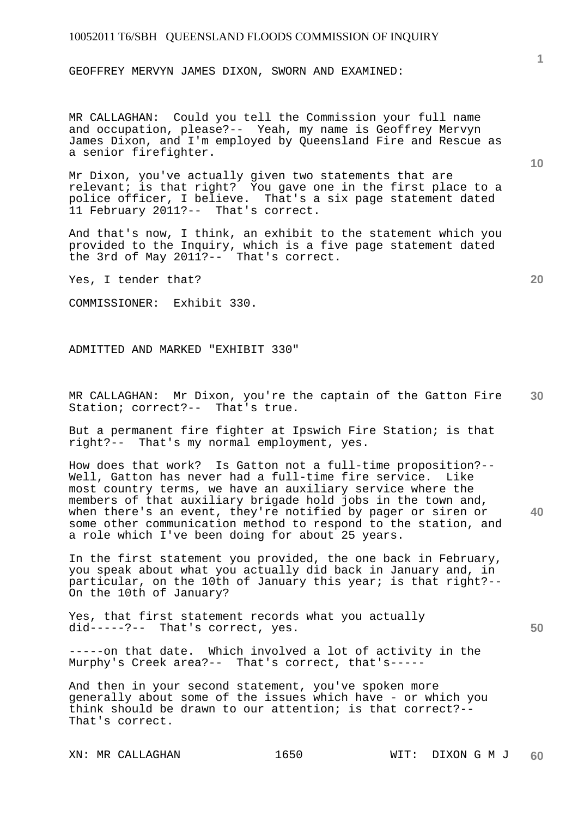GEOFFREY MERVYN JAMES DIXON, SWORN AND EXAMINED:

MR CALLAGHAN: Could you tell the Commission your full name and occupation, please?-- Yeah, my name is Geoffrey Mervyn James Dixon, and I'm employed by Queensland Fire and Rescue as a senior firefighter.

Mr Dixon, you've actually given two statements that are relevant; is that right? You gave one in the first place to a police officer, I believe. That's a six page statement dated 11 February 2011?-- That's correct.

And that's now, I think, an exhibit to the statement which you provided to the Inquiry, which is a five page statement dated the 3rd of May 2011?-- That's correct.

Yes, I tender that?

COMMISSIONER: Exhibit 330.

ADMITTED AND MARKED "EXHIBIT 330"

**30**  MR CALLAGHAN: Mr Dixon, you're the captain of the Gatton Fire Station; correct?-- That's true.

But a permanent fire fighter at Ipswich Fire Station; is that right?-- That's my normal employment, yes.

How does that work? Is Gatton not a full-time proposition?-- Well, Gatton has never had a full-time fire service. Like most country terms, we have an auxiliary service where the members of that auxiliary brigade hold jobs in the town and, when there's an event, they're notified by pager or siren or some other communication method to respond to the station, and a role which I've been doing for about 25 years.

In the first statement you provided, the one back in February, you speak about what you actually did back in January and, in particular, on the 10th of January this year; is that right?-- On the 10th of January?

Yes, that first statement records what you actually did-----?-- That's correct, yes.

-----on that date. Which involved a lot of activity in the Murphy's Creek area?-- That's correct, that's-----

And then in your second statement, you've spoken more generally about some of the issues which have - or which you think should be drawn to our attention; is that correct?-- That's correct.

**10** 

**1**

**20** 

**40**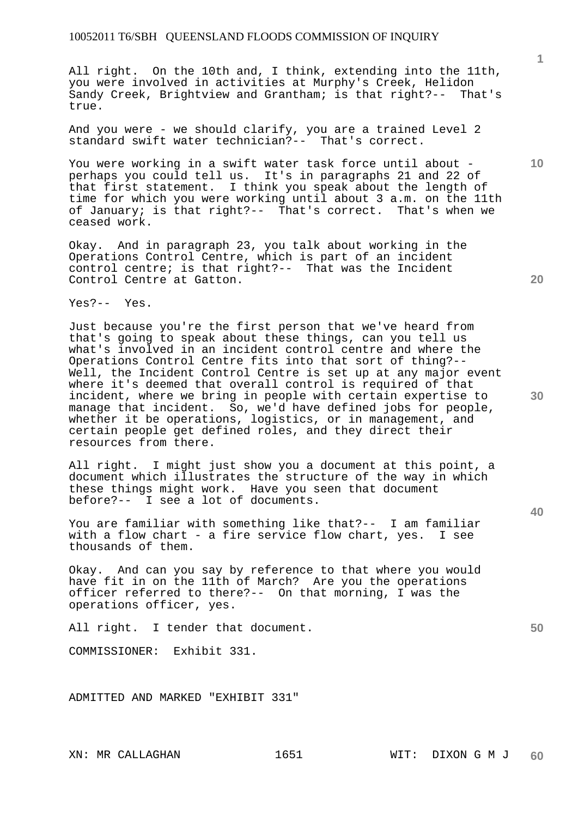All right. On the 10th and, I think, extending into the 11th, you were involved in activities at Murphy's Creek, Helidon Sandy Creek, Brightview and Grantham; is that right?-- That's true.

And you were - we should clarify, you are a trained Level 2 standard swift water technician?-- That's correct.

You were working in a swift water task force until about perhaps you could tell us. It's in paragraphs 21 and 22 of that first statement. I think you speak about the length of time for which you were working until about 3 a.m. on the 11th of January; is that right?-- That's correct. That's when we ceased work.

Okay. And in paragraph 23, you talk about working in the Operations Control Centre, which is part of an incident control centre; is that right?-- That was the Incident Control Centre at Gatton.

Yes?-- Yes.

Just because you're the first person that we've heard from that's going to speak about these things, can you tell us what's involved in an incident control centre and where the Operations Control Centre fits into that sort of thing?-- Well, the Incident Control Centre is set up at any major event where it's deemed that overall control is required of that incident, where we bring in people with certain expertise to manage that incident. So, we'd have defined jobs for people, whether it be operations, logistics, or in management, and certain people get defined roles, and they direct their resources from there.

All right. I might just show you a document at this point, a document which illustrates the structure of the way in which these things might work. Have you seen that document before?-- I see a lot of documents.

You are familiar with something like that?-- I am familiar with a flow chart - a fire service flow chart, yes. I see thousands of them.

Okay. And can you say by reference to that where you would have fit in on the 11th of March? Are you the operations officer referred to there?-- On that morning, I was the operations officer, yes.

All right. I tender that document.

COMMISSIONER: Exhibit 331.

ADMITTED AND MARKED "EXHIBIT 331"

**10** 

**1**

**20** 

**30** 

**40**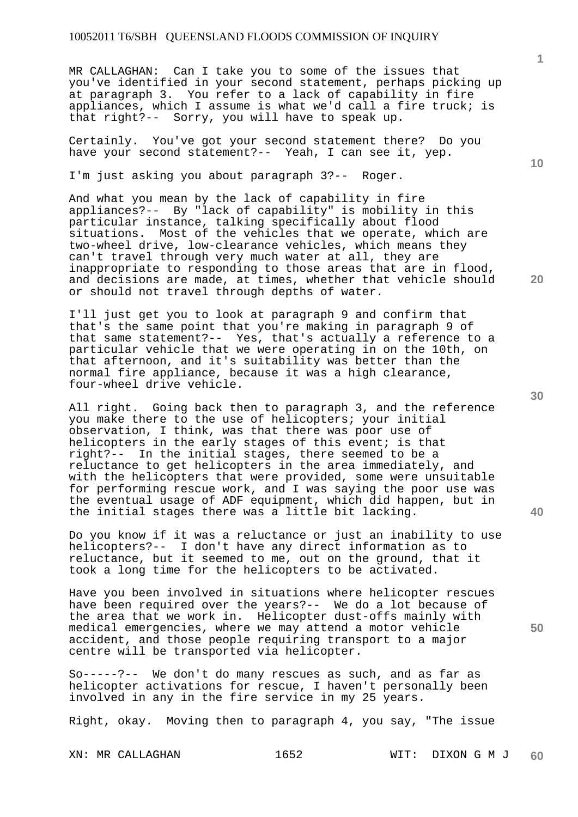MR CALLAGHAN: Can I take you to some of the issues that you've identified in your second statement, perhaps picking up at paragraph 3. You refer to a lack of capability in fire appliances, which I assume is what we'd call a fire truck; is that right?-- Sorry, you will have to speak up.

Certainly. You've got your second statement there? Do you have your second statement?-- Yeah, I can see it, yep.

I'm just asking you about paragraph 3?-- Roger.

And what you mean by the lack of capability in fire appliances?-- By "lack of capability" is mobility in this particular instance, talking specifically about flood situations. Most of the vehicles that we operate, which are two-wheel drive, low-clearance vehicles, which means they can't travel through very much water at all, they are inappropriate to responding to those areas that are in flood, and decisions are made, at times, whether that vehicle should or should not travel through depths of water.

I'll just get you to look at paragraph 9 and confirm that that's the same point that you're making in paragraph 9 of that same statement?-- Yes, that's actually a reference to a particular vehicle that we were operating in on the 10th, on that afternoon, and it's suitability was better than the normal fire appliance, because it was a high clearance, four-wheel drive vehicle.

All right. Going back then to paragraph 3, and the reference you make there to the use of helicopters; your initial observation, I think, was that there was poor use of helicopters in the early stages of this event; is that right?-- In the initial stages, there seemed to be a reluctance to get helicopters in the area immediately, and with the helicopters that were provided, some were unsuitable for performing rescue work, and I was saying the poor use was the eventual usage of ADF equipment, which did happen, but in the initial stages there was a little bit lacking.

Do you know if it was a reluctance or just an inability to use helicopters?-- I don't have any direct information as to reluctance, but it seemed to me, out on the ground, that it took a long time for the helicopters to be activated.

Have you been involved in situations where helicopter rescues have been required over the years?-- We do a lot because of the area that we work in. Helicopter dust-offs mainly with medical emergencies, where we may attend a motor vehicle accident, and those people requiring transport to a major centre will be transported via helicopter.

So-----?-- We don't do many rescues as such, and as far as helicopter activations for rescue, I haven't personally been involved in any in the fire service in my 25 years.

Right, okay. Moving then to paragraph 4, you say, "The issue

**10** 

**1**

**20** 

**50**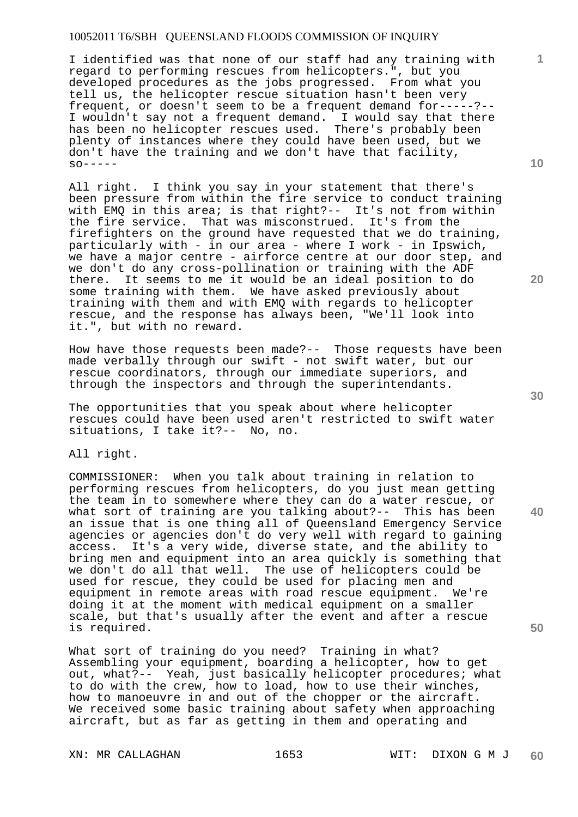I identified was that none of our staff had any training with regard to performing rescues from helicopters.", but you developed procedures as the jobs progressed. From what you tell us, the helicopter rescue situation hasn't been very frequent, or doesn't seem to be a frequent demand for-----?-- I wouldn't say not a frequent demand. I would say that there has been no helicopter rescues used. There's probably been plenty of instances where they could have been used, but we don't have the training and we don't have that facility,  $SO-----$ 

All right. I think you say in your statement that there's been pressure from within the fire service to conduct training with EMO in this area; is that right?-- It's not from within the fire service. That was misconstrued. It's from the firefighters on the ground have requested that we do training, particularly with - in our area - where I work - in Ipswich, we have a major centre - airforce centre at our door step, and we don't do any cross-pollination or training with the ADF<br>there. It seems to me it would be an ideal position to do It seems to me it would be an ideal position to do some training with them. We have asked previously about training with them and with EMQ with regards to helicopter rescue, and the response has always been, "We'll look into it.", but with no reward.

How have those requests been made?-- Those requests have been made verbally through our swift - not swift water, but our rescue coordinators, through our immediate superiors, and through the inspectors and through the superintendants.

The opportunities that you speak about where helicopter rescues could have been used aren't restricted to swift water situations, I take it?-- No, no.

All right.

COMMISSIONER: When you talk about training in relation to performing rescues from helicopters, do you just mean getting the team in to somewhere where they can do a water rescue, or what sort of training are you talking about?-- This has been an issue that is one thing all of Queensland Emergency Service agencies or agencies don't do very well with regard to gaining access. It's a very wide, diverse state, and the ability to bring men and equipment into an area quickly is something that we don't do all that well. The use of helicopters could be used for rescue, they could be used for placing men and equipment in remote areas with road rescue equipment. We're doing it at the moment with medical equipment on a smaller scale, but that's usually after the event and after a rescue is required.

What sort of training do you need? Training in what? Assembling your equipment, boarding a helicopter, how to get out, what?-- Yeah, just basically helicopter procedures; what to do with the crew, how to load, how to use their winches, how to manoeuvre in and out of the chopper or the aircraft. We received some basic training about safety when approaching aircraft, but as far as getting in them and operating and

**10** 

**1**

**20** 

**40**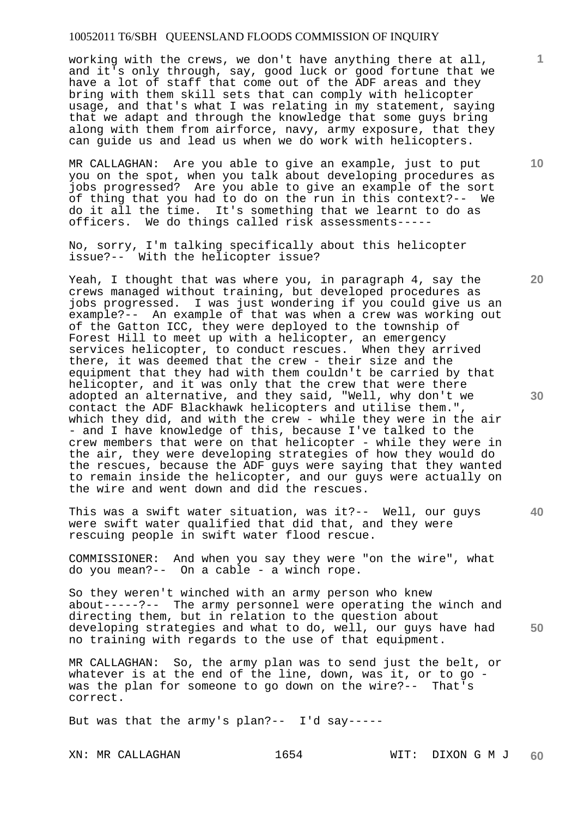working with the crews, we don't have anything there at all, and it's only through, say, good luck or good fortune that we have a lot of staff that come out of the ADF areas and they bring with them skill sets that can comply with helicopter usage, and that's what I was relating in my statement, saying that we adapt and through the knowledge that some guys bring along with them from airforce, navy, army exposure, that they can guide us and lead us when we do work with helicopters.

MR CALLAGHAN: Are you able to give an example, just to put you on the spot, when you talk about developing procedures as jobs progressed? Are you able to give an example of the sort of thing that you had to do on the run in this context?-- We do it all the time. It's something that we learnt to do as officers. We do things called risk assessments-----

No, sorry, I'm talking specifically about this helicopter issue?-- With the helicopter issue?

Yeah, I thought that was where you, in paragraph 4, say the crews managed without training, but developed procedures as jobs progressed. I was just wondering if you could give us an example?-- An example of that was when a crew was working out of the Gatton ICC, they were deployed to the township of Forest Hill to meet up with a helicopter, an emergency services helicopter, to conduct rescues. When they arrived there, it was deemed that the crew - their size and the equipment that they had with them couldn't be carried by that helicopter, and it was only that the crew that were there adopted an alternative, and they said, "Well, why don't we contact the ADF Blackhawk helicopters and utilise them.", which they did, and with the crew - while they were in the air - and I have knowledge of this, because I've talked to the crew members that were on that helicopter - while they were in the air, they were developing strategies of how they would do the rescues, because the ADF guys were saying that they wanted to remain inside the helicopter, and our guys were actually on the wire and went down and did the rescues.

This was a swift water situation, was it?-- Well, our guys were swift water qualified that did that, and they were rescuing people in swift water flood rescue.

COMMISSIONER: And when you say they were "on the wire", what do you mean?-- On a cable - a winch rope.

**50**  So they weren't winched with an army person who knew about-----?-- The army personnel were operating the winch and directing them, but in relation to the question about developing strategies and what to do, well, our guys have had no training with regards to the use of that equipment.

MR CALLAGHAN: So, the army plan was to send just the belt, or whatever is at the end of the line, down, was it, or to go was the plan for someone to go down on the wire?-- That's correct.

But was that the army's plan?-- I'd say-----

**10** 

**1**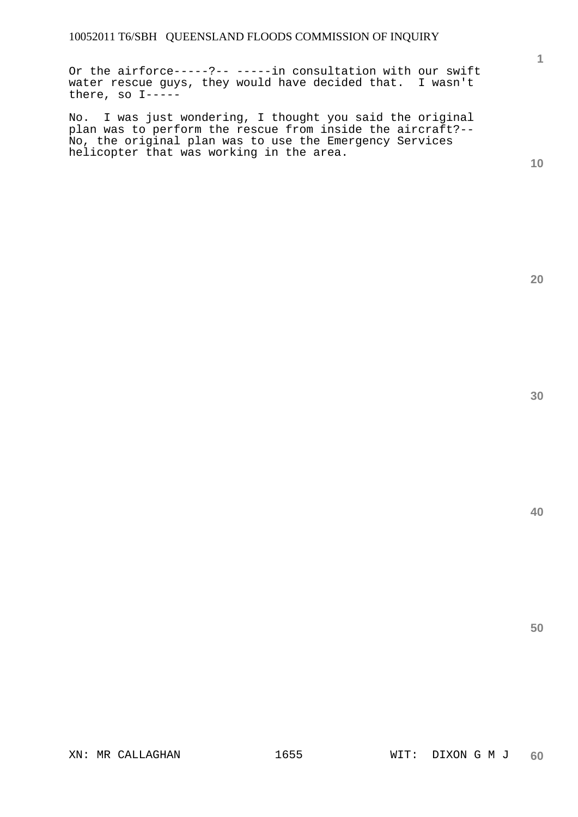Or the airforce-----?-- -----in consultation with our swift water rescue guys, they would have decided that. I wasn't there, so I-----

No. I was just wondering, I thought you said the original plan was to perform the rescue from inside the aircraft?-- No, the original plan was to use the Emergency Services helicopter that was working in the area.

**10** 

**1**

**20**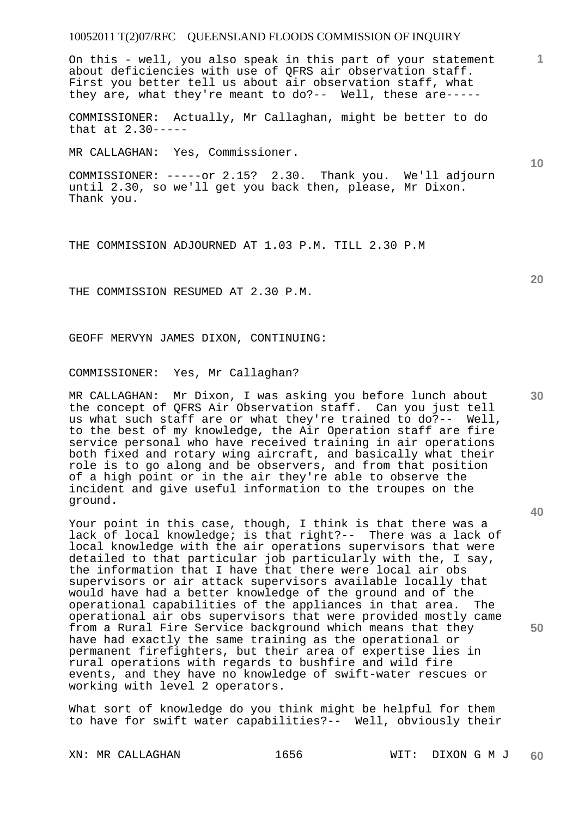On this - well, you also speak in this part of your statement about deficiencies with use of QFRS air observation staff. First you better tell us about air observation staff, what they are, what they're meant to do?-- Well, these are-----

COMMISSIONER: Actually, Mr Callaghan, might be better to do that at 2.30-----

MR CALLAGHAN: Yes, Commissioner.

COMMISSIONER: -----or 2.15? 2.30. Thank you. We'll adjourn until 2.30, so we'll get you back then, please, Mr Dixon. Thank you.

THE COMMISSION ADJOURNED AT 1.03 P.M. TILL 2.30 P.M

THE COMMISSION RESUMED AT 2.30 P.M.

GEOFF MERVYN JAMES DIXON, CONTINUING:

COMMISSIONER: Yes, Mr Callaghan?

MR CALLAGHAN: Mr Dixon, I was asking you before lunch about the concept of QFRS Air Observation staff. Can you just tell us what such staff are or what they're trained to do?-- Well, to the best of my knowledge, the Air Operation staff are fire service personal who have received training in air operations both fixed and rotary wing aircraft, and basically what their role is to go along and be observers, and from that position of a high point or in the air they're able to observe the incident and give useful information to the troupes on the ground.

Your point in this case, though, I think is that there was a lack of local knowledge; is that right?-- There was a lack of local knowledge with the air operations supervisors that were detailed to that particular job particularly with the, I say, the information that I have that there were local air obs supervisors or air attack supervisors available locally that would have had a better knowledge of the ground and of the operational capabilities of the appliances in that area. The operational air obs supervisors that were provided mostly came from a Rural Fire Service background which means that they have had exactly the same training as the operational or permanent firefighters, but their area of expertise lies in rural operations with regards to bushfire and wild fire events, and they have no knowledge of swift-water rescues or working with level 2 operators.

What sort of knowledge do you think might be helpful for them to have for swift water capabilities?-- Well, obviously their

**20** 

**1**

**30**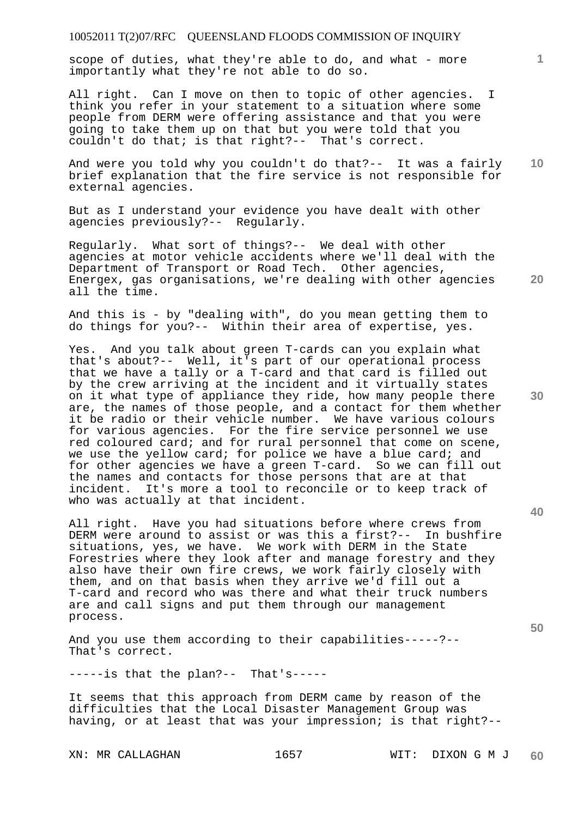scope of duties, what they're able to do, and what - more importantly what they're not able to do so.

All right. Can I move on then to topic of other agencies. I think you refer in your statement to a situation where some people from DERM were offering assistance and that you were going to take them up on that but you were told that you couldn't do that; is that right?-- That's correct.

**10**  And were you told why you couldn't do that?-- It was a fairly brief explanation that the fire service is not responsible for external agencies.

But as I understand your evidence you have dealt with other agencies previously?-- Regularly.

Regularly. What sort of things?-- We deal with other agencies at motor vehicle accidents where we'll deal with the Department of Transport or Road Tech. Other agencies, Energex, gas organisations, we're dealing with other agencies all the time.

And this is - by "dealing with", do you mean getting them to do things for you?-- Within their area of expertise, yes.

Yes. And you talk about green T-cards can you explain what that's about?-- Well, it's part of our operational process that we have a tally or a T-card and that card is filled out by the crew arriving at the incident and it virtually states on it what type of appliance they ride, how many people there are, the names of those people, and a contact for them whether it be radio or their vehicle number. We have various colours for various agencies. For the fire service personnel we use red coloured card; and for rural personnel that come on scene, we use the yellow card; for police we have a blue card; and for other agencies we have a green T-card. So we can fill out the names and contacts for those persons that are at that incident. It's more a tool to reconcile or to keep track of who was actually at that incident.

All right. Have you had situations before where crews from DERM were around to assist or was this a first?-- In bushfire situations, yes, we have. We work with DERM in the State Forestries where they look after and manage forestry and they also have their own fire crews, we work fairly closely with them, and on that basis when they arrive we'd fill out a T-card and record who was there and what their truck numbers are and call signs and put them through our management process.

And you use them according to their capabilities-----?-- That's correct.

-----is that the plan?-- That's-----

It seems that this approach from DERM came by reason of the difficulties that the Local Disaster Management Group was having, or at least that was your impression; is that right?--

**30** 

**20** 

**50**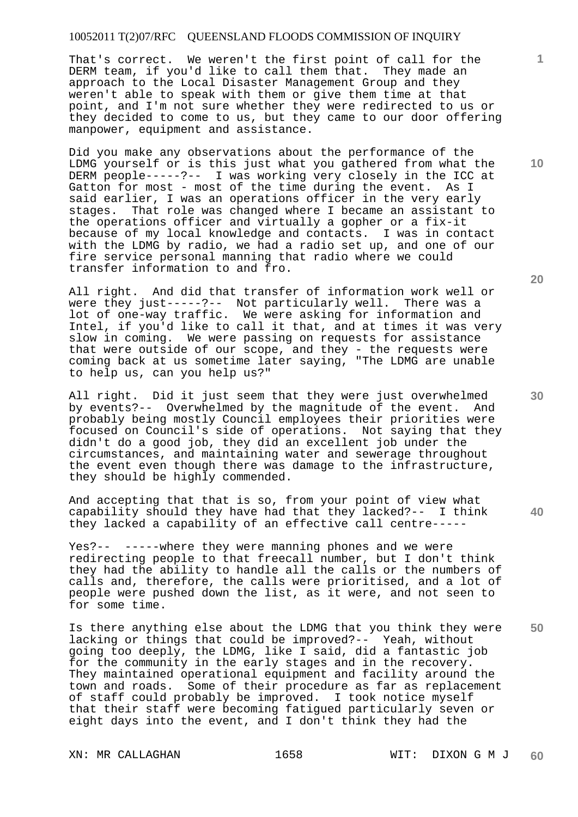That's correct. We weren't the first point of call for the DERM team, if you'd like to call them that. They made an approach to the Local Disaster Management Group and they weren't able to speak with them or give them time at that point, and I'm not sure whether they were redirected to us or they decided to come to us, but they came to our door offering manpower, equipment and assistance.

Did you make any observations about the performance of the LDMG yourself or is this just what you gathered from what the DERM people-----?-- I was working very closely in the ICC at Gatton for most - most of the time during the event. As I said earlier, I was an operations officer in the very early stages. That role was changed where I became an assistant to the operations officer and virtually a gopher or a fix-it because of my local knowledge and contacts. I was in contact with the LDMG by radio, we had a radio set up, and one of our fire service personal manning that radio where we could transfer information to and fro.

All right. And did that transfer of information work well or were they just-----?-- Not particularly well. There was a lot of one-way traffic. We were asking for information and Intel, if you'd like to call it that, and at times it was very slow in coming. We were passing on requests for assistance that were outside of our scope, and they - the requests were coming back at us sometime later saying, "The LDMG are unable to help us, can you help us?"

All right. Did it just seem that they were just overwhelmed by events?-- Overwhelmed by the magnitude of the event. And probably being mostly Council employees their priorities were focused on Council's side of operations. Not saying that they didn't do a good job, they did an excellent job under the circumstances, and maintaining water and sewerage throughout the event even though there was damage to the infrastructure, they should be highly commended.

And accepting that that is so, from your point of view what capability should they have had that they lacked?-- I think they lacked a capability of an effective call centre-----

Yes?-- -----where they were manning phones and we were redirecting people to that freecall number, but I don't think they had the ability to handle all the calls or the numbers of calls and, therefore, the calls were prioritised, and a lot of people were pushed down the list, as it were, and not seen to for some time.

**50**  Is there anything else about the LDMG that you think they were lacking or things that could be improved?-- Yeah, without going too deeply, the LDMG, like I said, did a fantastic job for the community in the early stages and in the recovery. They maintained operational equipment and facility around the town and roads. Some of their procedure as far as replacement of staff could probably be improved. I took notice myself that their staff were becoming fatigued particularly seven or eight days into the event, and I don't think they had the

**20** 

**10** 

**1**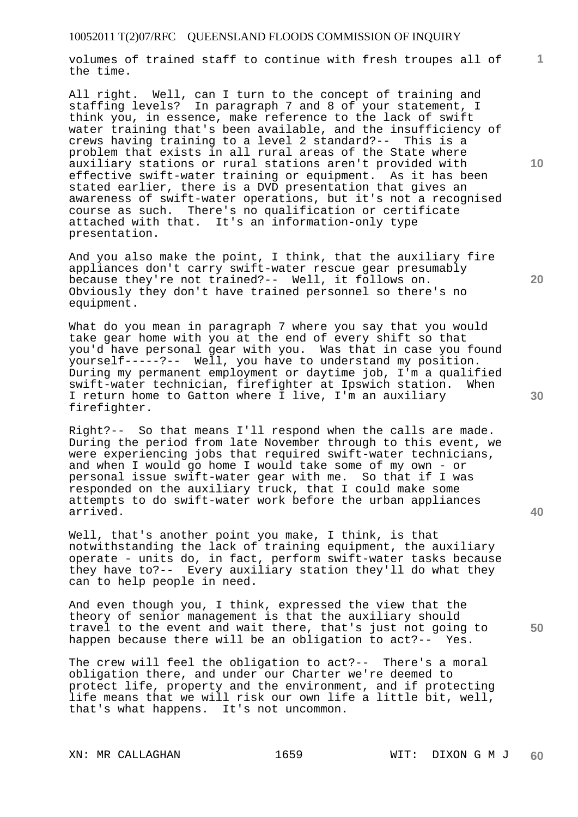volumes of trained staff to continue with fresh troupes all of the time.

All right. Well, can I turn to the concept of training and staffing levels? In paragraph 7 and 8 of your statement, I think you, in essence, make reference to the lack of swift water training that's been available, and the insufficiency of crews having training to a level 2 standard?-- This is a problem that exists in all rural areas of the State where auxiliary stations or rural stations aren't provided with effective swift-water training or equipment. As it has been stated earlier, there is a DVD presentation that gives an awareness of swift-water operations, but it's not a recognised course as such. There's no qualification or certificate attached with that. It's an information-only type presentation.

And you also make the point, I think, that the auxiliary fire appliances don't carry swift-water rescue gear presumably because they're not trained?-- Well, it follows on. Obviously they don't have trained personnel so there's no equipment.

What do you mean in paragraph 7 where you say that you would take gear home with you at the end of every shift so that you'd have personal gear with you. Was that in case you found yourself-----?-- Well, you have to understand my position. During my permanent employment or daytime job, I'm a qualified swift-water technician, firefighter at Ipswich station. When I return home to Gatton where I live, I'm an auxiliary firefighter.

Right?-- So that means I'll respond when the calls are made. During the period from late November through to this event, we were experiencing jobs that required swift-water technicians, and when I would go home I would take some of my own - or personal issue swift-water gear with me. So that if I was responded on the auxiliary truck, that I could make some attempts to do swift-water work before the urban appliances arrived.

Well, that's another point you make, I think, is that notwithstanding the lack of training equipment, the auxiliary operate - units do, in fact, perform swift-water tasks because they have to?-- Every auxiliary station they'll do what they can to help people in need.

And even though you, I think, expressed the view that the theory of senior management is that the auxiliary should travel to the event and wait there, that's just not going to happen because there will be an obligation to act?-- Yes.

The crew will feel the obligation to act?-- There's a moral obligation there, and under our Charter we're deemed to protect life, property and the environment, and if protecting life means that we will risk our own life a little bit, well, that's what happens. It's not uncommon.

**10** 

**1**

**20** 

**40** 

**30**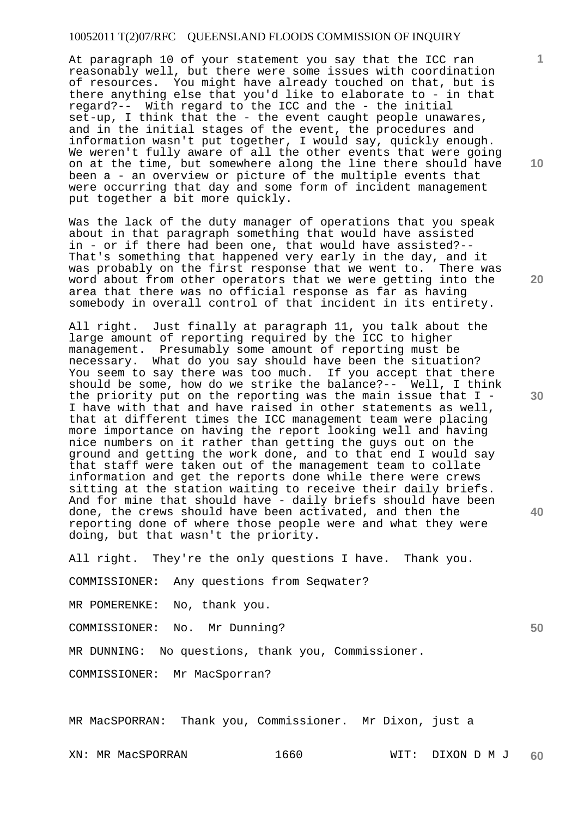At paragraph 10 of your statement you say that the ICC ran reasonably well, but there were some issues with coordination of resources. You might have already touched on that, but is there anything else that you'd like to elaborate to - in that regard?-- With regard to the ICC and the - the initial set-up, I think that the - the event caught people unawares, and in the initial stages of the event, the procedures and information wasn't put together, I would say, quickly enough. We weren't fully aware of all the other events that were going on at the time, but somewhere along the line there should have been a - an overview or picture of the multiple events that were occurring that day and some form of incident management put together a bit more quickly.

Was the lack of the duty manager of operations that you speak about in that paragraph something that would have assisted in - or if there had been one, that would have assisted?-- That's something that happened very early in the day, and it was probably on the first response that we went to. There was word about from other operators that we were getting into the area that there was no official response as far as having somebody in overall control of that incident in its entirety.

All right. Just finally at paragraph 11, you talk about the large amount of reporting required by the ICC to higher management. Presumably some amount of reporting must be necessary. What do you say should have been the situation? You seem to say there was too much. If you accept that there should be some, how do we strike the balance?-- Well, I think the priority put on the reporting was the main issue that I - I have with that and have raised in other statements as well, that at different times the ICC management team were placing more importance on having the report looking well and having nice numbers on it rather than getting the guys out on the ground and getting the work done, and to that end I would say that staff were taken out of the management team to collate information and get the reports done while there were crews sitting at the station waiting to receive their daily briefs. And for mine that should have - daily briefs should have been done, the crews should have been activated, and then the reporting done of where those people were and what they were doing, but that wasn't the priority.

All right. They're the only questions I have. Thank you.

COMMISSIONER: Any questions from Seqwater?

MR POMERENKE: No, thank you.

COMMISSIONER: No. Mr Dunning?

MR DUNNING: No questions, thank you, Commissioner.

COMMISSIONER: Mr MacSporran?

MR MacSPORRAN: Thank you, Commissioner. Mr Dixon, just a

**10** 

**1**

**20** 

**30** 

**40**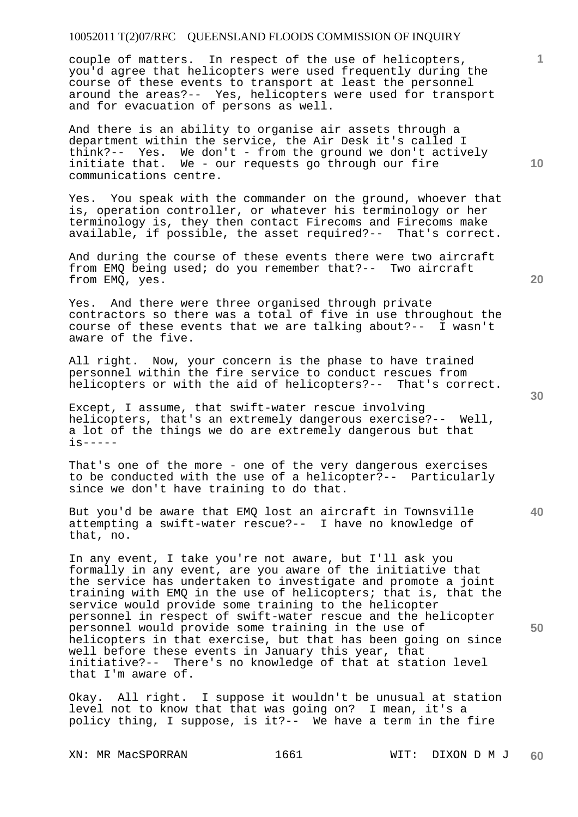couple of matters. In respect of the use of helicopters, you'd agree that helicopters were used frequently during the course of these events to transport at least the personnel around the areas?-- Yes, helicopters were used for transport and for evacuation of persons as well.

And there is an ability to organise air assets through a department within the service, the Air Desk it's called I think?-- Yes. We don't - from the ground we don't actively initiate that. We - our requests go through our fire communications centre.

Yes. You speak with the commander on the ground, whoever that is, operation controller, or whatever his terminology or her terminology is, they then contact Firecoms and Firecoms make available, if possible, the asset required?-- That's correct.

And during the course of these events there were two aircraft from EMQ being used; do you remember that?-- Two aircraft from EMQ, yes.

Yes. And there were three organised through private contractors so there was a total of five in use throughout the course of these events that we are talking about?-- I wasn't aware of the five.

All right. Now, your concern is the phase to have trained personnel within the fire service to conduct rescues from helicopters or with the aid of helicopters?-- That's correct.

Except, I assume, that swift-water rescue involving helicopters, that's an extremely dangerous exercise?-- Well, a lot of the things we do are extremely dangerous but that  $i$ s-----

That's one of the more - one of the very dangerous exercises to be conducted with the use of a helicopter?-- Particularly since we don't have training to do that.

But you'd be aware that EMQ lost an aircraft in Townsville attempting a swift-water rescue?-- I have no knowledge of that, no.

In any event, I take you're not aware, but I'll ask you formally in any event, are you aware of the initiative that the service has undertaken to investigate and promote a joint training with EMQ in the use of helicopters; that is, that the service would provide some training to the helicopter personnel in respect of swift-water rescue and the helicopter personnel would provide some training in the use of helicopters in that exercise, but that has been going on since well before these events in January this year, that initiative?-- There's no knowledge of that at station level that I'm aware of.

Okay. All right. I suppose it wouldn't be unusual at station level not to know that that was going on? I mean, it's a policy thing, I suppose, is it?-- We have a term in the fire

**10** 

**1**

**30** 

**40**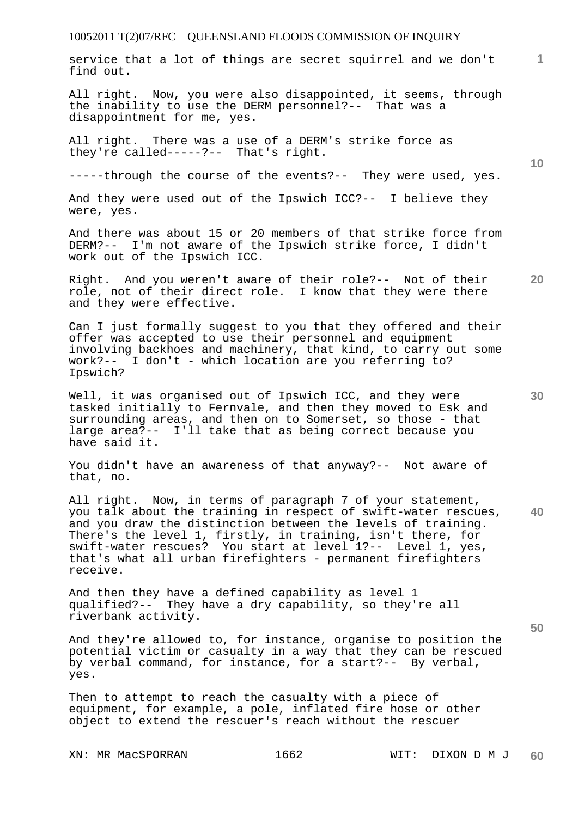service that a lot of things are secret squirrel and we don't find out.

All right. Now, you were also disappointed, it seems, through the inability to use the DERM personnel?-- That was a disappointment for me, yes.

All right. There was a use of a DERM's strike force as they're called-----?-- That's right.

-----through the course of the events?-- They were used, yes.

And they were used out of the Ipswich ICC?-- I believe they were, yes.

And there was about 15 or 20 members of that strike force from DERM?-- I'm not aware of the Ipswich strike force, I didn't work out of the Ipswich ICC.

Right. And you weren't aware of their role?-- Not of their role, not of their direct role. I know that they were there and they were effective.

Can I just formally suggest to you that they offered and their offer was accepted to use their personnel and equipment involving backhoes and machinery, that kind, to carry out some work?-- I don't - which location are you referring to? Ipswich?

Well, it was organised out of Ipswich ICC, and they were tasked initially to Fernvale, and then they moved to Esk and surrounding areas, and then on to Somerset, so those - that large area?-- I'll take that as being correct because you have said it.

You didn't have an awareness of that anyway?-- Not aware of that, no.

**40**  All right. Now, in terms of paragraph 7 of your statement, you talk about the training in respect of swift-water rescues, and you draw the distinction between the levels of training. There's the level 1, firstly, in training, isn't there, for swift-water rescues? You start at level 1?-- Level 1, yes, that's what all urban firefighters - permanent firefighters receive.

And then they have a defined capability as level 1 qualified?-- They have a dry capability, so they're all riverbank activity.

And they're allowed to, for instance, organise to position the potential victim or casualty in a way that they can be rescued by verbal command, for instance, for a start?-- By verbal, yes.

Then to attempt to reach the casualty with a piece of equipment, for example, a pole, inflated fire hose or other object to extend the rescuer's reach without the rescuer

**10** 

**1**

**30**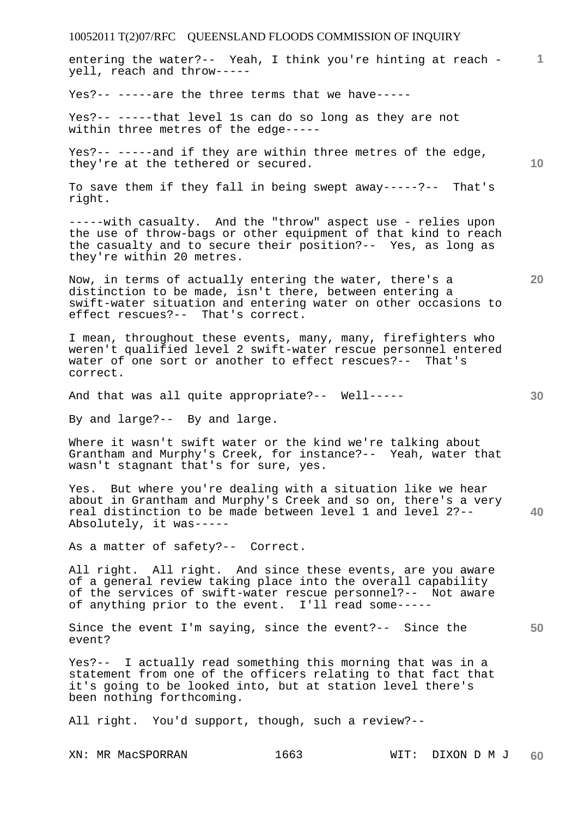**1** entering the water?-- Yeah, I think you're hinting at reach yell, reach and throw-----

Yes?-- -----are the three terms that we have-----

Yes?-- -----that level 1s can do so long as they are not within three metres of the edge-----

Yes?-- -----and if they are within three metres of the edge, they're at the tethered or secured.

To save them if they fall in being swept away-----?-- That's right.

-----with casualty. And the "throw" aspect use - relies upon the use of throw-bags or other equipment of that kind to reach the casualty and to secure their position?-- Yes, as long as they're within 20 metres.

Now, in terms of actually entering the water, there's a distinction to be made, isn't there, between entering a swift-water situation and entering water on other occasions to effect rescues?-- That's correct.

I mean, throughout these events, many, many, firefighters who weren't qualified level 2 swift-water rescue personnel entered water of one sort or another to effect rescues?-- That's correct.

And that was all quite appropriate?-- Well-----

By and large?-- By and large.

Where it wasn't swift water or the kind we're talking about Grantham and Murphy's Creek, for instance?-- Yeah, water that wasn't stagnant that's for sure, yes.

**40**  Yes. But where you're dealing with a situation like we hear about in Grantham and Murphy's Creek and so on, there's a very real distinction to be made between level 1 and level 2?-- Absolutely, it was-----

As a matter of safety?-- Correct.

All right. All right. And since these events, are you aware of a general review taking place into the overall capability of the services of swift-water rescue personnel?-- Not aware of anything prior to the event. I'll read some-----

**50**  Since the event I'm saying, since the event?-- Since the event?

Yes?-- I actually read something this morning that was in a statement from one of the officers relating to that fact that it's going to be looked into, but at station level there's been nothing forthcoming.

All right. You'd support, though, such a review?--

**10**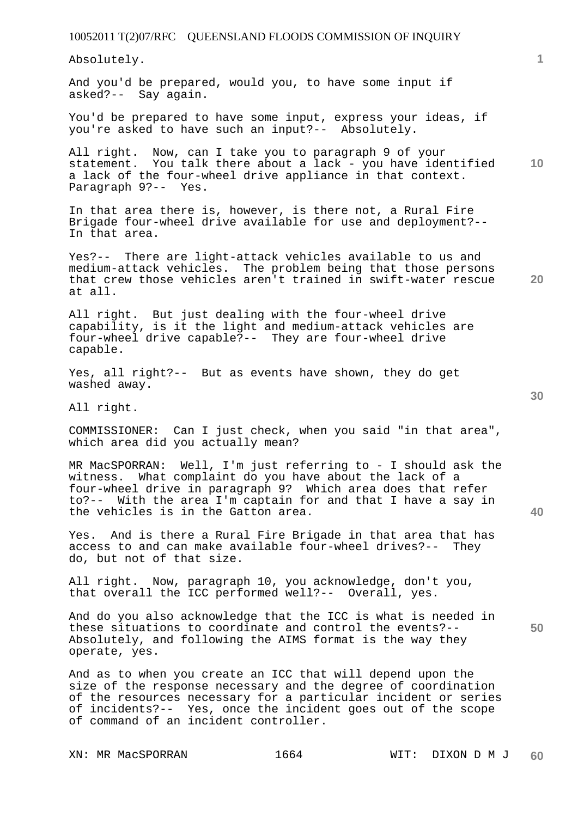Absolutely.

And you'd be prepared, would you, to have some input if asked?-- Say again.

You'd be prepared to have some input, express your ideas, if you're asked to have such an input?-- Absolutely.

**10**  All right. Now, can I take you to paragraph 9 of your statement. You talk there about a lack - you have identified a lack of the four-wheel drive appliance in that context. Paragraph 9?-- Yes.

In that area there is, however, is there not, a Rural Fire Brigade four-wheel drive available for use and deployment?-- In that area.

Yes?-- There are light-attack vehicles available to us and medium-attack vehicles. The problem being that those persons that crew those vehicles aren't trained in swift-water rescue at all.

All right. But just dealing with the four-wheel drive capability, is it the light and medium-attack vehicles are four-wheel drive capable?-- They are four-wheel drive capable.

Yes, all right?-- But as events have shown, they do get washed away.

All right.

COMMISSIONER: Can I just check, when you said "in that area", which area did you actually mean?

MR MacSPORRAN: Well, I'm just referring to - I should ask the witness. What complaint do you have about the lack of a four-wheel drive in paragraph 9? Which area does that refer to?-- With the area I'm captain for and that I have a say in the vehicles is in the Gatton area.

Yes. And is there a Rural Fire Brigade in that area that has access to and can make available four-wheel drives?-- They do, but not of that size.

All right. Now, paragraph 10, you acknowledge, don't you, that overall the ICC performed well?-- Overall, yes.

And do you also acknowledge that the ICC is what is needed in these situations to coordinate and control the events?-- Absolutely, and following the AIMS format is the way they operate, yes.

And as to when you create an ICC that will depend upon the size of the response necessary and the degree of coordination of the resources necessary for a particular incident or series of incidents?-- Yes, once the incident goes out of the scope of command of an incident controller.

**40** 

**50** 

**20**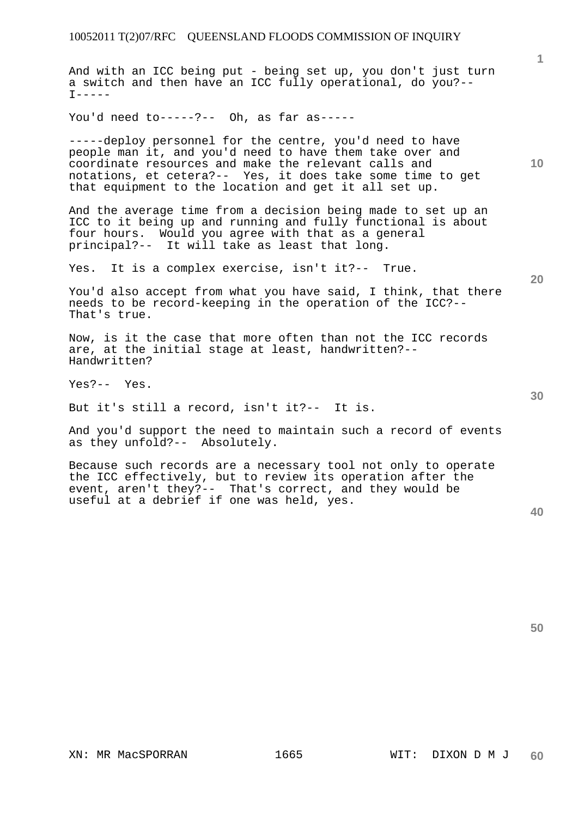And with an ICC being put - being set up, you don't just turn a switch and then have an ICC fully operational, do you?--  $T-----$ 

You'd need to-----?-- Oh, as far as-----

-----deploy personnel for the centre, you'd need to have people man it, and you'd need to have them take over and coordinate resources and make the relevant calls and notations, et cetera?-- Yes, it does take some time to get that equipment to the location and get it all set up.

And the average time from a decision being made to set up an ICC to it being up and running and fully functional is about four hours. Would you agree with that as a general principal?-- It will take as least that long.

Yes. It is a complex exercise, isn't it?-- True.

You'd also accept from what you have said, I think, that there needs to be record-keeping in the operation of the ICC?-- That's true.

Now, is it the case that more often than not the ICC records are, at the initial stage at least, handwritten?-- Handwritten?

Yes?-- Yes.

But it's still a record, isn't it?-- It is.

And you'd support the need to maintain such a record of events as they unfold?-- Absolutely.

Because such records are a necessary tool not only to operate the ICC effectively, but to review its operation after the event, aren't they?-- That's correct, and they would be useful at a debrief if one was held, yes.

**40** 

**50** 

**1**

**10** 

**30**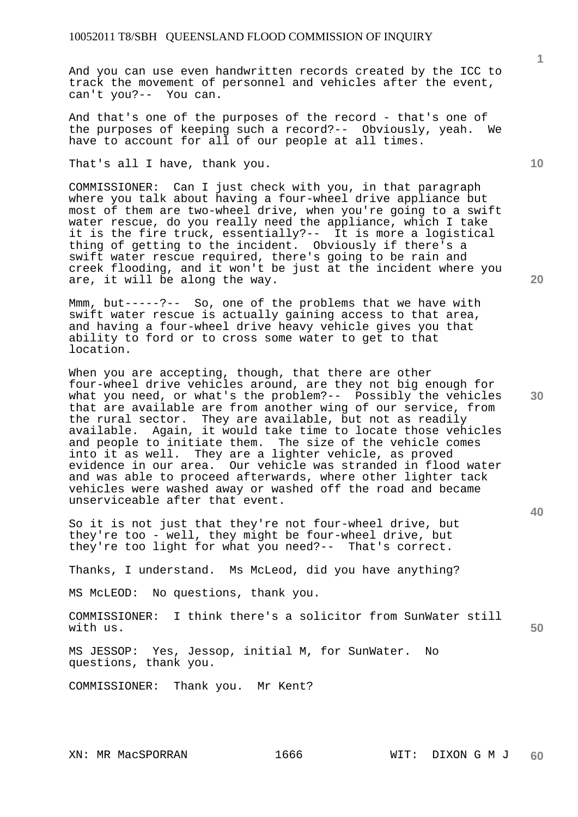And you can use even handwritten records created by the ICC to track the movement of personnel and vehicles after the event, can't you?-- You can.

And that's one of the purposes of the record - that's one of the purposes of keeping such a record?-- Obviously, yeah. We have to account for all of our people at all times.

That's all I have, thank you.

COMMISSIONER: Can I just check with you, in that paragraph where you talk about having a four-wheel drive appliance but most of them are two-wheel drive, when you're going to a swift water rescue, do you really need the appliance, which I take it is the fire truck, essentially?-- It is more a logistical thing of getting to the incident. Obviously if there's a swift water rescue required, there's going to be rain and creek flooding, and it won't be just at the incident where you are, it will be along the way.

Mmm, but-----?-- So, one of the problems that we have with swift water rescue is actually gaining access to that area, and having a four-wheel drive heavy vehicle gives you that ability to ford or to cross some water to get to that location.

When you are accepting, though, that there are other four-wheel drive vehicles around, are they not big enough for what you need, or what's the problem?-- Possibly the vehicles that are available are from another wing of our service, from the rural sector. They are available, but not as readily available. Again, it would take time to locate those vehicles and people to initiate them. The size of the vehicle comes into it as well. They are a lighter vehicle, as proved evidence in our area. Our vehicle was stranded in flood water and was able to proceed afterwards, where other lighter tack vehicles were washed away or washed off the road and became unserviceable after that event.

So it is not just that they're not four-wheel drive, but they're too - well, they might be four-wheel drive, but they're too light for what you need?-- That's correct.

Thanks, I understand. Ms McLeod, did you have anything?

MS McLEOD: No questions, thank you.

COMMISSIONER: I think there's a solicitor from SunWater still with us.

MS JESSOP: Yes, Jessop, initial M, for SunWater. No questions, thank you.

COMMISSIONER: Thank you. Mr Kent?

**1**

**10** 

**20** 

**30** 

**40**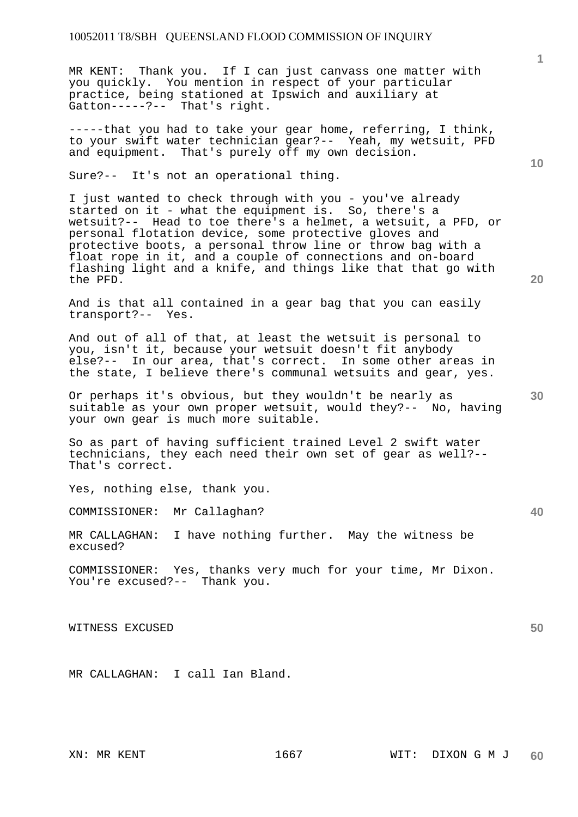MR KENT: Thank you. If I can just canvass one matter with you quickly. You mention in respect of your particular practice, being stationed at Ipswich and auxiliary at Gatton-----?-- That's right.

-----that you had to take your gear home, referring, I think, to your swift water technician gear?-- Yeah, my wetsuit, PFD and equipment. That's purely off my own decision.

Sure?-- It's not an operational thing.

I just wanted to check through with you - you've already started on it - what the equipment is. So, there's a wetsuit?-- Head to toe there's a helmet, a wetsuit, a PFD, or personal flotation device, some protective gloves and protective boots, a personal throw line or throw bag with a float rope in it, and a couple of connections and on-board flashing light and a knife, and things like that that go with the PFD.

And is that all contained in a gear bag that you can easily transport?-- Yes.

And out of all of that, at least the wetsuit is personal to you, isn't it, because your wetsuit doesn't fit anybody else?-- In our area, that's correct. In some other areas in the state, I believe there's communal wetsuits and gear, yes.

Or perhaps it's obvious, but they wouldn't be nearly as suitable as your own proper wetsuit, would they?-- No, having your own gear is much more suitable.

So as part of having sufficient trained Level 2 swift water technicians, they each need their own set of gear as well?-- That's correct.

Yes, nothing else, thank you.

COMMISSIONER: Mr Callaghan?

MR CALLAGHAN: I have nothing further. May the witness be excused?

COMMISSIONER: Yes, thanks very much for your time, Mr Dixon. You're excused?-- Thank you.

WITNESS EXCUSED

MR CALLAGHAN: I call Ian Bland.

**10** 

**20** 

**1**

**50**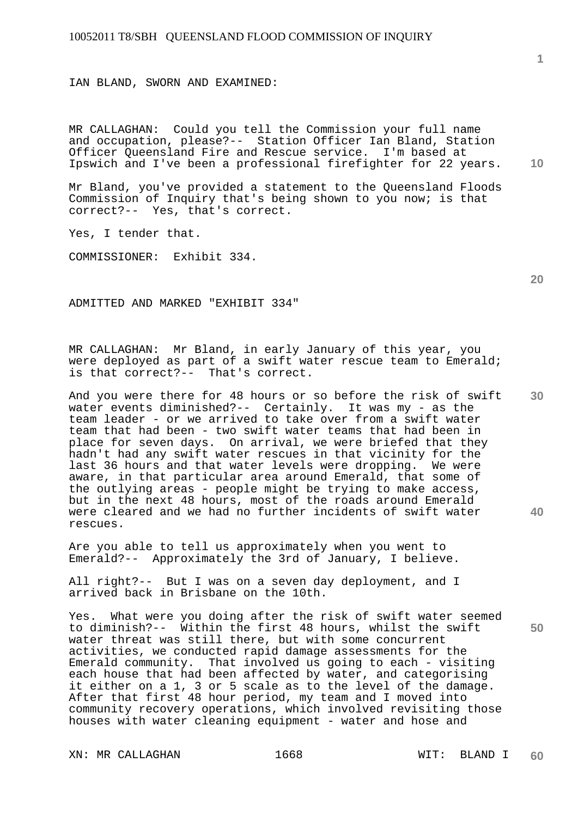IAN BLAND, SWORN AND EXAMINED:

**10**  MR CALLAGHAN: Could you tell the Commission your full name and occupation, please?-- Station Officer Ian Bland, Station Officer Queensland Fire and Rescue service. I'm based at Ipswich and I've been a professional firefighter for 22 years.

Mr Bland, you've provided a statement to the Queensland Floods Commission of Inquiry that's being shown to you now; is that correct?-- Yes, that's correct.

Yes, I tender that.

COMMISSIONER: Exhibit 334.

ADMITTED AND MARKED "EXHIBIT 334"

MR CALLAGHAN: Mr Bland, in early January of this year, you were deployed as part of a swift water rescue team to Emerald; is that correct?-- That's correct.

**30 40**  And you were there for 48 hours or so before the risk of swift water events diminished?-- Certainly. It was my - as the team leader - or we arrived to take over from a swift water team that had been - two swift water teams that had been in place for seven days. On arrival, we were briefed that they hadn't had any swift water rescues in that vicinity for the last 36 hours and that water levels were dropping. We were aware, in that particular area around Emerald, that some of the outlying areas - people might be trying to make access, but in the next 48 hours, most of the roads around Emerald were cleared and we had no further incidents of swift water rescues.

Are you able to tell us approximately when you went to Emerald?-- Approximately the 3rd of January, I believe.

All right?-- But I was on a seven day deployment, and I arrived back in Brisbane on the 10th.

Yes. What were you doing after the risk of swift water seemed to diminish?-- Within the first 48 hours, whilst the swift water threat was still there, but with some concurrent activities, we conducted rapid damage assessments for the Emerald community. That involved us going to each - visiting each house that had been affected by water, and categorising it either on a 1, 3 or 5 scale as to the level of the damage. After that first 48 hour period, my team and I moved into community recovery operations, which involved revisiting those houses with water cleaning equipment - water and hose and

XN: MR CALLAGHAN 1668 MIT: BLAND I

**1**

**20**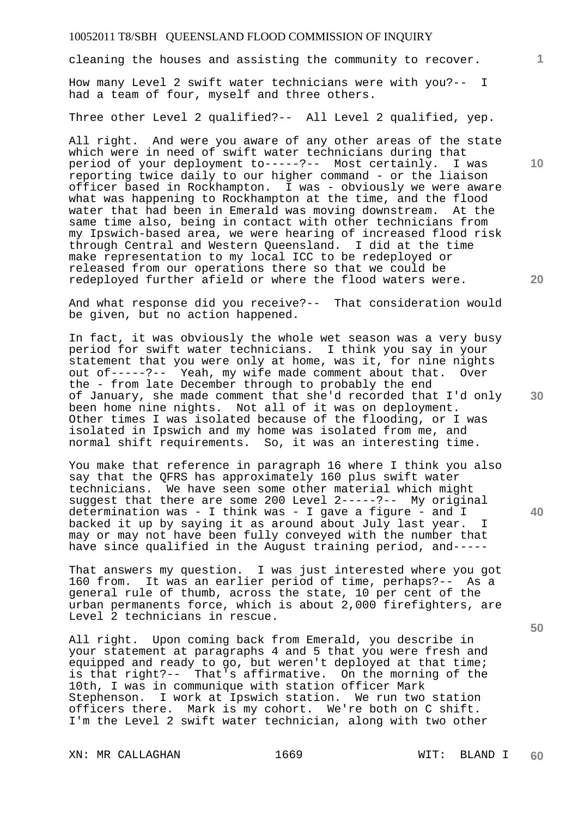cleaning the houses and assisting the community to recover.

How many Level 2 swift water technicians were with you?-- I had a team of four, myself and three others.

Three other Level 2 qualified?-- All Level 2 qualified, yep.

All right. And were you aware of any other areas of the state which were in need of swift water technicians during that period of your deployment to-----?-- Most certainly. I was reporting twice daily to our higher command - or the liaison officer based in Rockhampton. I was - obviously we were aware what was happening to Rockhampton at the time, and the flood water that had been in Emerald was moving downstream. At the same time also, being in contact with other technicians from my Ipswich-based area, we were hearing of increased flood risk through Central and Western Queensland. I did at the time make representation to my local ICC to be redeployed or released from our operations there so that we could be redeployed further afield or where the flood waters were.

And what response did you receive?-- That consideration would be given, but no action happened.

In fact, it was obviously the whole wet season was a very busy period for swift water technicians. I think you say in your statement that you were only at home, was it, for nine nights out of-----?-- Yeah, my wife made comment about that. Over the - from late December through to probably the end of January, she made comment that she'd recorded that I'd only been home nine nights. Not all of it was on deployment. Other times I was isolated because of the flooding, or I was isolated in Ipswich and my home was isolated from me, and normal shift requirements. So, it was an interesting time.

You make that reference in paragraph 16 where I think you also say that the QFRS has approximately 160 plus swift water technicians. We have seen some other material which might suggest that there are some 200 Level 2-----?-- My original determination was - I think was - I gave a figure - and I backed it up by saying it as around about July last year. I may or may not have been fully conveyed with the number that have since qualified in the August training period, and-----

That answers my question. I was just interested where you got 160 from. It was an earlier period of time, perhaps?-- As a general rule of thumb, across the state, 10 per cent of the urban permanents force, which is about 2,000 firefighters, are Level 2 technicians in rescue.

All right. Upon coming back from Emerald, you describe in your statement at paragraphs 4 and 5 that you were fresh and equipped and ready to go, but weren't deployed at that time; is that right?-- That's affirmative. On the morning of the 10th, I was in communique with station officer Mark Stephenson. I work at Ipswich station. We run two station officers there. Mark is my cohort. We're both on C shift. I'm the Level 2 swift water technician, along with two other

XN: MR CALLAGHAN 1669 MIT: BLAND I

**10** 

**1**

**20** 

**40**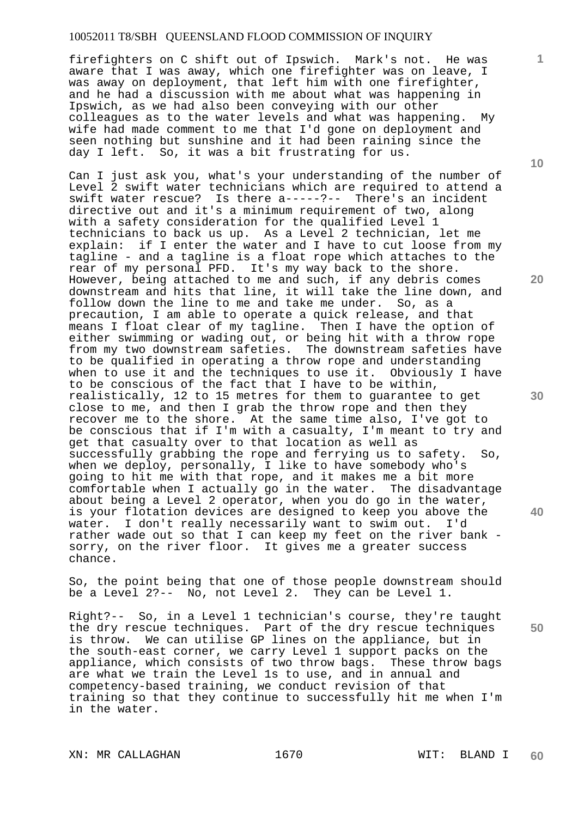firefighters on C shift out of Ipswich. Mark's not. He was aware that I was away, which one firefighter was on leave, I was away on deployment, that left him with one firefighter, and he had a discussion with me about what was happening in Ipswich, as we had also been conveying with our other colleagues as to the water levels and what was happening. My wife had made comment to me that I'd gone on deployment and seen nothing but sunshine and it had been raining since the day I left. So, it was a bit frustrating for us.

Can I just ask you, what's your understanding of the number of Level 2 swift water technicians which are required to attend a swift water rescue? Is there a-----?-- There's an incident directive out and it's a minimum requirement of two, along with a safety consideration for the qualified Level 1 technicians to back us up. As a Level 2 technician, let me explain: if I enter the water and I have to cut loose from my tagline - and a tagline is a float rope which attaches to the rear of my personal PFD. It's my way back to the shore. However, being attached to me and such, if any debris comes downstream and hits that line, it will take the line down, and follow down the line to me and take me under. So, as a precaution, I am able to operate a quick release, and that means I float clear of my tagline. Then I have the option of either swimming or wading out, or being hit with a throw rope from my two downstream safeties. The downstream safeties have to be qualified in operating a throw rope and understanding when to use it and the techniques to use it. Obviously I have to be conscious of the fact that I have to be within, realistically, 12 to 15 metres for them to guarantee to get close to me, and then I grab the throw rope and then they recover me to the shore. At the same time also, I've got to be conscious that if I'm with a casualty, I'm meant to try and get that casualty over to that location as well as successfully grabbing the rope and ferrying us to safety. So, when we deploy, personally, I like to have somebody who's going to hit me with that rope, and it makes me a bit more comfortable when I actually go in the water. The disadvantage about being a Level 2 operator, when you do go in the water, is your flotation devices are designed to keep you above the<br>water. I don't really necessarily want to swim out. I'd water. I don't really necessarily want to swim out. rather wade out so that I can keep my feet on the river bank sorry, on the river floor. It gives me a greater success chance.

So, the point being that one of those people downstream should be a Level 2?-- No, not Level 2. They can be Level 1.

Right?-- So, in a Level 1 technician's course, they're taught the dry rescue techniques. Part of the dry rescue techniques is throw. We can utilise GP lines on the appliance, but in the south-east corner, we carry Level 1 support packs on the appliance, which consists of two throw bags. These throw bags are what we train the Level 1s to use, and in annual and competency-based training, we conduct revision of that training so that they continue to successfully hit me when I'm in the water.

XN: MR CALLAGHAN 1670 1670 WIT: BLAND I

**60** 

**10** 

**1**

**20** 

**30** 

**40**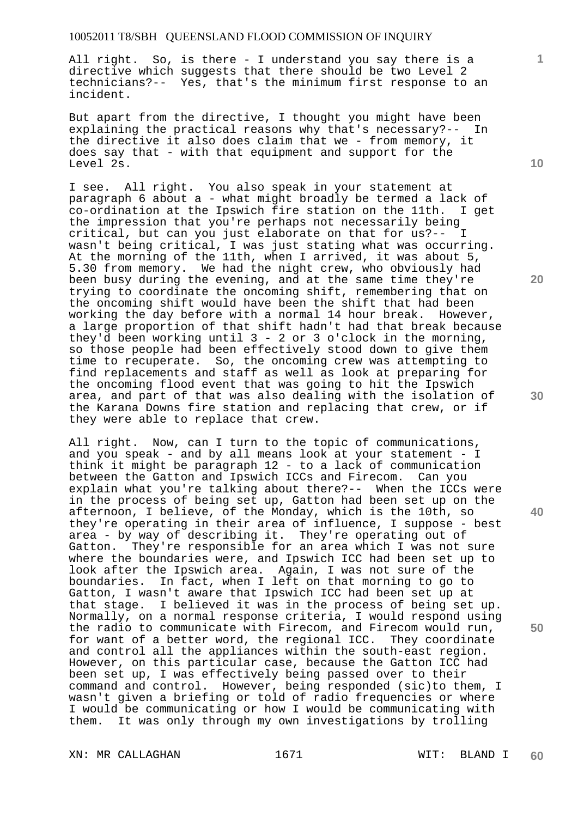All right. So, is there - I understand you say there is a directive which suggests that there should be two Level 2 technicians?-- Yes, that's the minimum first response to an incident.

But apart from the directive, I thought you might have been explaining the practical reasons why that's necessary?-- In the directive it also does claim that we - from memory, it does say that - with that equipment and support for the Level 2s.

I see. All right. You also speak in your statement at paragraph 6 about a - what might broadly be termed a lack of co-ordination at the Ipswich fire station on the 11th. I get the impression that you're perhaps not necessarily being critical, but can you just elaborate on that for us?-- I wasn't being critical, I was just stating what was occurring. At the morning of the 11th, when I arrived, it was about 5, 5.30 from memory. We had the night crew, who obviously had been busy during the evening, and at the same time they're trying to coordinate the oncoming shift, remembering that on the oncoming shift would have been the shift that had been working the day before with a normal 14 hour break. However, a large proportion of that shift hadn't had that break because they'd been working until 3 - 2 or 3 o'clock in the morning, so those people had been effectively stood down to give them time to recuperate. So, the oncoming crew was attempting to find replacements and staff as well as look at preparing for the oncoming flood event that was going to hit the Ipswich area, and part of that was also dealing with the isolation of the Karana Downs fire station and replacing that crew, or if they were able to replace that crew.

All right. Now, can I turn to the topic of communications, and you speak - and by all means look at your statement - I think it might be paragraph 12 - to a lack of communication between the Gatton and Ipswich ICCs and Firecom. Can you explain what you're talking about there?-- When the ICCs were in the process of being set up, Gatton had been set up on the afternoon, I believe, of the Monday, which is the 10th, so they're operating in their area of influence, I suppose - best area - by way of describing it. They're operating out of Gatton. They're responsible for an area which I was not sure where the boundaries were, and Ipswich ICC had been set up to look after the Ipswich area. Again, I was not sure of the boundaries. In fact, when I left on that morning to go to Gatton, I wasn't aware that Ipswich ICC had been set up at that stage. I believed it was in the process of being set up. Normally, on a normal response criteria, I would respond using the radio to communicate with Firecom, and Firecom would run, for want of a better word, the regional ICC. They coordinate and control all the appliances within the south-east region. However, on this particular case, because the Gatton ICC had been set up, I was effectively being passed over to their command and control. However, being responded (sic)to them, I wasn't given a briefing or told of radio frequencies or where I would be communicating or how I would be communicating with them. It was only through my own investigations by trolling

XN: MR CALLAGHAN 1671 1671 WIT: BLAND I

**10** 

**1**

**20** 

**30** 

**40**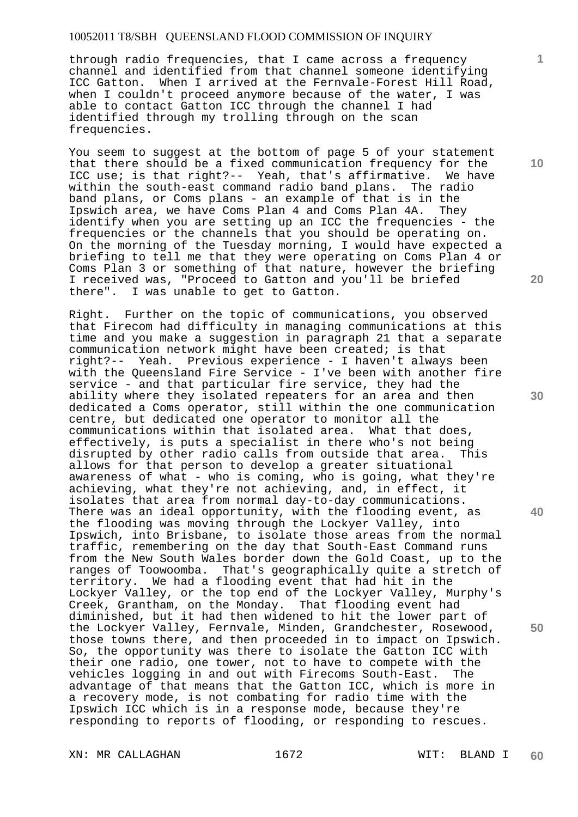through radio frequencies, that I came across a frequency channel and identified from that channel someone identifying<br>ICC Gatton. When I arrived at the Fernvale-Forest Hill Road When I arrived at the Fernvale-Forest Hill Road, when I couldn't proceed anymore because of the water, I was able to contact Gatton ICC through the channel I had identified through my trolling through on the scan frequencies.

You seem to suggest at the bottom of page 5 of your statement that there should be a fixed communication frequency for the ICC use; is that right?-- Yeah, that's affirmative. We have within the south-east command radio band plans. The radio band plans, or Coms plans - an example of that is in the Ipswich area. we have Coms Plan 4 and Coms Plan 4A. They Ipswich area, we have Coms Plan 4 and Coms Plan 4A. identify when you are setting up an ICC the frequencies - the frequencies or the channels that you should be operating on. On the morning of the Tuesday morning, I would have expected a briefing to tell me that they were operating on Coms Plan 4 or Coms Plan 3 or something of that nature, however the briefing I received was, "Proceed to Gatton and you'll be briefed there". I was unable to get to Gatton.

Right. Further on the topic of communications, you observed that Firecom had difficulty in managing communications at this time and you make a suggestion in paragraph 21 that a separate communication network might have been created; is that right?-- Yeah. Previous experience - I haven't always been with the Queensland Fire Service - I've been with another fire service - and that particular fire service, they had the ability where they isolated repeaters for an area and then dedicated a Coms operator, still within the one communication centre, but dedicated one operator to monitor all the communications within that isolated area. What that does, effectively, is puts a specialist in there who's not being disrupted by other radio calls from outside that area. This allows for that person to develop a greater situational awareness of what - who is coming, who is going, what they're achieving, what they're not achieving, and, in effect, it isolates that area from normal day-to-day communications. There was an ideal opportunity, with the flooding event, as the flooding was moving through the Lockyer Valley, into Ipswich, into Brisbane, to isolate those areas from the normal traffic, remembering on the day that South-East Command runs from the New South Wales border down the Gold Coast, up to the ranges of Toowoomba. That's geographically quite a stretch of territory. We had a flooding event that had hit in the Lockyer Valley, or the top end of the Lockyer Valley, Murphy's Creek, Grantham, on the Monday. That flooding event had diminished, but it had then widened to hit the lower part of the Lockyer Valley, Fernvale, Minden, Grandchester, Rosewood, those towns there, and then proceeded in to impact on Ipswich. So, the opportunity was there to isolate the Gatton ICC with their one radio, one tower, not to have to compete with the vehicles logging in and out with Firecoms South-East. The advantage of that means that the Gatton ICC, which is more in a recovery mode, is not combating for radio time with the Ipswich ICC which is in a response mode, because they're responding to reports of flooding, or responding to rescues.

XN: MR CALLAGHAN 1672 WIT: BLAND I

**10** 

**1**

**20** 

**30** 

**40**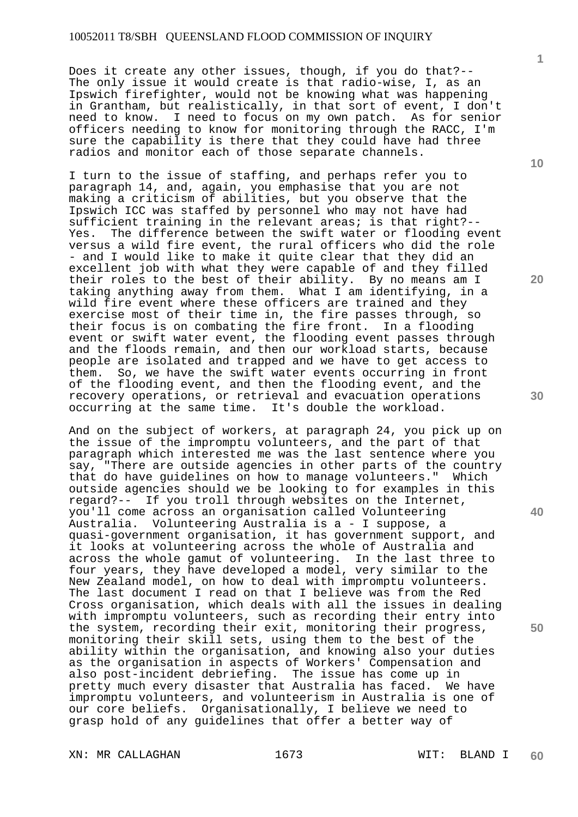Does it create any other issues, though, if you do that?-- The only issue it would create is that radio-wise, I, as an Ipswich firefighter, would not be knowing what was happening in Grantham, but realistically, in that sort of event, I don't need to know. I need to focus on my own patch. As for senior officers needing to know for monitoring through the RACC, I'm sure the capability is there that they could have had three radios and monitor each of those separate channels.

I turn to the issue of staffing, and perhaps refer you to paragraph 14, and, again, you emphasise that you are not making a criticism of abilities, but you observe that the Ipswich ICC was staffed by personnel who may not have had sufficient training in the relevant areas; is that right?-- Yes. The difference between the swift water or flooding event versus a wild fire event, the rural officers who did the role - and I would like to make it quite clear that they did an excellent job with what they were capable of and they filled their roles to the best of their ability. By no means am I taking anything away from them. What I am identifying, in a wild fire event where these officers are trained and they exercise most of their time in, the fire passes through, so their focus is on combating the fire front. In a flooding event or swift water event, the flooding event passes through and the floods remain, and then our workload starts, because people are isolated and trapped and we have to get access to them. So, we have the swift water events occurring in front of the flooding event, and then the flooding event, and the recovery operations, or retrieval and evacuation operations occurring at the same time. It's double the workload.

And on the subject of workers, at paragraph 24, you pick up on the issue of the impromptu volunteers, and the part of that paragraph which interested me was the last sentence where you say, "There are outside agencies in other parts of the country that do have guidelines on how to manage volunteers." Which outside agencies should we be looking to for examples in this regard?-- If you troll through websites on the Internet, you'll come across an organisation called Volunteering Australia. Volunteering Australia is a - I suppose, a quasi-government organisation, it has government support, and it looks at volunteering across the whole of Australia and across the whole gamut of volunteering. In the last three to four years, they have developed a model, very similar to the New Zealand model, on how to deal with impromptu volunteers. The last document I read on that I believe was from the Red Cross organisation, which deals with all the issues in dealing with impromptu volunteers, such as recording their entry into the system, recording their exit, monitoring their progress, monitoring their skill sets, using them to the best of the ability within the organisation, and knowing also your duties as the organisation in aspects of Workers' Compensation and also post-incident debriefing. The issue has come up in pretty much every disaster that Australia has faced. We have impromptu volunteers, and volunteerism in Australia is one of our core beliefs. Organisationally, I believe we need to grasp hold of any guidelines that offer a better way of

XN: MR CALLAGHAN 1673 1673 WIT: BLAND I

**10** 

**1**

**20** 

**40**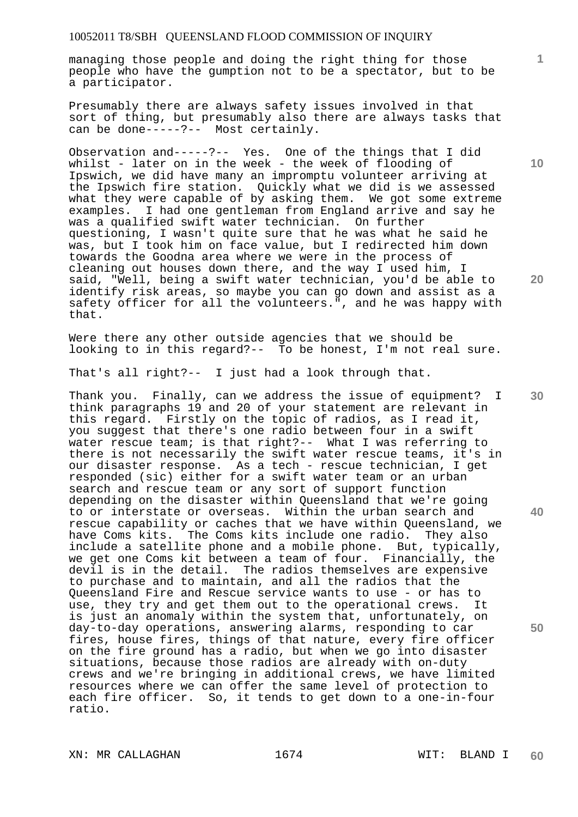managing those people and doing the right thing for those people who have the gumption not to be a spectator, but to be a participator.

Presumably there are always safety issues involved in that sort of thing, but presumably also there are always tasks that can be done-----?-- Most certainly.

Observation and-----?-- Yes. One of the things that I did whilst - later on in the week - the week of flooding of Ipswich, we did have many an impromptu volunteer arriving at the Ipswich fire station. Quickly what we did is we assessed what they were capable of by asking them. We got some extreme examples. I had one gentleman from England arrive and say he was a qualified swift water technician. On further questioning, I wasn't quite sure that he was what he said he was, but I took him on face value, but I redirected him down towards the Goodna area where we were in the process of cleaning out houses down there, and the way I used him, I said, "Well, being a swift water technician, you'd be able to identify risk areas, so maybe you can go down and assist as a safety officer for all the volunteers.", and he was happy with that.

Were there any other outside agencies that we should be looking to in this regard?-- To be honest, I'm not real sure.

That's all right?-- I just had a look through that.

Thank you. Finally, can we address the issue of equipment? I think paragraphs 19 and 20 of your statement are relevant in this regard. Firstly on the topic of radios, as I read it, you suggest that there's one radio between four in a swift water rescue team; is that right?-- What I was referring to there is not necessarily the swift water rescue teams, it's in our disaster response. As a tech - rescue technician, I get responded (sic) either for a swift water team or an urban search and rescue team or any sort of support function depending on the disaster within Queensland that we're going to or interstate or overseas. Within the urban search and rescue capability or caches that we have within Queensland, we have Coms kits. The Coms kits include one radio. They also include a satellite phone and a mobile phone. But, typically, we get one Coms kit between a team of four. Financially, the devil is in the detail. The radios themselves are expensive to purchase and to maintain, and all the radios that the Queensland Fire and Rescue service wants to use - or has to use, they try and get them out to the operational crews. It is just an anomaly within the system that, unfortunately, on day-to-day operations, answering alarms, responding to car fires, house fires, things of that nature, every fire officer on the fire ground has a radio, but when we go into disaster situations, because those radios are already with on-duty crews and we're bringing in additional crews, we have limited resources where we can offer the same level of protection to each fire officer. So, it tends to get down to a one-in-four ratio.

**10** 

**1**

**20** 

**40** 

**50**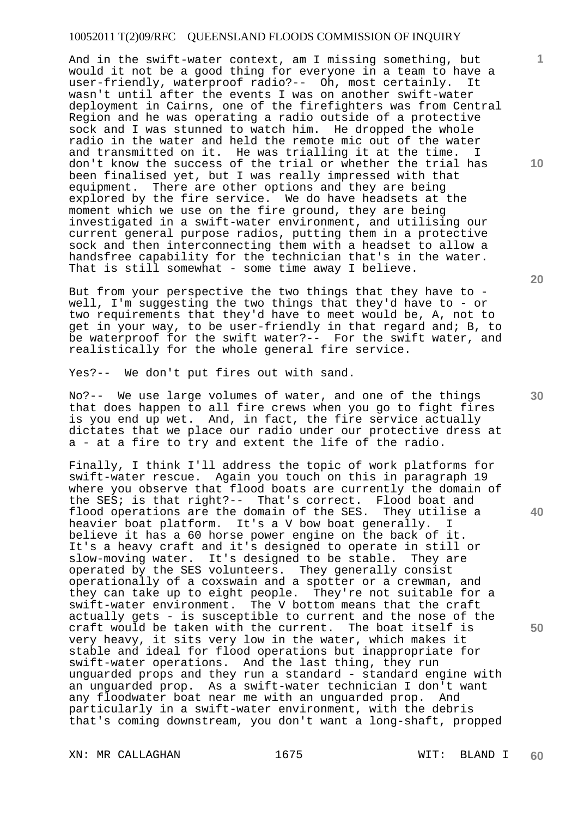And in the swift-water context, am I missing something, but would it not be a good thing for everyone in a team to have a user-friendly, waterproof radio?-- Oh, most certainly. It wasn't until after the events I was on another swift-water deployment in Cairns, one of the firefighters was from Central Region and he was operating a radio outside of a protective sock and I was stunned to watch him. He dropped the whole radio in the water and held the remote mic out of the water and transmitted on it. He was trialling it at the time. I don't know the success of the trial or whether the trial has been finalised yet, but I was really impressed with that equipment. There are other options and they are being explored by the fire service. We do have headsets at the moment which we use on the fire ground, they are being investigated in a swift-water environment, and utilising our current general purpose radios, putting them in a protective sock and then interconnecting them with a headset to allow a handsfree capability for the technician that's in the water. That is still somewhat - some time away I believe.

But from your perspective the two things that they have to well, I'm suggesting the two things that they'd have to - or two requirements that they'd have to meet would be, A, not to get in your way, to be user-friendly in that regard and; B, to be waterproof for the swift water?-- For the swift water, and realistically for the whole general fire service.

Yes?-- We don't put fires out with sand.

No?-- We use large volumes of water, and one of the things that does happen to all fire crews when you go to fight fires is you end up wet. And, in fact, the fire service actually dictates that we place our radio under our protective dress at a - at a fire to try and extent the life of the radio.

Finally, I think I'll address the topic of work platforms for swift-water rescue. Again you touch on this in paragraph 19 where you observe that flood boats are currently the domain of the SES; is that right?-- That's correct. Flood boat and flood operations are the domain of the SES. They utilise a heavier boat platform. It's a V bow boat generally. I believe it has a 60 horse power engine on the back of it. It's a heavy craft and it's designed to operate in still or slow-moving water. It's designed to be stable. They are operated by the SES volunteers. They generally consist operationally of a coxswain and a spotter or a crewman, and they can take up to eight people. They're not suitable for a swift-water environment. The V bottom means that the craft actually gets - is susceptible to current and the nose of the craft would be taken with the current. The boat itself is very heavy, it sits very low in the water, which makes it stable and ideal for flood operations but inappropriate for swift-water operations. And the last thing, they run unguarded props and they run a standard - standard engine with an unguarded prop. As a swift-water technician I don't want any floodwater boat near me with an unguarded prop. And particularly in a swift-water environment, with the debris that's coming downstream, you don't want a long-shaft, propped

XN: MR CALLAGHAN 1675 1675 WIT: BLAND I

**60** 

**30** 

**20** 

**40** 

**50** 

**10**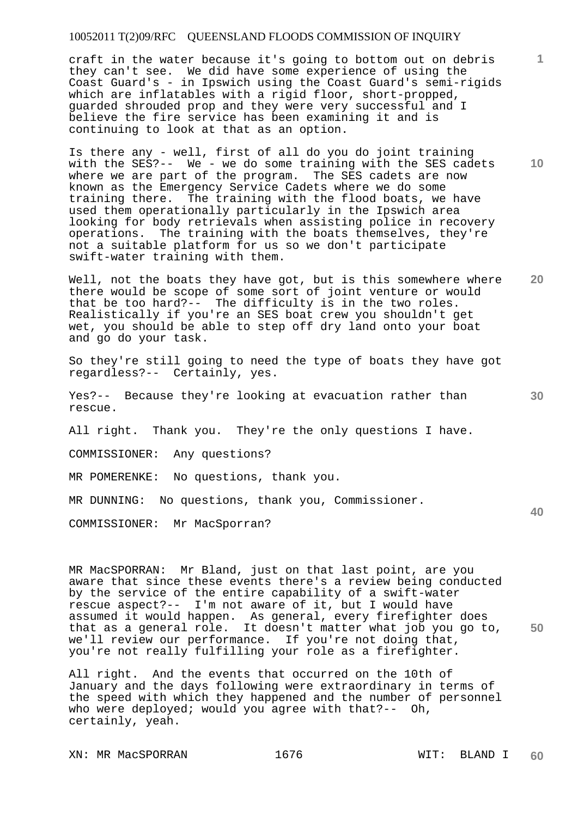craft in the water because it's going to bottom out on debris they can't see. We did have some experience of using the Coast Guard's - in Ipswich using the Coast Guard's semi-rigids which are inflatables with a rigid floor, short-propped, guarded shrouded prop and they were very successful and I believe the fire service has been examining it and is continuing to look at that as an option.

Is there any - well, first of all do you do joint training with the SES?-- We - we do some training with the SES cadets where we are part of the program. The SES cadets are now known as the Emergency Service Cadets where we do some training there. The training with the flood boats, we have used them operationally particularly in the Ipswich area looking for body retrievals when assisting police in recovery operations. The training with the boats themselves, they're not a suitable platform for us so we don't participate swift-water training with them.

Well, not the boats they have got, but is this somewhere where there would be scope of some sort of joint venture or would that be too hard?-- The difficulty is in the two roles. Realistically if you're an SES boat crew you shouldn't get wet, you should be able to step off dry land onto your boat and go do your task.

So they're still going to need the type of boats they have got regardless?-- Certainly, yes.

Yes?-- Because they're looking at evacuation rather than rescue.

All right. Thank you. They're the only questions I have.

COMMISSIONER: Any questions?

MR POMERENKE: No questions, thank you.

MR DUNNING: No questions, thank you, Commissioner.

COMMISSIONER: Mr MacSporran?

**50**  MR MacSPORRAN: Mr Bland, just on that last point, are you aware that since these events there's a review being conducted by the service of the entire capability of a swift-water rescue aspect?-- I'm not aware of it, but I would have assumed it would happen. As general, every firefighter does that as a general role. It doesn't matter what job you go to, we'll review our performance. If you're not doing that, you're not really fulfilling your role as a firefighter.

All right. And the events that occurred on the 10th of January and the days following were extraordinary in terms of the speed with which they happened and the number of personnel who were deployed; would you agree with that?-- Oh, certainly, yeah.

**1**

**10** 

**20** 

**30**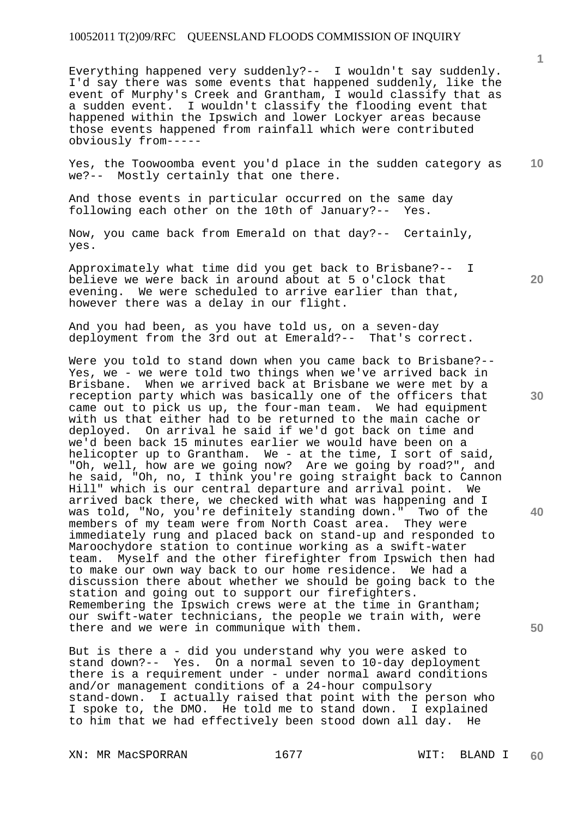Everything happened very suddenly?-- I wouldn't say suddenly. I'd say there was some events that happened suddenly, like the event of Murphy's Creek and Grantham, I would classify that as a sudden event. I wouldn't classify the flooding event that happened within the Ipswich and lower Lockyer areas because those events happened from rainfall which were contributed obviously from-----

**10**  Yes, the Toowoomba event you'd place in the sudden category as we?-- Mostly certainly that one there.

And those events in particular occurred on the same day following each other on the 10th of January?-- Yes.

Now, you came back from Emerald on that day?-- Certainly, yes.

Approximately what time did you get back to Brisbane?-- I believe we were back in around about at 5 o'clock that evening. We were scheduled to arrive earlier than that, however there was a delay in our flight.

And you had been, as you have told us, on a seven-day deployment from the 3rd out at Emerald?-- That's correct.

Were you told to stand down when you came back to Brisbane?-- Yes, we - we were told two things when we've arrived back in Brisbane. When we arrived back at Brisbane we were met by a reception party which was basically one of the officers that came out to pick us up, the four-man team. We had equipment with us that either had to be returned to the main cache or deployed. On arrival he said if we'd got back on time and we'd been back 15 minutes earlier we would have been on a helicopter up to Grantham. We - at the time, I sort of said, "Oh, well, how are we going now? Are we going by road?", and he said, "Oh, no, I think you're going straight back to Cannon Hill" which is our central departure and arrival point. We arrived back there, we checked with what was happening and I was told, "No, you're definitely standing down." Two of the members of my team were from North Coast area. They were immediately rung and placed back on stand-up and responded to Maroochydore station to continue working as a swift-water team. Myself and the other firefighter from Ipswich then had to make our own way back to our home residence. We had a discussion there about whether we should be going back to the station and going out to support our firefighters. Remembering the Ipswich crews were at the time in Grantham; our swift-water technicians, the people we train with, were there and we were in communique with them.

But is there a - did you understand why you were asked to stand down?-- Yes. On a normal seven to 10-day deployment there is a requirement under - under normal award conditions and/or management conditions of a 24-hour compulsory stand-down. I actually raised that point with the person who I spoke to, the DMO. He told me to stand down. I explained to him that we had effectively been stood down all day. He

XN: MR MacSPORRAN 1677 1677 WIT: BLAND I

**20** 

**1**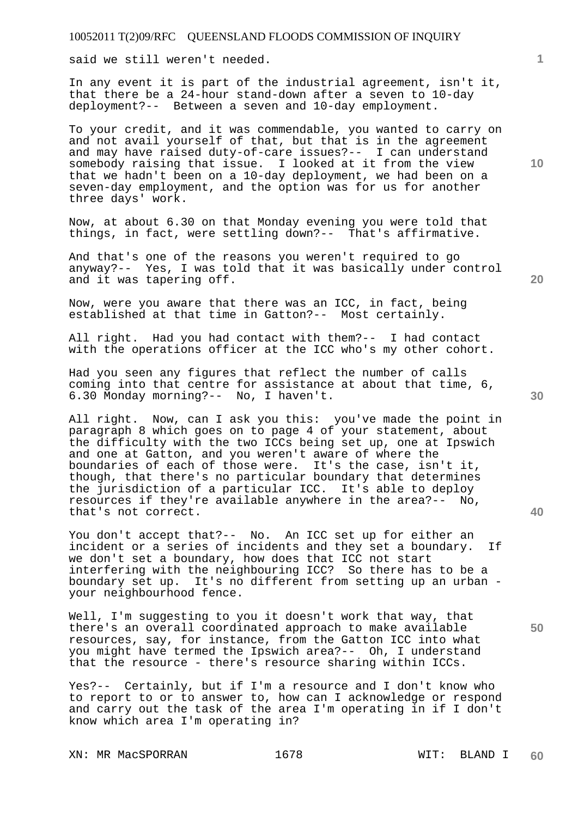said we still weren't needed.

In any event it is part of the industrial agreement, isn't it, that there be a 24-hour stand-down after a seven to 10-day deployment?-- Between a seven and 10-day employment.

To your credit, and it was commendable, you wanted to carry on and not avail yourself of that, but that is in the agreement and may have raised duty-of-care issues?-- I can understand somebody raising that issue. I looked at it from the view that we hadn't been on a 10-day deployment, we had been on a seven-day employment, and the option was for us for another three days' work.

Now, at about 6.30 on that Monday evening you were told that things, in fact, were settling down?-- That's affirmative.

And that's one of the reasons you weren't required to go anyway?-- Yes, I was told that it was basically under control and it was tapering off.

Now, were you aware that there was an ICC, in fact, being established at that time in Gatton?-- Most certainly.

All right. Had you had contact with them?-- I had contact with the operations officer at the ICC who's my other cohort.

Had you seen any figures that reflect the number of calls coming into that centre for assistance at about that time, 6, 6.30 Monday morning?-- No, I haven't.

All right. Now, can I ask you this: you've made the point in paragraph 8 which goes on to page 4 of your statement, about the difficulty with the two ICCs being set up, one at Ipswich and one at Gatton, and you weren't aware of where the boundaries of each of those were. It's the case, isn't it, though, that there's no particular boundary that determines the jurisdiction of a particular ICC. It's able to deploy resources if they're available anywhere in the area?-- No, that's not correct.

You don't accept that?-- No. An ICC set up for either an incident or a series of incidents and they set a boundary. If we don't set a boundary, how does that ICC not start interfering with the neighbouring ICC? So there has to be a boundary set up. It's no different from setting up an urban your neighbourhood fence.

Well, I'm suggesting to you it doesn't work that way, that there's an overall coordinated approach to make available resources, say, for instance, from the Gatton ICC into what you might have termed the Ipswich area?-- Oh, I understand that the resource - there's resource sharing within ICCs.

Yes?-- Certainly, but if I'm a resource and I don't know who to report to or to answer to, how can I acknowledge or respond and carry out the task of the area I'm operating in if I don't know which area I'm operating in?

XN: MR MacSPORRAN 1678 1678 WIT: BLAND I

**10** 

**1**

**20** 

**50**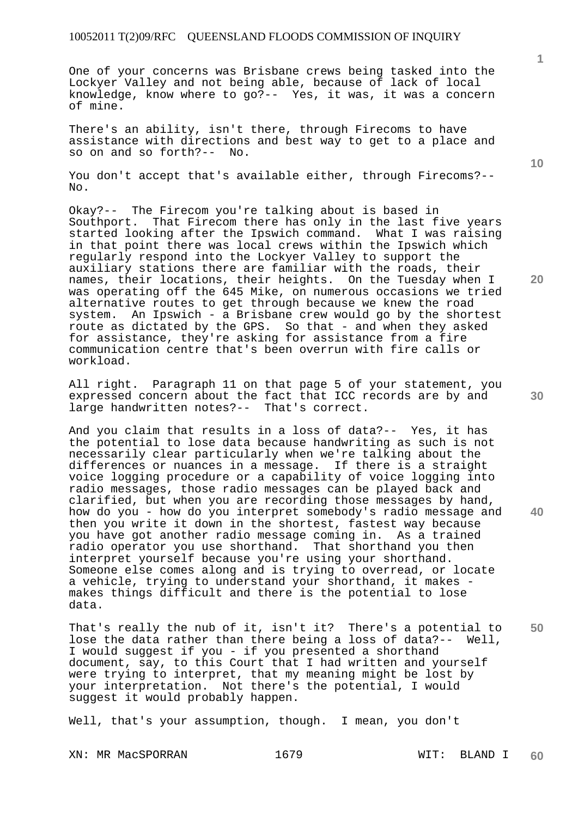One of your concerns was Brisbane crews being tasked into the Lockyer Valley and not being able, because of lack of local knowledge, know where to go?-- Yes, it was, it was a concern of mine.

There's an ability, isn't there, through Firecoms to have assistance with directions and best way to get to a place and so on and so forth?-- No.

You don't accept that's available either, through Firecoms?--No.

Okay?-- The Firecom you're talking about is based in Southport. That Firecom there has only in the last five years<br>started looking after the Ipswich command. What I was raising started looking after the Ipswich command. What I was raising in that point there was local crews within the Ipswich which regularly respond into the Lockyer Valley to support the auxiliary stations there are familiar with the roads, their names, their locations, their heights. On the Tuesday when I was operating off the 645 Mike, on numerous occasions we tried alternative routes to get through because we knew the road system. An Ipswich - a Brisbane crew would go by the shortest route as dictated by the GPS. So that - and when they asked for assistance, they're asking for assistance from a fire communication centre that's been overrun with fire calls or workload.

All right. Paragraph 11 on that page 5 of your statement, you expressed concern about the fact that ICC records are by and large handwritten notes?-- That's correct.

And you claim that results in a loss of data?-- Yes, it has the potential to lose data because handwriting as such is not necessarily clear particularly when we're talking about the differences or nuances in a message. If there is a straight voice logging procedure or a capability of voice logging into radio messages, those radio messages can be played back and clarified, but when you are recording those messages by hand, how do you - how do you interpret somebody's radio message and then you write it down in the shortest, fastest way because you have got another radio message coming in. As a trained radio operator you use shorthand. That shorthand you then interpret yourself because you're using your shorthand. Someone else comes along and is trying to overread, or locate a vehicle, trying to understand your shorthand, it makes makes things difficult and there is the potential to lose data.

**50**  That's really the nub of it, isn't it? There's a potential to lose the data rather than there being a loss of data?-- Well, I would suggest if you - if you presented a shorthand document, say, to this Court that I had written and yourself were trying to interpret, that my meaning might be lost by your interpretation. Not there's the potential, I would suggest it would probably happen.

Well, that's your assumption, though. I mean, you don't

XN: MR MacSPORRAN 1679 1679 WIT: BLAND I

**10** 

**1**

**30** 

**40**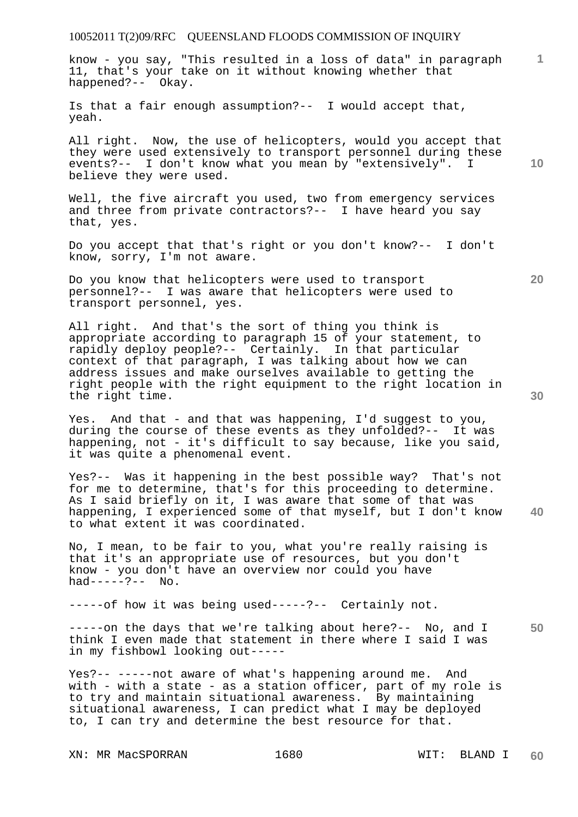know - you say, "This resulted in a loss of data" in paragraph 11, that's your take on it without knowing whether that happened?-- Okay.

Is that a fair enough assumption?-- I would accept that, yeah.

**10**  All right. Now, the use of helicopters, would you accept that they were used extensively to transport personnel during these events?-- I don't know what you mean by "extensively". I believe they were used.

Well, the five aircraft you used, two from emergency services and three from private contractors?-- I have heard you say that, yes.

Do you accept that that's right or you don't know?-- I don't know, sorry, I'm not aware.

Do you know that helicopters were used to transport personnel?-- I was aware that helicopters were used to transport personnel, yes.

All right. And that's the sort of thing you think is appropriate according to paragraph 15 of your statement, to rapidly deploy people?-- Certainly. In that particular context of that paragraph, I was talking about how we can address issues and make ourselves available to getting the right people with the right equipment to the right location in the right time.

Yes. And that - and that was happening, I'd suggest to you, during the course of these events as they unfolded?-- It was happening, not - it's difficult to say because, like you said, it was quite a phenomenal event.

**40**  Yes?-- Was it happening in the best possible way? That's not for me to determine, that's for this proceeding to determine. As I said briefly on it, I was aware that some of that was happening, I experienced some of that myself, but I don't know to what extent it was coordinated.

No, I mean, to be fair to you, what you're really raising is that it's an appropriate use of resources, but you don't know - you don't have an overview nor could you have had----- $?--$  No.

-----of how it was being used-----?-- Certainly not.

**50**  -----on the days that we're talking about here?-- No, and I think I even made that statement in there where I said I was in my fishbowl looking out-----

Yes?-- -----not aware of what's happening around me. And with - with a state - as a station officer, part of my role is to try and maintain situational awareness. By maintaining situational awareness, I can predict what I may be deployed to, I can try and determine the best resource for that.

XN: MR MacSPORRAN 1680 WIT: BLAND I

**20**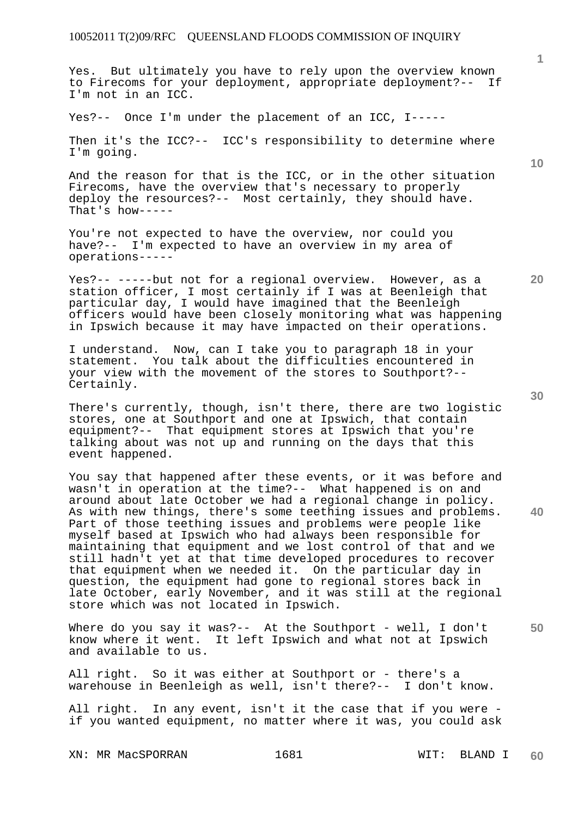Yes. But ultimately you have to rely upon the overview known to Firecoms for your deployment, appropriate deployment?-- If I'm not in an ICC.

Yes?-- Once I'm under the placement of an ICC, I-----

Then it's the ICC?-- ICC's responsibility to determine where I'm going.

And the reason for that is the ICC, or in the other situation Firecoms, have the overview that's necessary to properly deploy the resources?-- Most certainly, they should have. That's how-----

You're not expected to have the overview, nor could you have?-- I'm expected to have an overview in my area of operations-----

Yes?-- -----but not for a regional overview. However, as a station officer, I most certainly if I was at Beenleigh that particular day, I would have imagined that the Beenleigh officers would have been closely monitoring what was happening in Ipswich because it may have impacted on their operations.

I understand. Now, can I take you to paragraph 18 in your statement. You talk about the difficulties encountered in your view with the movement of the stores to Southport?-- Certainly.

There's currently, though, isn't there, there are two logistic stores, one at Southport and one at Ipswich, that contain equipment?-- That equipment stores at Ipswich that you're talking about was not up and running on the days that this event happened.

You say that happened after these events, or it was before and wasn't in operation at the time?-- What happened is on and around about late October we had a regional change in policy. As with new things, there's some teething issues and problems. Part of those teething issues and problems were people like myself based at Ipswich who had always been responsible for maintaining that equipment and we lost control of that and we still hadn't yet at that time developed procedures to recover that equipment when we needed it. On the particular day in question, the equipment had gone to regional stores back in late October, early November, and it was still at the regional store which was not located in Ipswich.

Where do you say it was?-- At the Southport - well, I don't know where it went. It left Ipswich and what not at Ipswich and available to us.

All right. So it was either at Southport or - there's a warehouse in Beenleigh as well, isn't there?-- I don't know.

All right. In any event, isn't it the case that if you were if you wanted equipment, no matter where it was, you could ask

XN: MR MacSPORRAN 1681 WIT: BLAND I

**10** 

**1**

**30** 

**20** 

**50**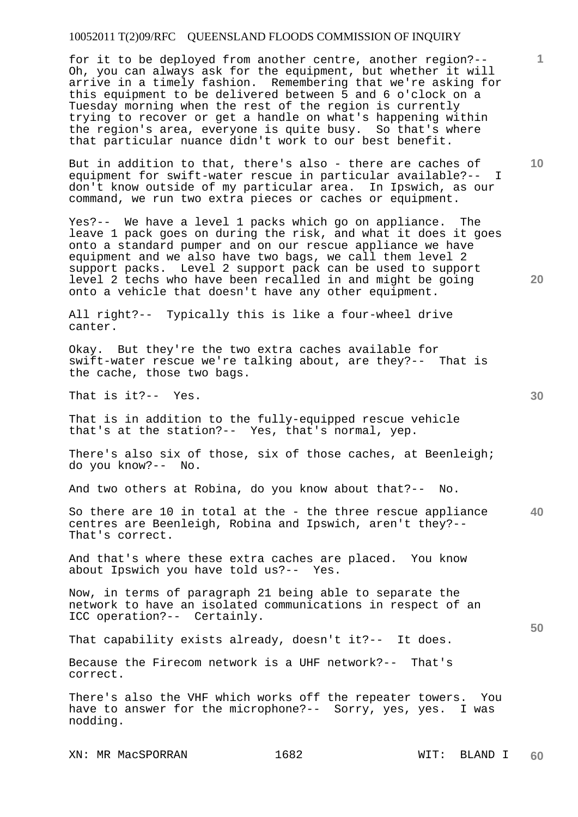for it to be deployed from another centre, another region?-- Oh, you can always ask for the equipment, but whether it will arrive in a timely fashion. Remembering that we're asking for this equipment to be delivered between 5 and 6 o'clock on a Tuesday morning when the rest of the region is currently trying to recover or get a handle on what's happening within the region's area, everyone is quite busy. So that's where that particular nuance didn't work to our best benefit.

But in addition to that, there's also - there are caches of equipment for swift-water rescue in particular available?-- I don't know outside of my particular area. In Ipswich, as our command, we run two extra pieces or caches or equipment.

Yes?-- We have a level 1 packs which go on appliance. The leave 1 pack goes on during the risk, and what it does it goes onto a standard pumper and on our rescue appliance we have equipment and we also have two bags, we call them level 2 support packs. Level 2 support pack can be used to support level 2 techs who have been recalled in and might be going onto a vehicle that doesn't have any other equipment.

All right?-- Typically this is like a four-wheel drive canter.

Okay. But they're the two extra caches available for swift-water rescue we're talking about, are they?-- That is the cache, those two bags.

That is it?-- Yes.

That is in addition to the fully-equipped rescue vehicle that's at the station?-- Yes, that's normal, yep.

There's also six of those, six of those caches, at Beenleigh; do you know?-- No.

And two others at Robina, do you know about that?-- No.

**40**  So there are 10 in total at the - the three rescue appliance centres are Beenleigh, Robina and Ipswich, aren't they?-- That's correct.

And that's where these extra caches are placed. You know about Ipswich you have told us?-- Yes.

Now, in terms of paragraph 21 being able to separate the network to have an isolated communications in respect of an ICC operation?-- Certainly.

That capability exists already, doesn't it?-- It does.

Because the Firecom network is a UHF network?-- That's correct.

There's also the VHF which works off the repeater towers. You have to answer for the microphone?-- Sorry, yes, yes. I was nodding.

XN: MR MacSPORRAN 1682 WIT: BLAND I

**1**

**10** 

**20** 

**30**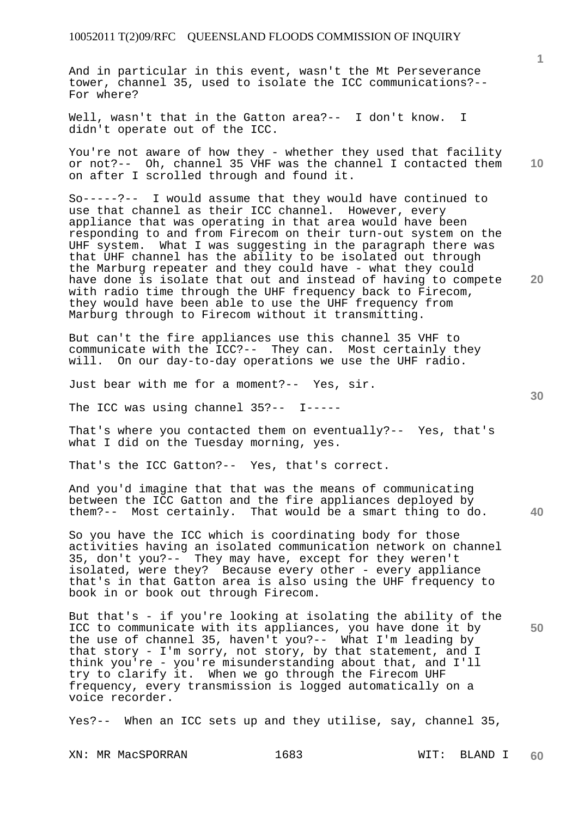And in particular in this event, wasn't the Mt Perseverance tower, channel 35, used to isolate the ICC communications?-- For where?

Well, wasn't that in the Gatton area?-- I don't know. I didn't operate out of the ICC.

You're not aware of how they - whether they used that facility or not?-- Oh, channel 35 VHF was the channel I contacted them on after I scrolled through and found it.

So-----?-- I would assume that they would have continued to use that channel as their ICC channel. However, every appliance that was operating in that area would have been responding to and from Firecom on their turn-out system on the UHF system. What I was suggesting in the paragraph there was that UHF channel has the ability to be isolated out through the Marburg repeater and they could have - what they could have done is isolate that out and instead of having to compete with radio time through the UHF frequency back to Firecom, they would have been able to use the UHF frequency from Marburg through to Firecom without it transmitting.

But can't the fire appliances use this channel 35 VHF to communicate with the ICC?-- They can. Most certainly they will. On our day-to-day operations we use the UHF radio.

Just bear with me for a moment?-- Yes, sir.

The ICC was using channel 35?-- I-----

That's where you contacted them on eventually?-- Yes, that's what I did on the Tuesday morning, yes.

That's the ICC Gatton?-- Yes, that's correct.

**40**  And you'd imagine that that was the means of communicating between the ICC Gatton and the fire appliances deployed by them?-- Most certainly. That would be a smart thing to do.

So you have the ICC which is coordinating body for those activities having an isolated communication network on channel 35, don't you?-- They may have, except for they weren't isolated, were they? Because every other - every appliance that's in that Gatton area is also using the UHF frequency to book in or book out through Firecom.

But that's - if you're looking at isolating the ability of the ICC to communicate with its appliances, you have done it by the use of channel 35, haven't you?-- What I'm leading by that story - I'm sorry, not story, by that statement, and I think you're - you're misunderstanding about that, and I'll try to clarify it. When we go through the Firecom UHF frequency, every transmission is logged automatically on a voice recorder.

Yes?-- When an ICC sets up and they utilise, say, channel 35,

**50** 

**20** 

**10**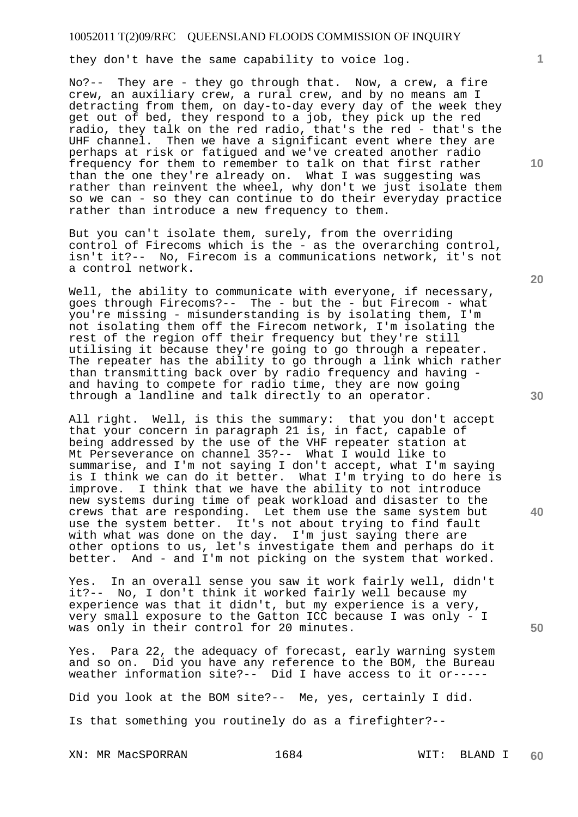they don't have the same capability to voice log.

No?-- They are - they go through that. Now, a crew, a fire crew, an auxiliary crew, a rural crew, and by no means am I detracting from them, on day-to-day every day of the week they get out of bed, they respond to a job, they pick up the red radio, they talk on the red radio, that's the red - that's the UHF channel. Then we have a significant event where they are perhaps at risk or fatigued and we've created another radio frequency for them to remember to talk on that first rather than the one they're already on. What I was suggesting was rather than reinvent the wheel, why don't we just isolate them so we can - so they can continue to do their everyday practice rather than introduce a new frequency to them.

But you can't isolate them, surely, from the overriding control of Firecoms which is the - as the overarching control, isn't it?-- No, Firecom is a communications network, it's not a control network.

Well, the ability to communicate with everyone, if necessary, goes through Firecoms?-- The - but the - but Firecom - what you're missing - misunderstanding is by isolating them, I'm not isolating them off the Firecom network, I'm isolating the rest of the region off their frequency but they're still utilising it because they're going to go through a repeater. The repeater has the ability to go through a link which rather than transmitting back over by radio frequency and having and having to compete for radio time, they are now going through a landline and talk directly to an operator.

All right. Well, is this the summary: that you don't accept that your concern in paragraph 21 is, in fact, capable of being addressed by the use of the VHF repeater station at Mt Perseverance on channel 35?-- What I would like to summarise, and I'm not saying I don't accept, what I'm saying is I think we can do it better. What I'm trying to do here is improve. I think that we have the ability to not introduce new systems during time of peak workload and disaster to the crews that are responding. Let them use the same system but use the system better. It's not about trying to find fault with what was done on the day. I'm just saying there are other options to us, let's investigate them and perhaps do it better. And - and I'm not picking on the system that worked.

Yes. In an overall sense you saw it work fairly well, didn't it?-- No, I don't think it worked fairly well because my experience was that it didn't, but my experience is a very, very small exposure to the Gatton ICC because I was only - I was only in their control for 20 minutes.

Yes. Para 22, the adequacy of forecast, early warning system and so on. Did you have any reference to the BOM, the Bureau weather information site?-- Did I have access to it or-----

Did you look at the BOM site?-- Me, yes, certainly I did.

Is that something you routinely do as a firefighter?--

XN: MR MacSPORRAN 1684 MIT: BLAND I

**20** 

**40** 

**50** 

**30** 

**10**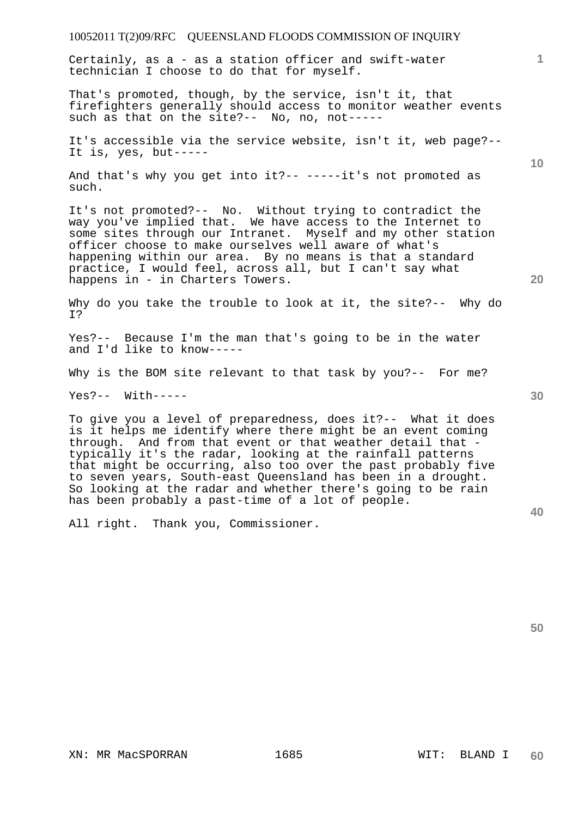Certainly, as a - as a station officer and swift-water technician I choose to do that for myself.

That's promoted, though, by the service, isn't it, that firefighters generally should access to monitor weather events such as that on the site?-- No, no, not-----

It's accessible via the service website, isn't it, web page?-- It is, yes, but-----

And that's why you get into it?-- -----it's not promoted as such.

It's not promoted?-- No. Without trying to contradict the way you've implied that. We have access to the Internet to some sites through our Intranet. Myself and my other station officer choose to make ourselves well aware of what's happening within our area. By no means is that a standard practice, I would feel, across all, but I can't say what happens in - in Charters Towers.

Why do you take the trouble to look at it, the site?-- Why do I?

Yes?-- Because I'm the man that's going to be in the water and I'd like to know-----

Why is the BOM site relevant to that task by you?-- For me?

Yes?-- With-----

To give you a level of preparedness, does it?-- What it does is it helps me identify where there might be an event coming through. And from that event or that weather detail that typically it's the radar, looking at the rainfall patterns that might be occurring, also too over the past probably five to seven years, South-east Queensland has been in a drought. So looking at the radar and whether there's going to be rain has been probably a past-time of a lot of people.

All right. Thank you, Commissioner.

**1**

**20** 

**30**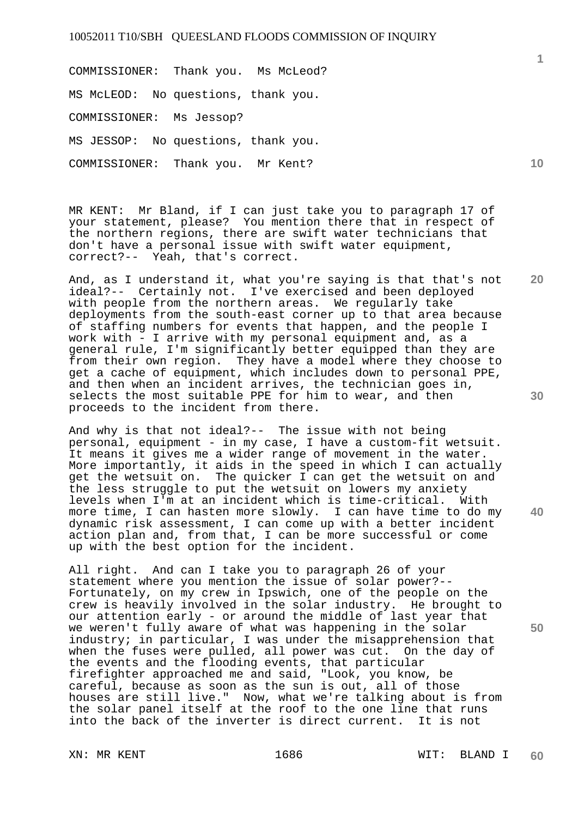COMMISSIONER: Thank you. Ms McLeod? MS McLEOD: No questions, thank you. COMMISSIONER: Ms Jessop? MS JESSOP: No questions, thank you. COMMISSIONER: Thank you. Mr Kent?

MR KENT: Mr Bland, if I can just take you to paragraph 17 of your statement, please? You mention there that in respect of the northern regions, there are swift water technicians that don't have a personal issue with swift water equipment, correct?-- Yeah, that's correct.

**20**  And, as I understand it, what you're saying is that that's not ideal?-- Certainly not. I've exercised and been deployed with people from the northern areas. We regularly take deployments from the south-east corner up to that area because of staffing numbers for events that happen, and the people I work with - I arrive with my personal equipment and, as a general rule, I'm significantly better equipped than they are from their own region. They have a model where they choose to get a cache of equipment, which includes down to personal PPE, and then when an incident arrives, the technician goes in, selects the most suitable PPE for him to wear, and then proceeds to the incident from there.

And why is that not ideal?-- The issue with not being personal, equipment - in my case, I have a custom-fit wetsuit. It means it gives me a wider range of movement in the water. More importantly, it aids in the speed in which I can actually get the wetsuit on. The quicker I can get the wetsuit on and the less struggle to put the wetsuit on lowers my anxiety levels when I'm at an incident which is time-critical. With more time, I can hasten more slowly. I can have time to do my dynamic risk assessment, I can come up with a better incident action plan and, from that, I can be more successful or come up with the best option for the incident.

All right. And can I take you to paragraph 26 of your statement where you mention the issue of solar power?-- Fortunately, on my crew in Ipswich, one of the people on the crew is heavily involved in the solar industry. He brought to our attention early - or around the middle of last year that we weren't fully aware of what was happening in the solar industry; in particular, I was under the misapprehension that when the fuses were pulled, all power was cut. On the day of the events and the flooding events, that particular firefighter approached me and said, "Look, you know, be careful, because as soon as the sun is out, all of those houses are still live." Now, what we're talking about is from the solar panel itself at the roof to the one line that runs into the back of the inverter is direct current. It is not

**1**

**30** 

**40**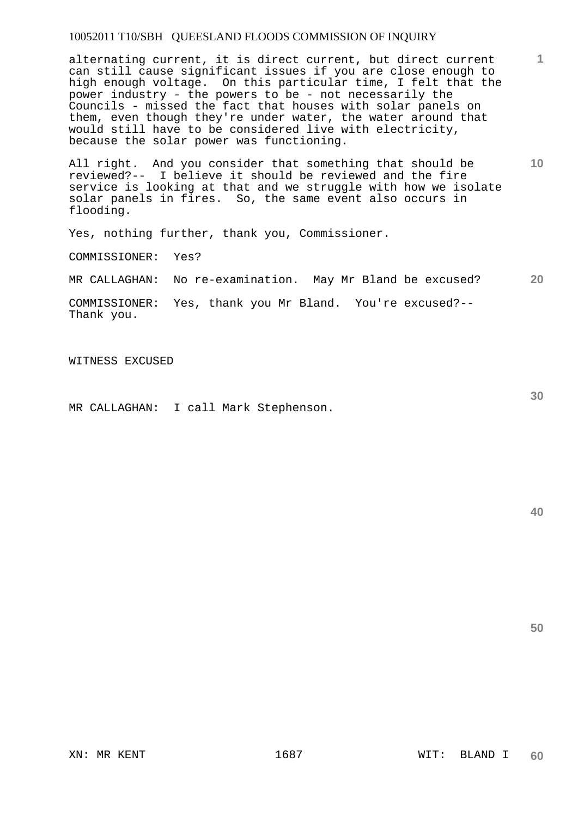alternating current, it is direct current, but direct current can still cause significant issues if you are close enough to high enough voltage. On this particular time, I felt that the power industry - the powers to be - not necessarily the Councils - missed the fact that houses with solar panels on them, even though they're under water, the water around that would still have to be considered live with electricity, because the solar power was functioning.

All right. And you consider that something that should be reviewed?-- I believe it should be reviewed and the fire service is looking at that and we struggle with how we isolate solar panels in fires. So, the same event also occurs in flooding.

Yes, nothing further, thank you, Commissioner.

COMMISSIONER: Yes?

**20**  MR CALLAGHAN: No re-examination. May Mr Bland be excused?

COMMISSIONER: Yes, thank you Mr Bland. You're excused?-- Thank you.

WITNESS EXCUSED

MR CALLAGHAN: I call Mark Stephenson.

**30** 

**1**

**10**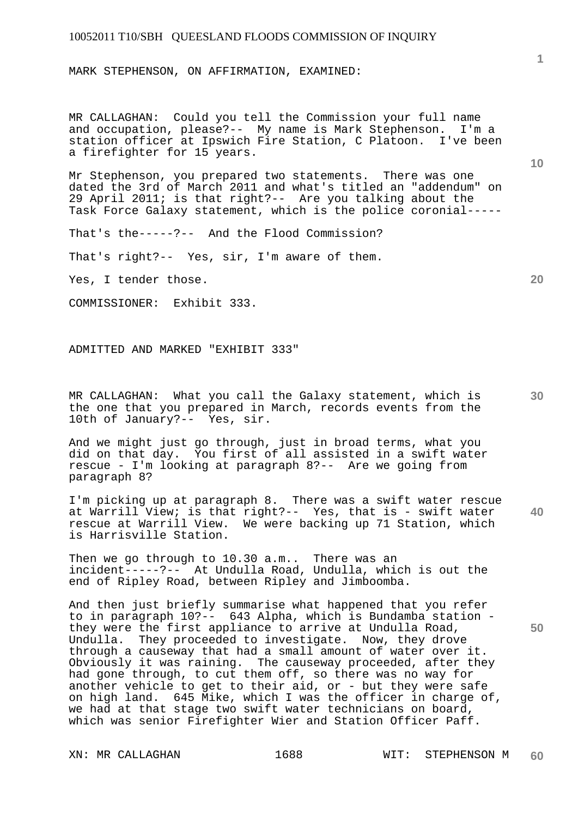MARK STEPHENSON, ON AFFIRMATION, EXAMINED:

MR CALLAGHAN: Could you tell the Commission your full name and occupation, please?-- My name is Mark Stephenson. I'm a station officer at Ipswich Fire Station, C Platoon. I've been a firefighter for 15 years.

Mr Stephenson, you prepared two statements. There was one dated the 3rd of March 2011 and what's titled an "addendum" on 29 April 2011; is that right?-- Are you talking about the Task Force Galaxy statement, which is the police coronial-----

That's the-----?-- And the Flood Commission?

That's right?-- Yes, sir, I'm aware of them.

Yes, I tender those.

COMMISSIONER: Exhibit 333.

ADMITTED AND MARKED "EXHIBIT 333"

MR CALLAGHAN: What you call the Galaxy statement, which is the one that you prepared in March, records events from the 10th of January?-- Yes, sir.

And we might just go through, just in broad terms, what you did on that day. You first of all assisted in a swift water rescue - I'm looking at paragraph 8?-- Are we going from paragraph 8?

**40**  I'm picking up at paragraph 8. There was a swift water rescue at Warrill View; is that right?-- Yes, that is - swift water rescue at Warrill View. We were backing up 71 Station, which is Harrisville Station.

Then we go through to 10.30 a.m.. There was an incident-----?-- At Undulla Road, Undulla, which is out the end of Ripley Road, between Ripley and Jimboomba.

And then just briefly summarise what happened that you refer to in paragraph 10?-- 643 Alpha, which is Bundamba station they were the first appliance to arrive at Undulla Road, Undulla. They proceeded to investigate. Now, they drove through a causeway that had a small amount of water over it. Obviously it was raining. The causeway proceeded, after they had gone through, to cut them off, so there was no way for another vehicle to get to their aid, or - but they were safe on high land. 645 Mike, which I was the officer in charge of, we had at that stage two swift water technicians on board, which was senior Firefighter Wier and Station Officer Paff.

**20** 

**10** 

**30**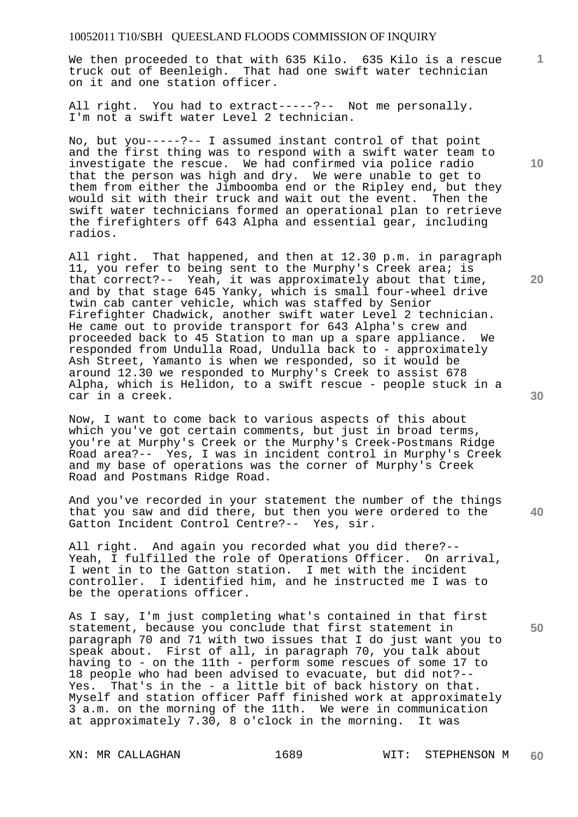We then proceeded to that with 635 Kilo. 635 Kilo is a rescue truck out of Beenleigh. That had one swift water technician on it and one station officer.

All right. You had to extract-----?-- Not me personally. I'm not a swift water Level 2 technician.

No, but you-----?-- I assumed instant control of that point and the first thing was to respond with a swift water team to investigate the rescue. We had confirmed via police radio that the person was high and dry. We were unable to get to them from either the Jimboomba end or the Ripley end, but they would sit with their truck and wait out the event. Then the swift water technicians formed an operational plan to retrieve the firefighters off 643 Alpha and essential gear, including radios.

All right. That happened, and then at 12.30 p.m. in paragraph 11, you refer to being sent to the Murphy's Creek area; is that correct?-- Yeah, it was approximately about that time, and by that stage 645 Yanky, which is small four-wheel drive twin cab canter vehicle, which was staffed by Senior Firefighter Chadwick, another swift water Level 2 technician. He came out to provide transport for 643 Alpha's crew and proceeded back to 45 Station to man up a spare appliance. We responded from Undulla Road, Undulla back to - approximately Ash Street, Yamanto is when we responded, so it would be around 12.30 we responded to Murphy's Creek to assist 678 Alpha, which is Helidon, to a swift rescue - people stuck in a car in a creek.

Now, I want to come back to various aspects of this about which you've got certain comments, but just in broad terms, you're at Murphy's Creek or the Murphy's Creek-Postmans Ridge Road area?-- Yes, I was in incident control in Murphy's Creek and my base of operations was the corner of Murphy's Creek Road and Postmans Ridge Road.

And you've recorded in your statement the number of the things that you saw and did there, but then you were ordered to the Gatton Incident Control Centre?-- Yes, sir.

All right. And again you recorded what you did there?-- Yeah, I fulfilled the role of Operations Officer. On arrival, I went in to the Gatton station. I met with the incident controller. I identified him, and he instructed me I was to be the operations officer.

As I say, I'm just completing what's contained in that first statement, because you conclude that first statement in paragraph 70 and 71 with two issues that I do just want you to speak about. First of all, in paragraph 70, you talk about having to - on the 11th - perform some rescues of some 17 to 18 people who had been advised to evacuate, but did not?-- Yes. That's in the - a little bit of back history on that. Myself and station officer Paff finished work at approximately 3 a.m. on the morning of the 11th. We were in communication at approximately 7.30, 8 o'clock in the morning. It was

**10** 

**1**

**20** 

**40**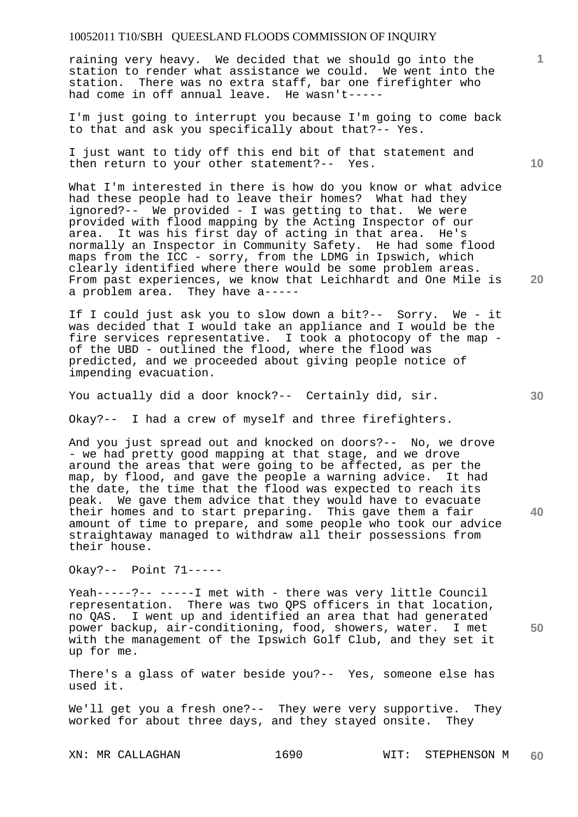raining very heavy. We decided that we should go into the station to render what assistance we could. We went into the station. There was no extra staff, bar one firefighter who had come in off annual leave. He wasn't-----

I'm just going to interrupt you because I'm going to come back to that and ask you specifically about that?-- Yes.

I just want to tidy off this end bit of that statement and then return to your other statement?-- Yes.

What I'm interested in there is how do you know or what advice had these people had to leave their homes? What had they ignored?-- We provided - I was getting to that. We were provided with flood mapping by the Acting Inspector of our area. It was his first day of acting in that area. He's normally an Inspector in Community Safety. He had some flood maps from the ICC - sorry, from the LDMG in Ipswich, which clearly identified where there would be some problem areas. From past experiences, we know that Leichhardt and One Mile is a problem area. They have a-----

If I could just ask you to slow down a bit?-- Sorry. We - it was decided that I would take an appliance and I would be the fire services representative. I took a photocopy of the map of the UBD - outlined the flood, where the flood was predicted, and we proceeded about giving people notice of impending evacuation.

You actually did a door knock?-- Certainly did, sir.

Okay?-- I had a crew of myself and three firefighters.

And you just spread out and knocked on doors?-- No, we drove - we had pretty good mapping at that stage, and we drove around the areas that were going to be affected, as per the map, by flood, and gave the people a warning advice. It had the date, the time that the flood was expected to reach its peak. We gave them advice that they would have to evacuate their homes and to start preparing. This gave them a fair amount of time to prepare, and some people who took our advice straightaway managed to withdraw all their possessions from their house.

Okay?-- Point 71-----

Yeah-----?-- -----I met with - there was very little Council representation. There was two QPS officers in that location, no QAS. I went up and identified an area that had generated power backup, air-conditioning, food, showers, water. I met with the management of the Ipswich Golf Club, and they set it up for me.

There's a glass of water beside you?-- Yes, someone else has used it.

We'll get you a fresh one?-- They were very supportive. They worked for about three days, and they stayed onsite. They

**10** 

**1**

**30** 

**20** 

**40**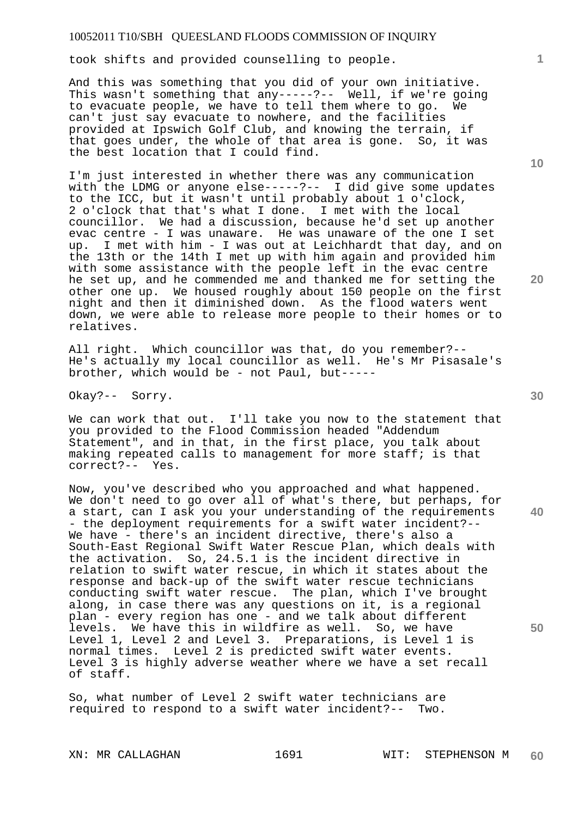took shifts and provided counselling to people.

And this was something that you did of your own initiative. This wasn't something that any-----?-- Well, if we're going to evacuate people, we have to tell them where to go. We can't just say evacuate to nowhere, and the facilities provided at Ipswich Golf Club, and knowing the terrain, if that goes under, the whole of that area is gone. So, it was the best location that I could find.

I'm just interested in whether there was any communication with the LDMG or anyone else-----?-- I did give some updates to the ICC, but it wasn't until probably about 1 o'clock, 2 o'clock that that's what I done. I met with the local councillor. We had a discussion, because he'd set up another evac centre - I was unaware. He was unaware of the one I set up. I met with him - I was out at Leichhardt that day, and on the 13th or the 14th I met up with him again and provided him with some assistance with the people left in the evac centre he set up, and he commended me and thanked me for setting the other one up. We housed roughly about 150 people on the first night and then it diminished down. As the flood waters went down, we were able to release more people to their homes or to relatives.

All right. Which councillor was that, do you remember?-- He's actually my local councillor as well. He's Mr Pisasale's brother, which would be - not Paul, but-----

Okay?-- Sorry.

We can work that out. I'll take you now to the statement that you provided to the Flood Commission headed "Addendum Statement", and in that, in the first place, you talk about making repeated calls to management for more staff; is that correct?-- Yes.

**40 50**  Now, you've described who you approached and what happened. We don't need to go over all of what's there, but perhaps, for a start, can I ask you your understanding of the requirements - the deployment requirements for a swift water incident?-- We have - there's an incident directive, there's also a South-East Regional Swift Water Rescue Plan, which deals with the activation. So, 24.5.1 is the incident directive in relation to swift water rescue, in which it states about the response and back-up of the swift water rescue technicians conducting swift water rescue. The plan, which I've brought along, in case there was any questions on it, is a regional plan - every region has one - and we talk about different levels. We have this in wildfire as well. So, we have Level 1, Level 2 and Level 3. Preparations, is Level 1 is normal times. Level 2 is predicted swift water events. Level 3 is highly adverse weather where we have a set recall of staff.

So, what number of Level 2 swift water technicians are required to respond to a swift water incident?-- Two.

**10** 

**1**

**20**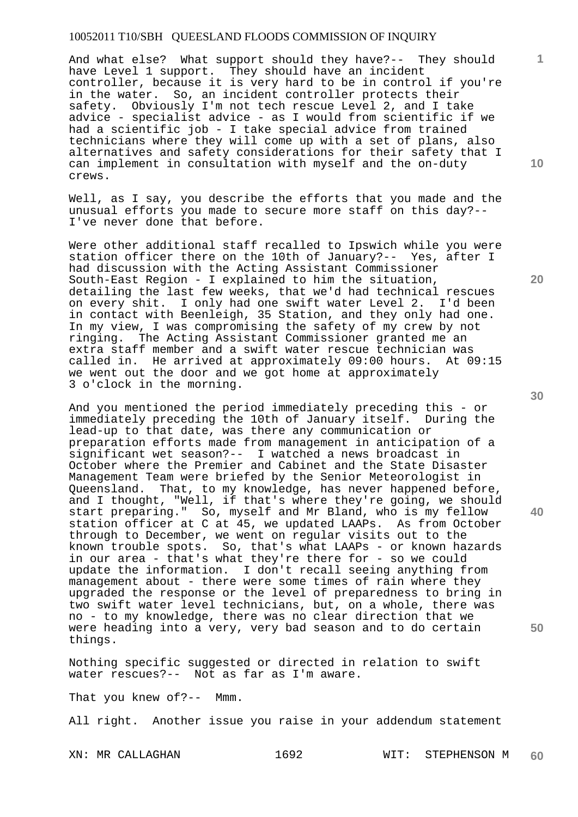And what else? What support should they have?-- They should have Level 1 support. They should have an incident controller, because it is very hard to be in control if you're in the water. So, an incident controller protects their safety. Obviously I'm not tech rescue Level 2, and I take advice - specialist advice - as I would from scientific if we had a scientific job - I take special advice from trained technicians where they will come up with a set of plans, also alternatives and safety considerations for their safety that I can implement in consultation with myself and the on-duty crews.

Well, as I say, you describe the efforts that you made and the unusual efforts you made to secure more staff on this day?-- I've never done that before.

Were other additional staff recalled to Ipswich while you were station officer there on the 10th of January?-- Yes, after I had discussion with the Acting Assistant Commissioner South-East Region - I explained to him the situation, detailing the last few weeks, that we'd had technical rescues on every shit. I only had one swift water Level 2. I'd been in contact with Beenleigh, 35 Station, and they only had one. In my view, I was compromising the safety of my crew by not ringing. The Acting Assistant Commissioner granted me an extra staff member and a swift water rescue technician was called in. He arrived at approximately 09:00 hours. At 09:15 we went out the door and we got home at approximately 3 o'clock in the morning.

And you mentioned the period immediately preceding this - or immediately preceding the 10th of January itself. During the lead-up to that date, was there any communication or preparation efforts made from management in anticipation of a significant wet season?-- I watched a news broadcast in October where the Premier and Cabinet and the State Disaster Management Team were briefed by the Senior Meteorologist in Queensland. That, to my knowledge, has never happened before, and I thought, "Well, if that's where they're going, we should start preparing." So, myself and Mr Bland, who is my fellow station officer at C at 45, we updated LAAPs. As from October through to December, we went on regular visits out to the known trouble spots. So, that's what LAAPs - or known hazards in our area - that's what they're there for - so we could update the information. I don't recall seeing anything from management about - there were some times of rain where they upgraded the response or the level of preparedness to bring in two swift water level technicians, but, on a whole, there was no - to my knowledge, there was no clear direction that we were heading into a very, very bad season and to do certain things.

Nothing specific suggested or directed in relation to swift water rescues?-- Not as far as I'm aware.

That you knew of?-- Mmm.

All right. Another issue you raise in your addendum statement

**10** 

**1**

**20** 

**50**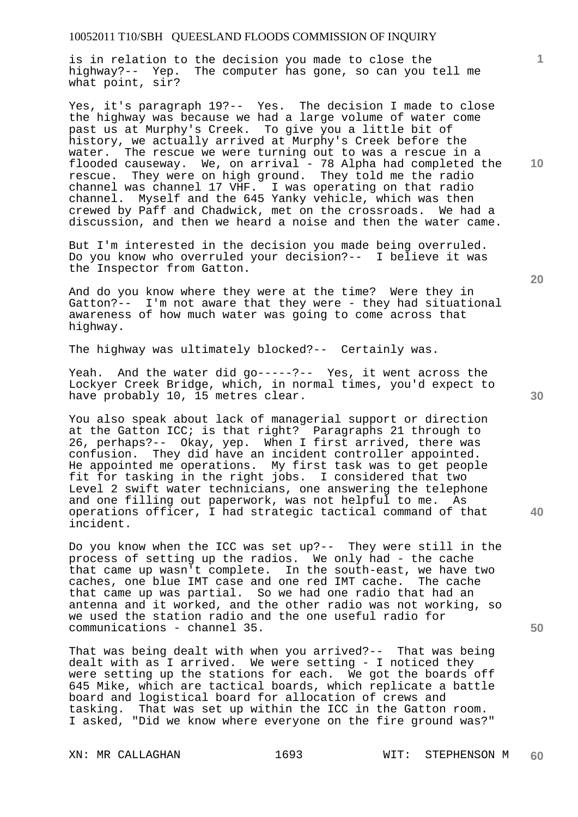is in relation to the decision you made to close the highway?-- Yep. The computer has gone, so can you tell me what point, sir?

Yes, it's paragraph 19?-- Yes. The decision I made to close the highway was because we had a large volume of water come past us at Murphy's Creek. To give you a little bit of history, we actually arrived at Murphy's Creek before the water. The rescue we were turning out to was a rescue in a flooded causeway. We, on arrival - 78 Alpha had completed the rescue. They were on high ground. They told me the radio channel was channel 17 VHF. I was operating on that radio channel. Myself and the 645 Yanky vehicle, which was then crewed by Paff and Chadwick, met on the crossroads. We had a discussion, and then we heard a noise and then the water came.

But I'm interested in the decision you made being overruled. Do you know who overruled your decision?-- I believe it was the Inspector from Gatton.

And do you know where they were at the time? Were they in Gatton?-- I'm not aware that they were - they had situational awareness of how much water was going to come across that highway.

The highway was ultimately blocked?-- Certainly was.

Yeah. And the water did go-----?-- Yes, it went across the Lockyer Creek Bridge, which, in normal times, you'd expect to have probably 10, 15 metres clear.

You also speak about lack of managerial support or direction at the Gatton ICC; is that right? Paragraphs 21 through to 26, perhaps?-- Okay, yep. When I first arrived, there was confusion. They did have an incident controller appointed. He appointed me operations. My first task was to get people fit for tasking in the right jobs. I considered that two Level 2 swift water technicians, one answering the telephone and one filling out paperwork, was not helpful to me. As operations officer, I had strategic tactical command of that incident.

Do you know when the ICC was set up?-- They were still in the process of setting up the radios. We only had - the cache that came up wasn't complete. In the south-east, we have two caches, one blue IMT case and one red IMT cache. The cache that came up was partial. So we had one radio that had an antenna and it worked, and the other radio was not working, so we used the station radio and the one useful radio for communications - channel 35.

That was being dealt with when you arrived?-- That was being dealt with as I arrived. We were setting - I noticed they were setting up the stations for each. We got the boards off 645 Mike, which are tactical boards, which replicate a battle board and logistical board for allocation of crews and tasking. That was set up within the ICC in the Gatton room. I asked, "Did we know where everyone on the fire ground was?"

**20** 

**10** 

**40** 

**50**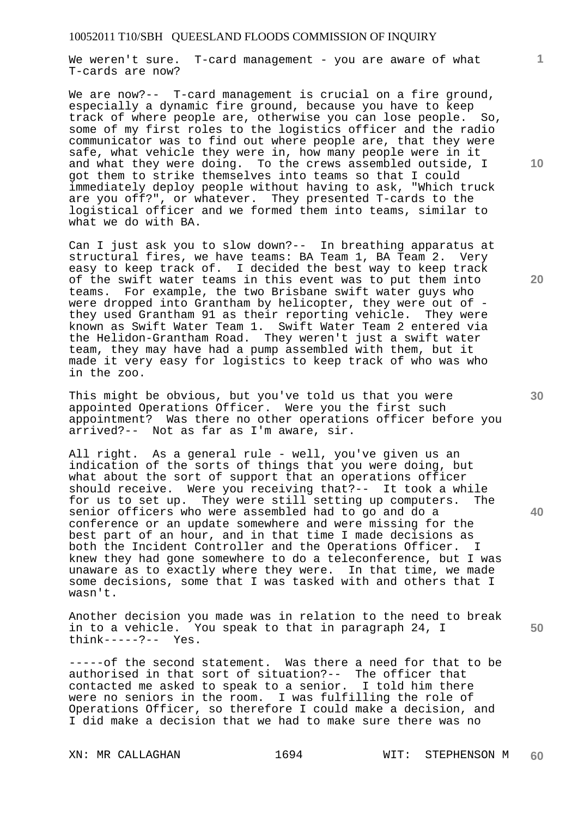We weren't sure. T-card management - you are aware of what T-cards are now?

We are now?-- T-card management is crucial on a fire ground, especially a dynamic fire ground, because you have to keep<br>track of where people are, otherwise you can lose people. So, track of where people are, otherwise you can lose people. some of my first roles to the logistics officer and the radio communicator was to find out where people are, that they were safe, what vehicle they were in, how many people were in it and what they were doing. To the crews assembled outside, I got them to strike themselves into teams so that I could immediately deploy people without having to ask, "Which truck are you off?", or whatever. They presented T-cards to the logistical officer and we formed them into teams, similar to what we do with BA.

Can I just ask you to slow down?-- In breathing apparatus at structural fires, we have teams: BA Team 1, BA Team 2. Very easy to keep track of. I decided the best way to keep track of the swift water teams in this event was to put them into teams. For example, the two Brisbane swift water guys who were dropped into Grantham by helicopter, they were out of they used Grantham 91 as their reporting vehicle. They were known as Swift Water Team 1. Swift Water Team 2 entered via the Helidon-Grantham Road. They weren't just a swift water team, they may have had a pump assembled with them, but it made it very easy for logistics to keep track of who was who in the zoo.

This might be obvious, but you've told us that you were appointed Operations Officer. Were you the first such appointment? Was there no other operations officer before you arrived?-- Not as far as I'm aware, sir.

All right. As a general rule - well, you've given us an indication of the sorts of things that you were doing, but what about the sort of support that an operations officer should receive. Were you receiving that?-- It took a while for us to set up. They were still setting up computers. The senior officers who were assembled had to go and do a conference or an update somewhere and were missing for the best part of an hour, and in that time I made decisions as both the Incident Controller and the Operations Officer. I knew they had gone somewhere to do a teleconference, but I was unaware as to exactly where they were. In that time, we made some decisions, some that I was tasked with and others that I wasn't.

Another decision you made was in relation to the need to break in to a vehicle. You speak to that in paragraph 24, I think-----?-- Yes.

-----of the second statement. Was there a need for that to be authorised in that sort of situation?-- The officer that contacted me asked to speak to a senior. I told him there were no seniors in the room. I was fulfilling the role of Operations Officer, so therefore I could make a decision, and I did make a decision that we had to make sure there was no

**10** 

**1**

**20** 

**30** 

**40**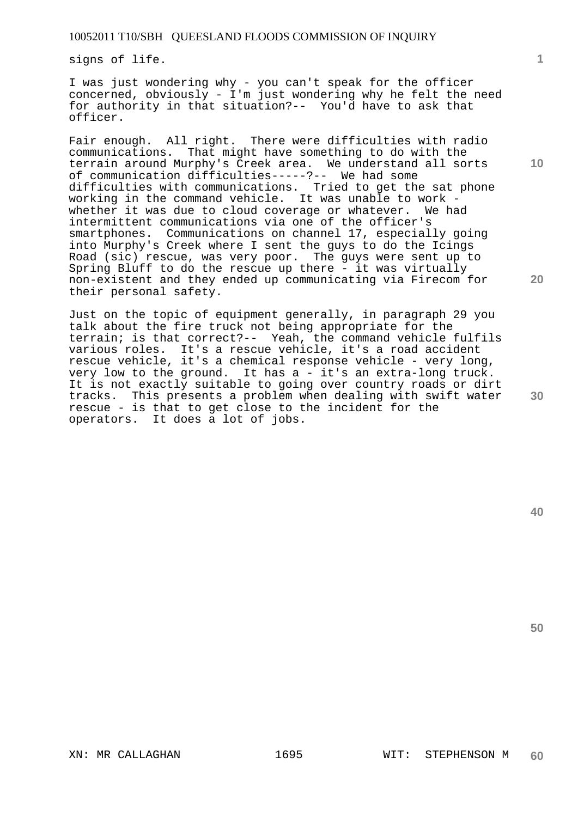signs of life.

I was just wondering why - you can't speak for the officer concerned, obviously - I'm just wondering why he felt the need for authority in that situation?-- You'd have to ask that officer.

Fair enough. All right. There were difficulties with radio communications. That might have something to do with the terrain around Murphy's Creek area. We understand all sorts of communication difficulties-----?-- We had some difficulties with communications. Tried to get the sat phone working in the command vehicle. It was unable to work whether it was due to cloud coverage or whatever. We had intermittent communications via one of the officer's smartphones. Communications on channel 17, especially going into Murphy's Creek where I sent the guys to do the Icings Road (sic) rescue, was very poor. The guys were sent up to Spring Bluff to do the rescue up there - it was virtually non-existent and they ended up communicating via Firecom for their personal safety.

Just on the topic of equipment generally, in paragraph 29 you talk about the fire truck not being appropriate for the terrain; is that correct?-- Yeah, the command vehicle fulfils various roles. It's a rescue vehicle, it's a road accident rescue vehicle, it's a chemical response vehicle - very long, very low to the ground. It has a - it's an extra-long truck. It is not exactly suitable to going over country roads or dirt tracks. This presents a problem when dealing with swift water rescue - is that to get close to the incident for the operators. It does a lot of jobs.

**10** 

**20** 

**30**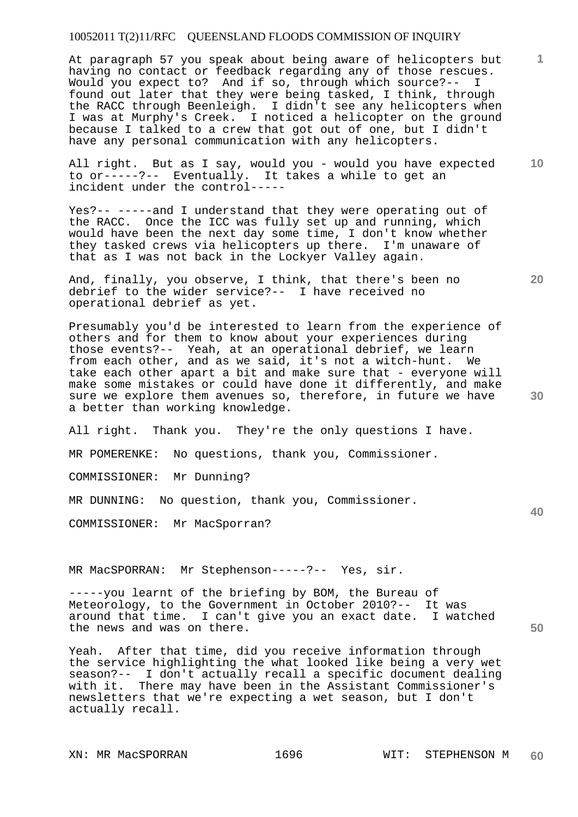At paragraph 57 you speak about being aware of helicopters but having no contact or feedback regarding any of those rescues. Would you expect to? And if so, through which source?-- I found out later that they were being tasked, I think, through the RACC through Beenleigh. I didn't see any helicopters when I was at Murphy's Creek. I noticed a helicopter on the ground because I talked to a crew that got out of one, but I didn't have any personal communication with any helicopters.

**10**  All right. But as I say, would you - would you have expected to or-----?-- Eventually. It takes a while to get an incident under the control-----

Yes?-- -----and I understand that they were operating out of the RACC. Once the ICC was fully set up and running, which would have been the next day some time, I don't know whether they tasked crews via helicopters up there. I'm unaware of that as I was not back in the Lockyer Valley again.

And, finally, you observe, I think, that there's been no debrief to the wider service?-- I have received no operational debrief as yet.

Presumably you'd be interested to learn from the experience of others and for them to know about your experiences during those events?-- Yeah, at an operational debrief, we learn from each other, and as we said, it's not a witch-hunt. We take each other apart a bit and make sure that - everyone will make some mistakes or could have done it differently, and make sure we explore them avenues so, therefore, in future we have a better than working knowledge.

All right. Thank you. They're the only questions I have.

MR POMERENKE: No questions, thank you, Commissioner.

COMMISSIONER: Mr Dunning?

MR DUNNING: No question, thank you, Commissioner.

COMMISSIONER: Mr MacSporran?

MR MacSPORRAN: Mr Stephenson-----?-- Yes, sir.

-----you learnt of the briefing by BOM, the Bureau of Meteorology, to the Government in October 2010?-- It was around that time. I can't give you an exact date. I watched the news and was on there.

Yeah. After that time, did you receive information through the service highlighting the what looked like being a very wet season?-- I don't actually recall a specific document dealing with it. There may have been in the Assistant Commissioner's newsletters that we're expecting a wet season, but I don't actually recall.

**20** 

**50** 

**30**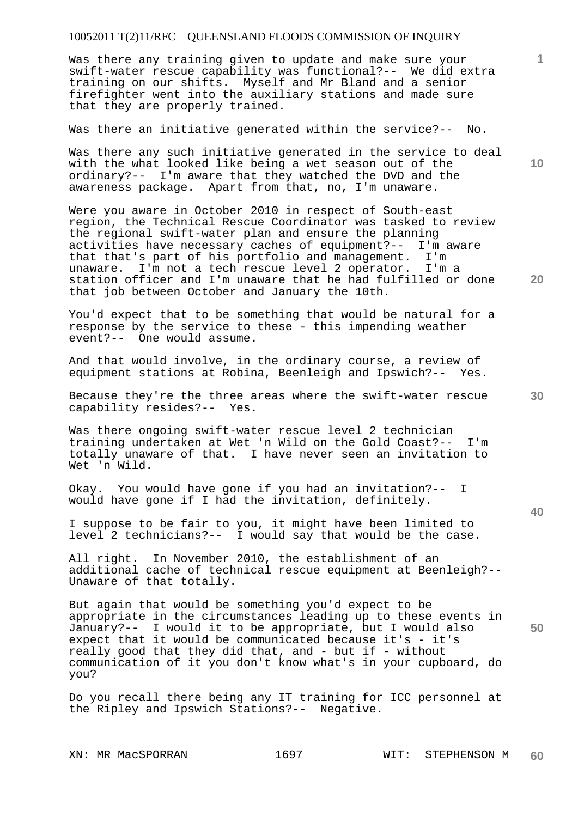Was there any training given to update and make sure your swift-water rescue capability was functional?-- We did extra training on our shifts. Myself and Mr Bland and a senior firefighter went into the auxiliary stations and made sure that they are properly trained.

Was there an initiative generated within the service?-- No.

Was there any such initiative generated in the service to deal with the what looked like being a wet season out of the ordinary?-- I'm aware that they watched the DVD and the awareness package. Apart from that, no, I'm unaware.

Were you aware in October 2010 in respect of South-east region, the Technical Rescue Coordinator was tasked to review the regional swift-water plan and ensure the planning activities have necessary caches of equipment?-- I'm aware that that's part of his portfolio and management. I'm unaware. I'm not a tech rescue level 2 operator. I'm a station officer and I'm unaware that he had fulfilled or done that job between October and January the 10th.

You'd expect that to be something that would be natural for a response by the service to these - this impending weather event?-- One would assume.

And that would involve, in the ordinary course, a review of equipment stations at Robina, Beenleigh and Ipswich?-- Yes.

Because they're the three areas where the swift-water rescue capability resides?-- Yes.

Was there ongoing swift-water rescue level 2 technician training undertaken at Wet 'n Wild on the Gold Coast?-- I'm totally unaware of that. I have never seen an invitation to Wet 'n Wild.

Okay. You would have gone if you had an invitation?-- I would have gone if I had the invitation, definitely.

I suppose to be fair to you, it might have been limited to level 2 technicians?-- I would say that would be the case.

All right. In November 2010, the establishment of an additional cache of technical rescue equipment at Beenleigh?-- Unaware of that totally.

But again that would be something you'd expect to be appropriate in the circumstances leading up to these events in January?-- I would it to be appropriate, but I would also expect that it would be communicated because it's - it's really good that they did that, and - but if - without communication of it you don't know what's in your cupboard, do you?

Do you recall there being any IT training for ICC personnel at the Ripley and Ipswich Stations?-- Negative.

**20** 

**10** 

**1**

**30**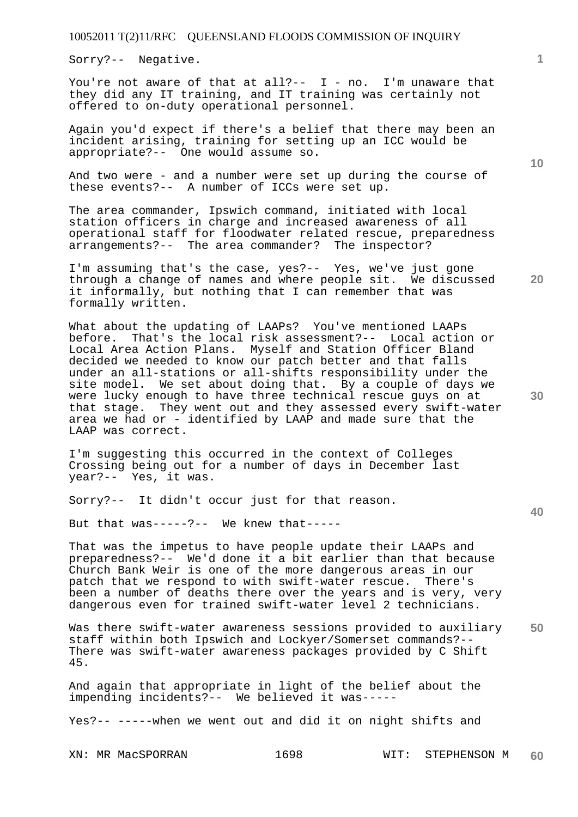Sorry?-- Negative.

You're not aware of that at all?--  $I - no$ . I'm unaware that they did any IT training, and IT training was certainly not offered to on-duty operational personnel.

Again you'd expect if there's a belief that there may been an incident arising, training for setting up an ICC would be appropriate?-- One would assume so.

And two were - and a number were set up during the course of these events?-- A number of ICCs were set up.

The area commander, Ipswich command, initiated with local station officers in charge and increased awareness of all operational staff for floodwater related rescue, preparedness arrangements?-- The area commander? The inspector?

I'm assuming that's the case, yes?-- Yes, we've just gone through a change of names and where people sit. We discussed it informally, but nothing that I can remember that was formally written.

What about the updating of LAAPs? You've mentioned LAAPs before. That's the local risk assessment?-- Local action or Local Area Action Plans. Myself and Station Officer Bland decided we needed to know our patch better and that falls under an all-stations or all-shifts responsibility under the site model. We set about doing that. By a couple of days we were lucky enough to have three technical rescue guys on at that stage. They went out and they assessed every swift-water area we had or - identified by LAAP and made sure that the LAAP was correct.

I'm suggesting this occurred in the context of Colleges Crossing being out for a number of days in December last year?-- Yes, it was.

Sorry?-- It didn't occur just for that reason.

But that was-----?-- We knew that-----

That was the impetus to have people update their LAAPs and preparedness?-- We'd done it a bit earlier than that because Church Bank Weir is one of the more dangerous areas in our patch that we respond to with swift-water rescue. There's been a number of deaths there over the years and is very, very dangerous even for trained swift-water level 2 technicians.

**50**  Was there swift-water awareness sessions provided to auxiliary staff within both Ipswich and Lockyer/Somerset commands?-- There was swift-water awareness packages provided by C Shift 45.

And again that appropriate in light of the belief about the impending incidents?-- We believed it was-----

Yes?-- -----when we went out and did it on night shifts and

**10** 

**20** 

**30** 

**1**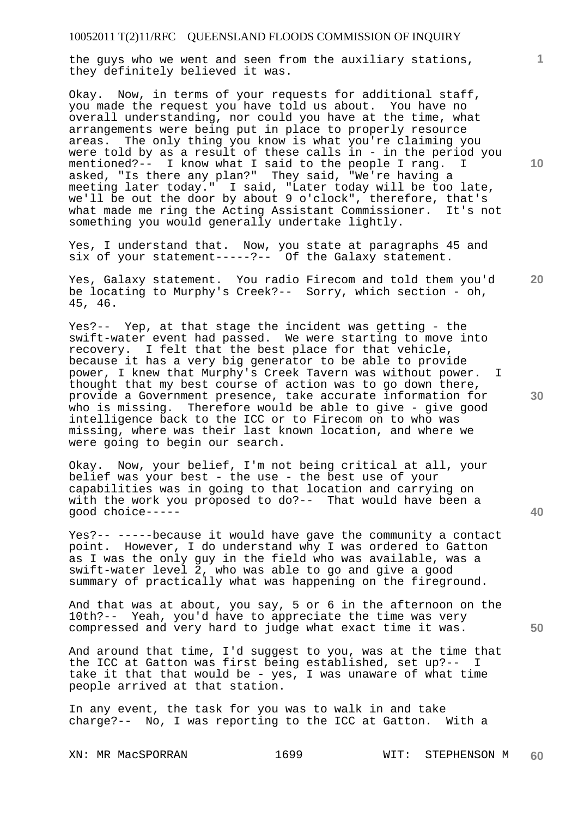the guys who we went and seen from the auxiliary stations, they definitely believed it was.

Okay. Now, in terms of your requests for additional staff, you made the request you have told us about. You have no overall understanding, nor could you have at the time, what arrangements were being put in place to properly resource areas. The only thing you know is what you're claiming you were told by as a result of these calls in - in the period you mentioned?-- I know what I said to the people I rang. I asked, "Is there any plan?" They said, "We're having a meeting later today." I said, "Later today will be too late, we'll be out the door by about 9 o'clock", therefore, that's what made me ring the Acting Assistant Commissioner. It's not something you would generally undertake lightly.

Yes, I understand that. Now, you state at paragraphs 45 and six of your statement-----?-- Of the Galaxy statement.

Yes, Galaxy statement. You radio Firecom and told them you'd be locating to Murphy's Creek?-- Sorry, which section - oh, 45, 46.

Yes?-- Yep, at that stage the incident was getting - the swift-water event had passed. We were starting to move into recovery. I felt that the best place for that vehicle, because it has a very big generator to be able to provide power, I knew that Murphy's Creek Tavern was without power. I thought that my best course of action was to go down there, provide a Government presence, take accurate information for who is missing. Therefore would be able to give - give good intelligence back to the ICC or to Firecom on to who was missing, where was their last known location, and where we were going to begin our search.

Okay. Now, your belief, I'm not being critical at all, your belief was your best - the use - the best use of your capabilities was in going to that location and carrying on with the work you proposed to do?-- That would have been a good choice-----

Yes?-- -----because it would have gave the community a contact point. However, I do understand why I was ordered to Gatton as I was the only guy in the field who was available, was a swift-water level 2, who was able to go and give a good summary of practically what was happening on the fireground.

And that was at about, you say, 5 or 6 in the afternoon on the 10th?-- Yeah, you'd have to appreciate the time was very compressed and very hard to judge what exact time it was.

And around that time, I'd suggest to you, was at the time that the ICC at Gatton was first being established, set up?-- I take it that that would be - yes, I was unaware of what time people arrived at that station.

In any event, the task for you was to walk in and take charge?-- No, I was reporting to the ICC at Gatton. With a

XN: MR MacSPORRAN 1699 WIT: STEPHENSON M **60** 

**10** 

**1**

**20** 

**30** 

**40**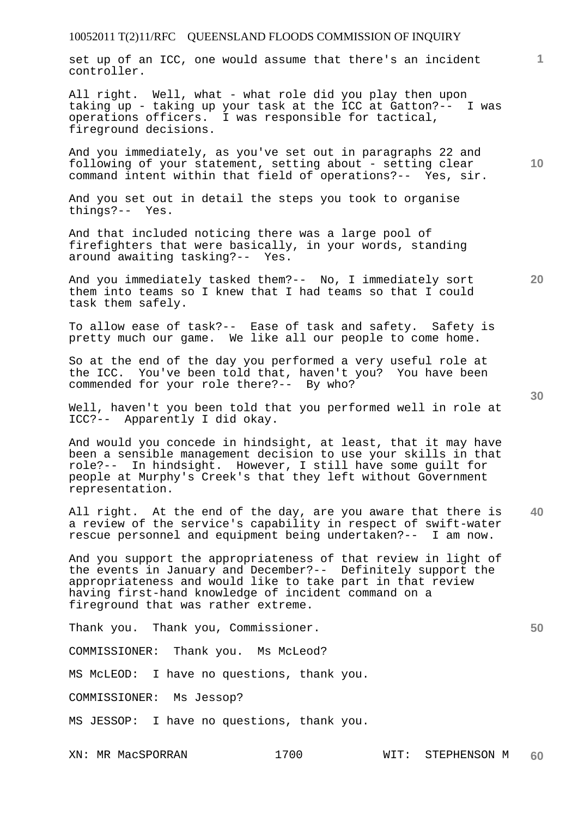set up of an ICC, one would assume that there's an incident controller.

All right. Well, what - what role did you play then upon taking up - taking up your task at the ICC at Gatton?-- I was operations officers. I was responsible for tactical, fireground decisions.

And you immediately, as you've set out in paragraphs 22 and following of your statement, setting about - setting clear command intent within that field of operations?-- Yes, sir.

And you set out in detail the steps you took to organise things?-- Yes.

And that included noticing there was a large pool of firefighters that were basically, in your words, standing around awaiting tasking?-- Yes.

And you immediately tasked them?-- No, I immediately sort them into teams so I knew that I had teams so that I could task them safely.

To allow ease of task?-- Ease of task and safety. Safety is pretty much our game. We like all our people to come home.

So at the end of the day you performed a very useful role at the ICC. You've been told that, haven't you? You have been commended for your role there?-- By who?

Well, haven't you been told that you performed well in role at ICC?-- Apparently I did okay.

And would you concede in hindsight, at least, that it may have been a sensible management decision to use your skills in that role?-- In hindsight. However, I still have some guilt for people at Murphy's Creek's that they left without Government representation.

**40**  All right. At the end of the day, are you aware that there is a review of the service's capability in respect of swift-water rescue personnel and equipment being undertaken?-- I am now.

And you support the appropriateness of that review in light of the events in January and December?-- Definitely support the appropriateness and would like to take part in that review having first-hand knowledge of incident command on a fireground that was rather extreme.

Thank you. Thank you, Commissioner.

COMMISSIONER: Thank you. Ms McLeod?

MS McLEOD: I have no questions, thank you.

COMMISSIONER: Ms Jessop?

MS JESSOP: I have no questions, thank you.

**30** 

**1**

**10**